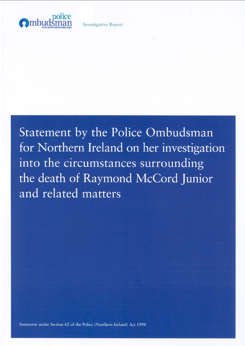

**Investigative Report** 

Statement by the Police Ombudsman for Northern Ireland on her investigation into the circumstances surrounding the death of Raymond McCord Junior and related matters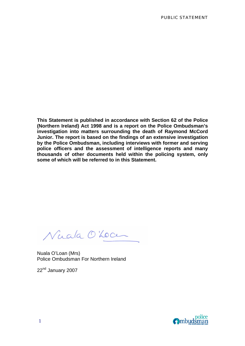**This Statement is published in accordance with Section 62 of the Police (Northern Ireland) Act 1998 and is a report on the Police Ombudsman's investigation into matters surrounding the death of Raymond McCord Junior. The report is based on the findings of an extensive investigation by the Police Ombudsman, including interviews with former and serving police officers and the assessment of intelligence reports and many thousands of other documents held within the policing system, only some of which will be referred to in this Statement.** 

Nuala O'Locu

Nuala O'Loan (Mrs) Police Ombudsman For Northern Ireland

22<sup>nd</sup> January 2007

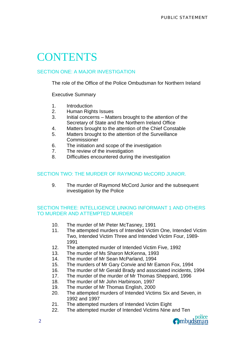# **CONTENTS**

### SECTION ONE: A MAJOR INVESTIGATION

The role of the Office of the Police Ombudsman for Northern Ireland

Executive Summary

- 1. Introduction
- 2. Human Rights Issues
- 3. Initial concerns Matters brought to the attention of the Secretary of State and the Northern Ireland Office
- 4. Matters brought to the attention of the Chief Constable
- 5. Matters brought to the attention of the Surveillance Commissioner
- 6. The initiation and scope of the investigation
- 7. The review of the investigation
- 8. Difficulties encountered during the investigation

### SECTION TWO: THE MURDER OF RAYMOND McCORD JUNIOR.

9. The murder of Raymond McCord Junior and the subsequent investigation by the Police

### SECTION THREE: INTELLIGENCE LINKING INFORMANT 1 AND OTHERS TO MURDER AND ATTEMPTED MURDER

- 10. The murder of Mr Peter McTasney, 1991
- 11. The attempted murders of Intended Victim One, Intended Victim Two, Intended Victim Three and Intended Victim Four, 1989- 1991
- 12. The attempted murder of Intended Victim Five, 1992
- 13. The murder of Ms Sharon McKenna, 1993
- 14. The murder of Mr Sean McParland, 1994
- 15. The murders of Mr Gary Convie and Mr Eamon Fox, 1994
- 16. The murder of Mr Gerald Brady and associated incidents, 1994
- 17. The murder of the murder of Mr Thomas Sheppard, 1996
- 18. The murder of Mr John Harbinson, 1997
- 19. The murder of Mr Thomas English, 2000
- 20. The attempted murders of Intended Victims Six and Seven, in 1992 and 1997
- 21. The attempted murders of Intended Victim Eight
- 22. The attempted murder of Intended Victims Nine and Ten

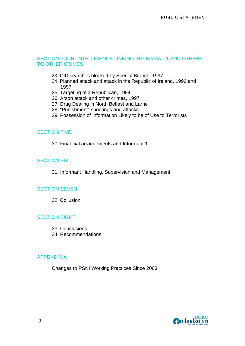### SECTION FOUR: INTELLIGENCE LINKING INFORMANT 1 AND OTHERS TO OTHER CRIMES

- 23. CID searches blocked by Special Branch, 1997
- 24. Planned attack and attack in the Republic of Ireland, 1996 and 1997
- 25. Targeting of a Republican, 1994
- 26. Arson attack and other crimes, 1997
- 27. Drug Dealing in North Belfast and Larne
- 28. "Punishment" shootings and attacks
- 29. Possession of Information Likely to be of Use to Terrorists

### SECTION FIVE

30. Financial arrangements and Informant 1

### SECTION SIX

31. Informant Handling, Supervision and Management

### SECTION SEVEN

32. Collusion

### **SECTION EIGHT**

- 33. Conclusions
- 34. Recommendations

### APPENDIX A

Changes to PSNI Working Practices Since 2003

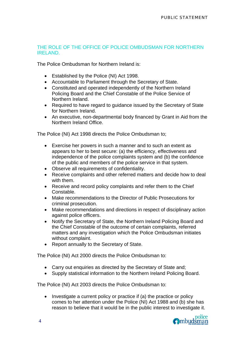### THE ROLE OF THE OFFICE OF POLICE OMBUDSMAN FOR NORTHERN IRELAND.

The Police Ombudsman for Northern Ireland is:

- Established by the Police (NI) Act 1998.
- Accountable to Parliament through the Secretary of State.
- Constituted and operated independently of the Northern Ireland Policing Board and the Chief Constable of the Police Service of Northern Ireland.
- Required to have regard to guidance issued by the Secretary of State for Northern Ireland.
- An executive, non-departmental body financed by Grant in Aid from the Northern Ireland Office.

The Police (NI) Act 1998 directs the Police Ombudsman to;

- Exercise her powers in such a manner and to such an extent as appears to her to best secure: (a) the efficiency, effectiveness and independence of the police complaints system and (b) the confidence of the public and members of the police service in that system.
- Observe all requirements of confidentiality.
- Receive complaints and other referred matters and decide how to deal with them.
- Receive and record policy complaints and refer them to the Chief Constable.
- Make recommendations to the Director of Public Prosecutions for criminal prosecution.
- Make recommendations and directions in respect of disciplinary action against police officers.
- Notify the Secretary of State, the Northern Ireland Policing Board and the Chief Constable of the outcome of certain complaints, referred matters and any investigation which the Police Ombudsman initiates without complaint.
- Report annually to the Secretary of State.

The Police (NI) Act 2000 directs the Police Ombudsman to:

- Carry out enquiries as directed by the Secretary of State and;
- Supply statistical information to the Northern Ireland Policing Board.

The Police (NI) Act 2003 directs the Police Ombudsman to:

• Investigate a current policy or practice if (a) the practice or policy comes to her attention under the Police (NI) Act 1988 and (b) she has reason to believe that it would be in the public interest to investigate it.

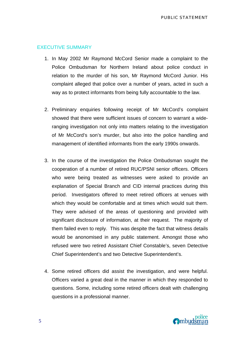### EXECUTIVE SUMMARY

- 1. In May 2002 Mr Raymond McCord Senior made a complaint to the Police Ombudsman for Northern Ireland about police conduct in relation to the murder of his son, Mr Raymond McCord Junior. His complaint alleged that police over a number of years, acted in such a way as to protect informants from being fully accountable to the law.
- 2. Preliminary enquiries following receipt of Mr McCord's complaint showed that there were sufficient issues of concern to warrant a wideranging investigation not only into matters relating to the investigation of Mr McCord's son's murder, but also into the police handling and management of identified informants from the early 1990s onwards.
- 3. In the course of the investigation the Police Ombudsman sought the cooperation of a number of retired RUC/PSNI senior officers. Officers who were being treated as witnesses were asked to provide an explanation of Special Branch and CID internal practices during this period. Investigators offered to meet retired officers at venues with which they would be comfortable and at times which would suit them. They were advised of the areas of questioning and provided with significant disclosure of information, at their request. The majority of them failed even to reply. This was despite the fact that witness details would be anonomised in any public statement. Amongst those who refused were two retired Assistant Chief Constable's, seven Detective Chief Superintendent's and two Detective Superintendent's.
- 4. Some retired officers did assist the investigation, and were helpful. Officers varied a great deal in the manner in which they responded to questions. Some, including some retired officers dealt with challenging questions in a professional manner.

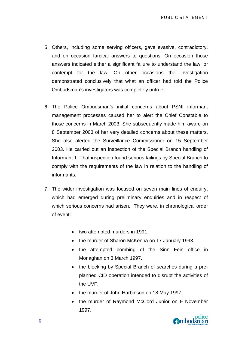- 5. Others, including some serving officers, gave evasive, contradictory, and on occasion farcical answers to questions. On occasion those answers indicated either a significant failure to understand the law, or contempt for the law. On other occasions the investigation demonstrated conclusively that what an officer had told the Police Ombudsman's investigators was completely untrue.
- 6. The Police Ombudsman's initial concerns about PSNI informant management processes caused her to alert the Chief Constable to those concerns in March 2003. She subsequently made him aware on 8 September 2003 of her very detailed concerns about these matters. She also alerted the Surveillance Commissioner on 15 September 2003. He carried out an inspection of the Special Branch handling of Informant 1. That inspection found serious failings by Special Branch to comply with the requirements of the law in relation to the handling of informants.
- 7. The wider investigation was focused on seven main lines of enquiry, which had emerged during preliminary enquiries and in respect of which serious concerns had arisen. They were, in chronological order of event:
	- two attempted murders in 1991.
	- the murder of Sharon McKenna on 17 January 1993.
	- the attempted bombing of the Sinn Fein office in Monaghan on 3 March 1997.
	- the blocking by Special Branch of searches during a preplanned CID operation intended to disrupt the activities of the UVF.
	- the murder of John Harbinson on 18 May 1997.
	- the murder of Raymond McCord Junior on 9 November 1997.

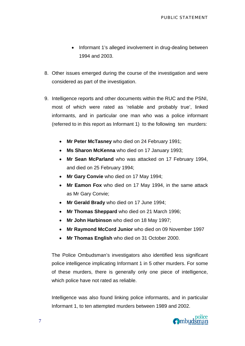- Informant 1's alleged involvement in drug-dealing between 1994 and 2003.
- 8. Other issues emerged during the course of the investigation and were considered as part of the investigation.
- 9. Intelligence reports and other documents within the RUC and the PSNI, most of which were rated as 'reliable and probably true', linked informants, and in particular one man who was a police informant (referred to in this report as Informant 1) to the following ten murders:
	- **Mr Peter McTasney** who died on 24 February 1991;
	- **Ms Sharon McKenna** who died on 17 January 1993;
	- **Mr Sean McParland** who was attacked on 17 February 1994, and died on 25 February 1994;
	- **Mr Gary Convie** who died on 17 May 1994;
	- **Mr Eamon Fox** who died on 17 May 1994, in the same attack as Mr Gary Convie;
	- **Mr Gerald Brady** who died on 17 June 1994;
	- **Mr Thomas Sheppard** who died on 21 March 1996;
	- **Mr John Harbinson** who died on 18 May 1997;
	- **Mr Raymond McCord Junior** who died on 09 November 1997
	- **Mr Thomas English** who died on 31 October 2000.

The Police Ombudsman's investigators also identified less significant police intelligence implicating Informant 1 in 5 other murders. For some of these murders, there is generally only one piece of intelligence, which police have not rated as reliable.

Intelligence was also found linking police informants, and in particular Informant 1, to ten attempted murders between 1989 and 2002.

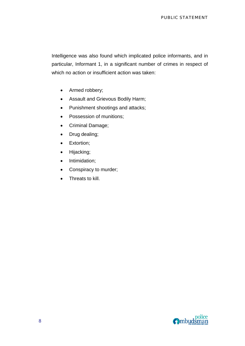Intelligence was also found which implicated police informants, and in particular, Informant 1, in a significant number of crimes in respect of which no action or insufficient action was taken:

- Armed robbery;
- Assault and Grievous Bodily Harm;
- Punishment shootings and attacks;
- Possession of munitions;
- Criminal Damage;
- Drug dealing;
- Extortion;
- Hijacking;
- Intimidation;
- Conspiracy to murder;
- Threats to kill.

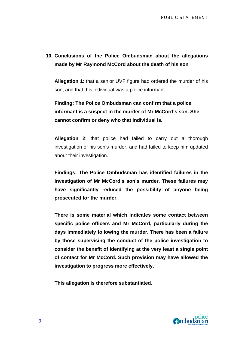## **10. Conclusions of the Police Ombudsman about the allegations made by Mr Raymond McCord about the death of his son**

**Allegation 1**: that a senior UVF figure had ordered the murder of his son, and that this individual was a police informant.

**Finding: The Police Ombudsman can confirm that a police informant is a suspect in the murder of Mr McCord's son. She cannot confirm or deny who that individual is.** 

**Allegation 2**: that police had failed to carry out a thorough investigation of his son's murder, and had failed to keep him updated about their investigation.

**Findings: The Police Ombudsman has identified failures in the investigation of Mr McCord's son's murder. These failures may have significantly reduced the possibility of anyone being prosecuted for the murder.** 

**There is some material which indicates some contact between specific police officers and Mr McCord, particularly during the days immediately following the murder. There has been a failure by those supervising the conduct of the police investigation to consider the benefit of identifying at the very least a single point of contact for Mr McCord. Such provision may have allowed the investigation to progress more effectively.** 

**This allegation is therefore substantiated.** 

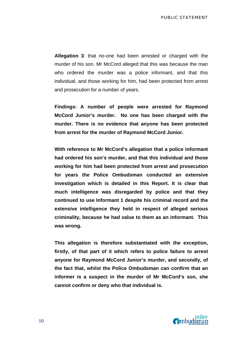**Allegation 3**: that no-one had been arrested or charged with the murder of his son. Mr McCord alleged that this was because the man who ordered the murder was a police informant, and that this individual, and those working for him, had been protected from arrest and prosecution for a number of years.

**Findings: A number of people were arrested for Raymond McCord Junior's murder. No one has been charged with the murder. There is no evidence that anyone has been protected from arrest for the murder of Raymond McCord Junior.** 

**With reference to Mr McCord's allegation that a police informant had ordered his son's murder, and that this individual and those working for him had been protected from arrest and prosecution for years the Police Ombudsman conducted an extensive investigation which is detailed in this Report. It is clear that much intelligence was disregarded by police and that they continued to use Informant 1 despite his criminal record and the extensive intelligence they held in respect of alleged serious criminality, because he had value to them as an informant. This was wrong.** 

**This allegation is therefore substantiated with the exception, firstly, of that part of it which refers to police failure to arrest anyone for Raymond McCord Junior's murder, and secondly, of the fact that, whilst the Police Ombudsman can confirm that an informer is a suspect in the murder of Mr McCord's son, she cannot confirm or deny who that individual is.** 

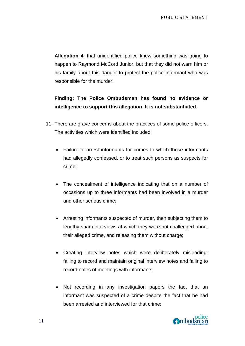**Allegation 4**: that unidentified police knew something was going to happen to Raymond McCord Junior, but that they did not warn him or his family about this danger to protect the police informant who was responsible for the murder.

## **Finding: The Police Ombudsman has found no evidence or intelligence to support this allegation. It is not substantiated.**

- 11. There are grave concerns about the practices of some police officers. The activities which were identified included:
	- Failure to arrest informants for crimes to which those informants had allegedly confessed, or to treat such persons as suspects for crime;
	- The concealment of intelligence indicating that on a number of occasions up to three informants had been involved in a murder and other serious crime;
	- Arresting informants suspected of murder, then subjecting them to lengthy sham interviews at which they were not challenged about their alleged crime, and releasing them without charge;
	- Creating interview notes which were deliberately misleading; failing to record and maintain original interview notes and failing to record notes of meetings with informants;
	- Not recording in any investigation papers the fact that an informant was suspected of a crime despite the fact that he had been arrested and interviewed for that crime;

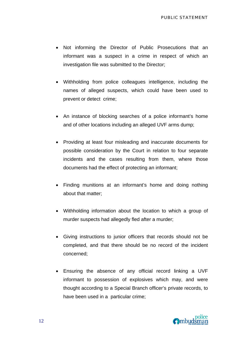- Not informing the Director of Public Prosecutions that an informant was a suspect in a crime in respect of which an investigation file was submitted to the Director;
- Withholding from police colleagues intelligence, including the names of alleged suspects, which could have been used to prevent or detect crime;
- An instance of blocking searches of a police informant's home and of other locations including an alleged UVF arms dump;
- Providing at least four misleading and inaccurate documents for possible consideration by the Court in relation to four separate incidents and the cases resulting from them, where those documents had the effect of protecting an informant;
- Finding munitions at an informant's home and doing nothing about that matter;
- Withholding information about the location to which a group of murder suspects had allegedly fled after a murder;
- Giving instructions to junior officers that records should not be completed, and that there should be no record of the incident concerned;
- Ensuring the absence of any official record linking a UVF informant to possession of explosives which may, and were thought according to a Special Branch officer's private records, to have been used in a particular crime;

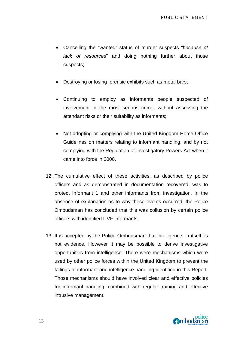- Cancelling the "wanted" status of murder suspects "*because of lack of resources*" and doing nothing further about those suspects;
- Destroying or losing forensic exhibits such as metal bars;
- Continuing to employ as informants people suspected of involvement in the most serious crime, without assessing the attendant risks or their suitability as informants;
- Not adopting or complying with the United Kingdom Home Office Guidelines on matters relating to informant handling, and by not complying with the Regulation of Investigatory Powers Act when it came into force in 2000.
- 12. The cumulative effect of these activities, as described by police officers and as demonstrated in documentation recovered, was to protect Informant 1 and other informants from investigation. In the absence of explanation as to why these events occurred, the Police Ombudsman has concluded that this was collusion by certain police officers with identified UVF informants.
- 13. It is accepted by the Police Ombudsman that intelligence, in itself, is not evidence. However it may be possible to derive investigative opportunities from intelligence. There were mechanisms which were used by other police forces within the United Kingdom to prevent the failings of informant and intelligence handling identified in this Report. Those mechanisms should have involved clear and effective policies for informant handling, combined with regular training and effective intrusive management.

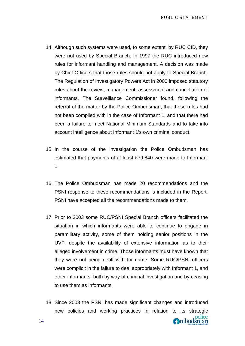- 14. Although such systems were used, to some extent, by RUC CID, they were not used by Special Branch. In 1997 the RUC introduced new rules for informant handling and management. A decision was made by Chief Officers that those rules should not apply to Special Branch. The Regulation of Investigatory Powers Act in 2000 imposed statutory rules about the review, management, assessment and cancellation of informants. The Surveillance Commissioner found, following the referral of the matter by the Police Ombudsman, that those rules had not been complied with in the case of Informant 1, and that there had been a failure to meet National Minimum Standards and to take into account intelligence about Informant 1's own criminal conduct.
- 15. In the course of the investigation the Police Ombudsman has estimated that payments of at least £79,840 were made to Informant 1.
- 16. The Police Ombudsman has made 20 recommendations and the PSNI response to these recommendations is included in the Report. PSNI have accepted all the recommendations made to them.
- 17. Prior to 2003 some RUC/PSNI Special Branch officers facilitated the situation in which informants were able to continue to engage in paramilitary activity, some of them holding senior positions in the UVF, despite the availability of extensive information as to their alleged involvement in crime. Those informants must have known that they were not being dealt with for crime. Some RUC/PSNI officers were complicit in the failure to deal appropriately with Informant 1, and other informants, both by way of criminal investigation and by ceasing to use them as informants.
- 18. Since 2003 the PSNI has made significant changes and introduced new policies and working practices in relation to its strategic

police

Ombudsman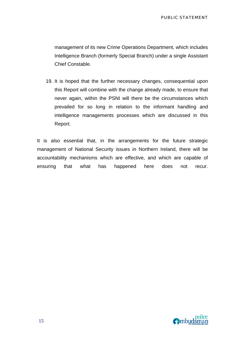management of its new Crime Operations Department, which includes Intelligence Branch (formerly Special Branch) under a single Assistant Chief Constable.

19. It is hoped that the further necessary changes, consequential upon this Report will combine with the change already made, to ensure that never again, within the PSNI will there be the circumstances which prevailed for so long in relation to the informant handling and intelligence managements processes which are discussed in this Report.

It is also essential that, in the arrangements for the future strategic management of National Security issues in Northern Ireland, there will be accountability mechanisms which are effective, and which are capable of ensuring that what has happened here does not recur.

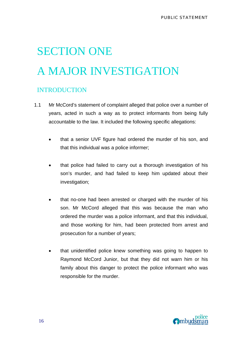# SECTION ONE A MAJOR INVESTIGATION

## INTRODUCTION

- 1.1 Mr McCord's statement of complaint alleged that police over a number of years, acted in such a way as to protect informants from being fully accountable to the law. It included the following specific allegations:
	- that a senior UVF figure had ordered the murder of his son, and that this individual was a police informer;
	- that police had failed to carry out a thorough investigation of his son's murder, and had failed to keep him updated about their investigation;
	- that no-one had been arrested or charged with the murder of his son. Mr McCord alleged that this was because the man who ordered the murder was a police informant, and that this individual, and those working for him, had been protected from arrest and prosecution for a number of years;
	- that unidentified police knew something was going to happen to Raymond McCord Junior, but that they did not warn him or his family about this danger to protect the police informant who was responsible for the murder.

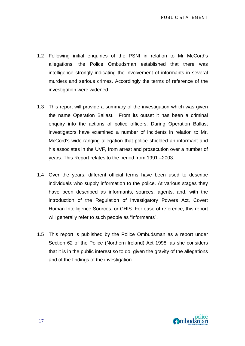- 1.2 Following initial enquiries of the PSNI in relation to Mr McCord's allegations, the Police Ombudsman established that there was intelligence strongly indicating the involvement of informants in several murders and serious crimes. Accordingly the terms of reference of the investigation were widened.
- 1.3 This report will provide a summary of the investigation which was given the name Operation Ballast. From its outset it has been a criminal enquiry into the actions of police officers. During Operation Ballast investigators have examined a number of incidents in relation to Mr. McCord's wide-ranging allegation that police shielded an informant and his associates in the UVF, from arrest and prosecution over a number of years. This Report relates to the period from 1991 –2003.
- 1.4 Over the years, different official terms have been used to describe individuals who supply information to the police. At various stages they have been described as informants, sources, agents, and, with the introduction of the Regulation of Investigatory Powers Act, Covert Human Intelligence Sources, or CHIS. For ease of reference, this report will generally refer to such people as "informants".
- 1.5 This report is published by the Police Ombudsman as a report under Section 62 of the Police (Northern Ireland) Act 1998, as she considers that it is in the public interest so to do, given the gravity of the allegations and of the findings of the investigation.

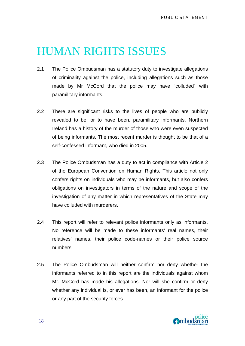## HUMAN RIGHTS ISSUES

- 2.1 The Police Ombudsman has a statutory duty to investigate allegations of criminality against the police, including allegations such as those made by Mr McCord that the police may have "colluded" with paramilitary informants.
- 2.2 There are significant risks to the lives of people who are publicly revealed to be, or to have been, paramilitary informants. Northern Ireland has a history of the murder of those who were even suspected of being informants. The most recent murder is thought to be that of a self-confessed informant, who died in 2005.
- 2.3 The Police Ombudsman has a duty to act in compliance with Article 2 of the European Convention on Human Rights. This article not only confers rights on individuals who may be informants, but also confers obligations on investigators in terms of the nature and scope of the investigation of any matter in which representatives of the State may have colluded with murderers.
- 2.4 This report will refer to relevant police informants only as informants. No reference will be made to these informants' real names, their relatives' names, their police code-names or their police source numbers.
- 2.5 The Police Ombudsman will neither confirm nor deny whether the informants referred to in this report are the individuals against whom Mr. McCord has made his allegations. Nor will she confirm or deny whether any individual is, or ever has been, an informant for the police or any part of the security forces.

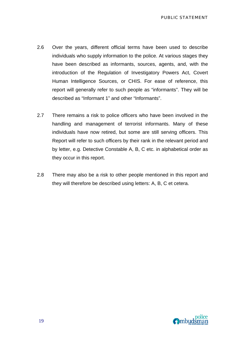- 2.6 Over the years, different official terms have been used to describe individuals who supply information to the police. At various stages they have been described as informants, sources, agents, and, with the introduction of the Regulation of Investigatory Powers Act, Covert Human Intelligence Sources, or CHIS. For ease of reference, this report will generally refer to such people as "informants". They will be described as "Informant 1" and other "Informants".
- 2.7 There remains a risk to police officers who have been involved in the handling and management of terrorist informants. Many of these individuals have now retired, but some are still serving officers. This Report will refer to such officers by their rank in the relevant period and by letter, e.g. Detective Constable A, B, C etc. in alphabetical order as they occur in this report.
- 2.8 There may also be a risk to other people mentioned in this report and they will therefore be described using letters: A, B, C et cetera.

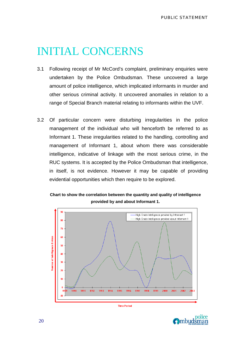## INITIAL CONCERNS

- 3.1 Following receipt of Mr McCord's complaint, preliminary enquiries were undertaken by the Police Ombudsman. These uncovered a large amount of police intelligence, which implicated informants in murder and other serious criminal activity. It uncovered anomalies in relation to a range of Special Branch material relating to informants within the UVF.
- 3.2 Of particular concern were disturbing irregularities in the police management of the individual who will henceforth be referred to as Informant 1. These irregularities related to the handling, controlling and management of Informant 1, about whom there was considerable intelligence, indicative of linkage with the most serious crime, in the RUC systems. It is accepted by the Police Ombudsman that intelligence, in itself, is not evidence. However it may be capable of providing evidential opportunities which then require to be explored.





**O**mbudsman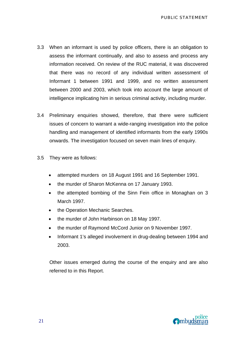- 3.3 When an informant is used by police officers, there is an obligation to assess the informant continually, and also to assess and process any information received. On review of the RUC material, it was discovered that there was no record of any individual written assessment of Informant 1 between 1991 and 1999, and no written assessment between 2000 and 2003, which took into account the large amount of intelligence implicating him in serious criminal activity, including murder.
- 3.4 Preliminary enquiries showed, therefore, that there were sufficient issues of concern to warrant a wide-ranging investigation into the police handling and management of identified informants from the early 1990s onwards. The investigation focused on seven main lines of enquiry.
- 3.5 They were as follows:
	- attempted murders on 18 August 1991 and 16 September 1991.
	- the murder of Sharon McKenna on 17 January 1993.
	- the attempted bombing of the Sinn Fein office in Monaghan on 3 March 1997.
	- the Operation Mechanic Searches.
	- the murder of John Harbinson on 18 May 1997.
	- the murder of Raymond McCord Junior on 9 November 1997.
	- Informant 1's alleged involvement in drug-dealing between 1994 and 2003.

Other issues emerged during the course of the enquiry and are also referred to in this Report.

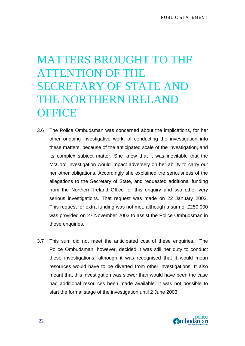# MATTERS BROUGHT TO THE ATTENTION OF THE SECRETARY OF STATE AND THE NORTHERN IRELAND **OFFICE**

- 3.6 The Police Ombudsman was concerned about the implications, for her other ongoing investigative work, of conducting the investigation into these matters, because of the anticipated scale of the investigation, and its complex subject matter. She knew that it was inevitable that the McCord investigation would impact adversely on her ability to carry out her other obligations. Accordingly she explained the seriousness of the allegations to the Secretary of State, and requested additional funding from the Northern Ireland Office for this enquiry and two other very serious investigations. That request was made on 22 January 2003. This request for extra funding was not met, although a sum of £250,000 was provided on 27 November 2003 to assist the Police Ombudsman in these enquiries.
- 3.7 This sum did not meet the anticipated cost of these enquiries. The Police Ombudsman, however, decided it was still her duty to conduct these investigations, although it was recognised that it would mean resources would have to be diverted from other investigations. It also meant that this investigation was slower than would have been the case had additional resources been made available. It was not possible to start the formal stage of the investigation until 2 June 2003

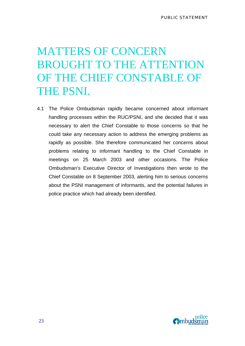# MATTERS OF CONCERN BROUGHT TO THE ATTENTION OF THE CHIEF CONSTABLE OF THE PSNI.

4.1 The Police Ombudsman rapidly became concerned about informant handling processes within the RUC/PSNI, and she decided that it was necessary to alert the Chief Constable to those concerns so that he could take any necessary action to address the emerging problems as rapidly as possible. She therefore communicated her concerns about problems relating to informant handling to the Chief Constable in meetings on 25 March 2003 and other occasions. The Police Ombudsman's Executive Director of Investigations then wrote to the Chief Constable on 8 September 2003, alerting him to serious concerns about the PSNI management of informants, and the potential failures in police practice which had already been identified.

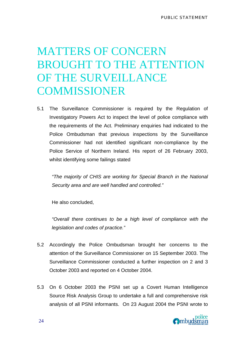# MATTERS OF CONCERN BROUGHT TO THE ATTENTION OF THE SURVEILLANCE COMMISSIONER

5.1 The Surveillance Commissioner is required by the Regulation of Investigatory Powers Act to inspect the level of police compliance with the requirements of the Act. Preliminary enquiries had indicated to the Police Ombudsman that previous inspections by the Surveillance Commissioner had not identified significant non-compliance by the Police Service of Northern Ireland. His report of 26 February 2003, whilst identifying some failings stated

*"The majority of CHIS are working for Special Branch in the National Security area and are well handled and controlled."* 

He also concluded,

*"Overall there continues to be a high level of compliance with the legislation and codes of practice."* 

- 5.2 Accordingly the Police Ombudsman brought her concerns to the attention of the Surveillance Commissioner on 15 September 2003. The Surveillance Commissioner conducted a further inspection on 2 and 3 October 2003 and reported on 4 October 2004.
- 5.3 On 6 October 2003 the PSNI set up a Covert Human Intelligence Source Risk Analysis Group to undertake a full and comprehensive risk analysis of all PSNI informants. On 23 August 2004 the PSNI wrote to

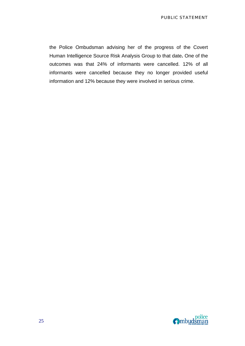the Police Ombudsman advising her of the progress of the Covert Human Intelligence Source Risk Analysis Group to that date**.** One of the outcomes was that 24% of informants were cancelled. 12% of all informants were cancelled because they no longer provided useful information and 12% because they were involved in serious crime.

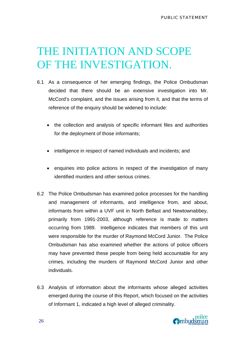# THE INITIATION AND SCOPE OF THE INVESTIGATION.

- 6.1 As a consequence of her emerging findings, the Police Ombudsman decided that there should be an extensive investigation into Mr. McCord's complaint, and the issues arising from it, and that the terms of reference of the enquiry should be widened to include:
	- the collection and analysis of specific informant files and authorities for the deployment of those informants;
	- intelligence in respect of named individuals and incidents; and
	- enquiries into police actions in respect of the investigation of many identified murders and other serious crimes.
- 6.2 The Police Ombudsman has examined police processes for the handling and management of informants, and intelligence from, and about, informants from within a UVF unit in North Belfast and Newtownabbey, primarily from 1991-2003, although reference is made to matters occurring from 1989. Intelligence indicates that members of this unit were responsible for the murder of Raymond McCord Junior. The Police Ombudsman has also examined whether the actions of police officers may have prevented these people from being held accountable for any crimes, including the murders of Raymond McCord Junior and other individuals.
- 6.3 Analysis of information about the informants whose alleged activities emerged during the course of this Report, which focused on the activities of Informant 1, indicated a high level of alleged criminality.

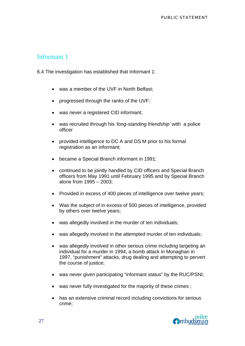## Informant 1

6.4 The investigation has established that Informant 1:

- was a member of the UVF in North Belfast:
- progressed through the ranks of the UVF;
- was never a registered CID informant;
- was recruited through his *'long-standing friendship'* with a police officer
- provided intelligence to DC A and DS M prior to his formal registration as an informant;
- became a Special Branch informant in 1991;
- continued to be jointly handled by CID officers and Special Branch officers from May 1991 until February 1995 and by Special Branch alone from 1995 – 2003;
- Provided in excess of 400 pieces of intelligence over twelve years;
- Was the subject of in excess of 500 pieces of intelligence, provided by others over twelve years;
- was allegedly involved in the murder of ten individuals;
- was allegedly involved in the attempted murder of ten individuals;
- was allegedly involved in other serious crime including targeting an individual for a murder in 1994, a bomb attack in Monaghan in 1997, "punishment" attacks, drug dealing and attempting to pervert the course of justice;
- was never given participating "informant status" by the RUC/PSNI;
- was never fully investigated for the majority of these crimes ;
- has an extensive criminal record including convictions for serious crime;

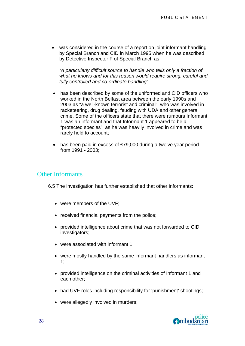was considered in the course of a report on joint informant handling by Special Branch and CID in March 1995 when he was described by Detective Inspector F of Special Branch as;

*"A particularly difficult source to handle who tells only a fraction of what he knows and for this reason would require strong, careful and fully controlled and co-ordinate handling"* 

- has been described by some of the uniformed and CID officers who worked in the North Belfast area between the early 1990s and 2003 as "a well-known terrorist and criminal", who was involved in racketeering, drug dealing, feuding with UDA and other general crime. Some of the officers state that there were rumours Informant 1 was an informant and that Informant 1 appeared to be a "protected species", as he was heavily involved in crime and was rarely held to account;
- has been paid in excess of £79,000 during a twelve year period from 1991 - 2003;

### Other Informants

6.5 The investigation has further established that other informants:

- were members of the UVF;
- received financial payments from the police;
- provided intelligence about crime that was not forwarded to CID investigators;
- were associated with informant 1;
- were mostly handled by the same informant handlers as informant 1;
- provided intelligence on the criminal activities of Informant 1 and each other;
- had UVF roles including responsibility for 'punishment' shootings;
- were allegedly involved in murders;

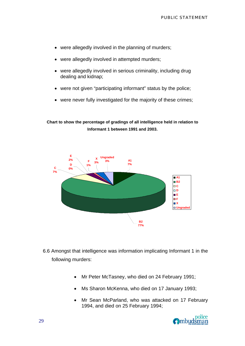- were allegedly involved in the planning of murders;
- were allegedly involved in attempted murders;
- were allegedly involved in serious criminality, including drug dealing and kidnap;
- were not given "participating informant" status by the police;
- were never fully investigated for the majority of these crimes;

**Chart to show the percentage of gradings of all intelligence held in relation to Informant 1 between 1991 and 2003.** 



- 6.6 Amongst that intelligence was information implicating Informant 1 in the following murders:
	- Mr Peter McTasney, who died on 24 February 1991;
	- Ms Sharon McKenna, who died on 17 January 1993;
	- Mr Sean McParland, who was attacked on 17 February 1994, and died on 25 February 1994;

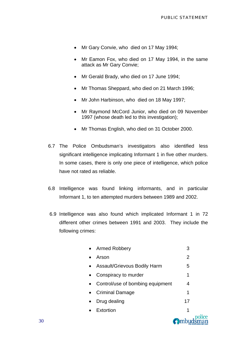- Mr Gary Convie, who died on 17 May 1994;
- Mr Eamon Fox, who died on 17 May 1994, in the same attack as Mr Gary Convie;
- Mr Gerald Brady, who died on 17 June 1994;
- Mr Thomas Sheppard, who died on 21 March 1996;
- Mr John Harbinson, who died on 18 May 1997;
- Mr Raymond McCord Junior, who died on 09 November 1997 (whose death led to this investigation);
- Mr Thomas English, who died on 31 October 2000.
- 6.7 The Police Ombudsman's investigators also identified less significant intelligence implicating Informant 1 in five other murders. In some cases, there is only one piece of intelligence, which police have not rated as reliable.
- 6.8 Intelligence was found linking informants, and in particular Informant 1, to ten attempted murders between 1989 and 2002.
- 6.9 Intelligence was also found which implicated Informant 1 in 72 different other crimes between 1991 and 2003. They include the following crimes:

| Extortion                           | 1  |
|-------------------------------------|----|
| Drug dealing                        | 17 |
| Criminal Damage                     | 1  |
| Control/use of bombing equipment    | 4  |
| Conspiracy to murder                | 1  |
| <b>Assault/Grievous Bodily Harm</b> | 5  |
| Arson                               | 2  |
| <b>Armed Robbery</b>                | 3  |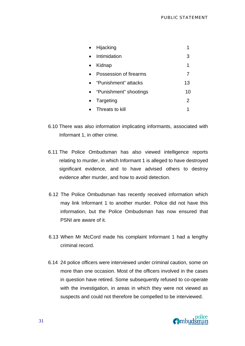|           | Hijacking                |                |
|-----------|--------------------------|----------------|
|           | Intimidation             | 3              |
| $\bullet$ | Kidnap                   | 1              |
|           | Possession of firearms   |                |
|           | • "Punishment" attacks   | 13             |
|           | • "Punishment" shootings | 10             |
|           | Targeting                | $\overline{2}$ |
|           | Threats to kill          |                |

- 6.10 There was also information implicating informants, associated with Informant 1, in other crime.
- 6.11 The Police Ombudsman has also viewed intelligence reports relating to murder, in which Informant 1 is alleged to have destroyed significant evidence, and to have advised others to destroy evidence after murder, and how to avoid detection.
- 6.12 The Police Ombudsman has recently received information which may link Informant 1 to another murder. Police did not have this information, but the Police Ombudsman has now ensured that PSNI are aware of it.
- 6.13 When Mr McCord made his complaint Informant 1 had a lengthy criminal record.
- 6.14 24 police officers were interviewed under criminal caution, some on more than one occasion. Most of the officers involved in the cases in question have retired. Some subsequently refused to co-operate with the investigation, in areas in which they were not viewed as suspects and could not therefore be compelled to be interviewed.

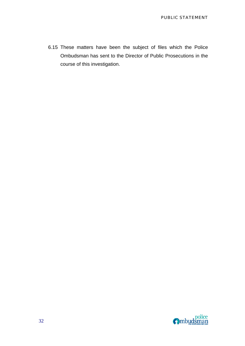6.15 These matters have been the subject of files which the Police Ombudsman has sent to the Director of Public Prosecutions in the course of this investigation.

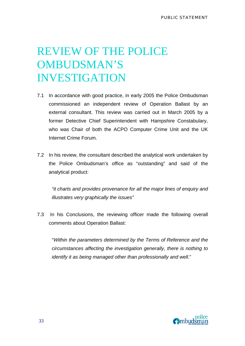# REVIEW OF THE POLICE OMBUDSMAN'S INVESTIGATION

- 7.1 In accordance with good practice, in early 2005 the Police Ombudsman commissioned an independent review of Operation Ballast by an external consultant. This review was carried out in March 2005 by a former Detective Chief Superintendent with Hampshire Constabulary, who was Chair of both the ACPO Computer Crime Unit and the UK Internet Crime Forum.
- 7.2 In his review, the consultant described the analytical work undertaken by the Police Ombudsman's office as "outstanding" and said of the analytical product:

*"it charts and provides provenance for all the major lines of enquiry and illustrates very graphically the issues"* 

7.3 In his Conclusions, the reviewing officer made the following overall comments about Operation Ballast:

"*Within the parameters determined by the Terms of Reference and the circumstances affecting the investigation generally, there is nothing to identify it as being managed other than professionally and well*."

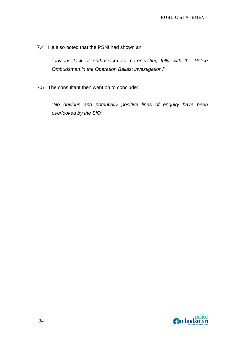7.4 He also noted that the PSNI had shown an:

"*obvious lack of enthusiasm for co-operating fully with the Police Ombudsman in the Operation Ballast investigation*."

7.5 The consultant then went on to conclude:

"*No obvious and potentially positive lines of enquiry have been overlooked by the SIO*".

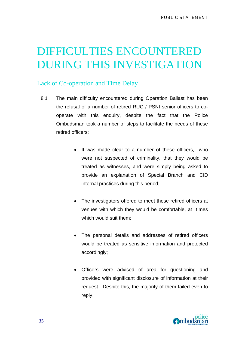# DIFFICULTIES ENCOUNTERED DURING THIS INVESTIGATION

## Lack of Co-operation and Time Delay

- 8.1 The main difficulty encountered during Operation Ballast has been the refusal of a number of retired RUC / PSNI senior officers to cooperate with this enquiry, despite the fact that the Police Ombudsman took a number of steps to facilitate the needs of these retired officers:
	- It was made clear to a number of these officers, who were not suspected of criminality, that they would be treated as witnesses, and were simply being asked to provide an explanation of Special Branch and CID internal practices during this period;
	- The investigators offered to meet these retired officers at venues with which they would be comfortable, at times which would suit them;
	- The personal details and addresses of retired officers would be treated as sensitive information and protected accordingly;
	- Officers were advised of area for questioning and provided with significant disclosure of information at their request. Despite this, the majority of them failed even to reply.

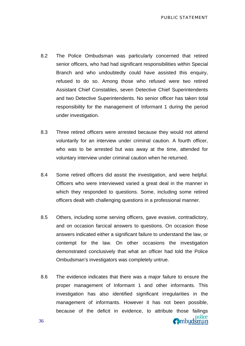- 8.2 The Police Ombudsman was particularly concerned that retired senior officers, who had had significant responsibilities within Special Branch and who undoubtedly could have assisted this enquiry, refused to do so. Among those who refused were two retired Assistant Chief Constables, seven Detective Chief Superintendents and two Detective Superintendents. No senior officer has taken total responsibility for the management of Informant 1 during the period under investigation.
- 8.3 Three retired officers were arrested because they would not attend voluntarily for an interview under criminal caution. A fourth officer, who was to be arrested but was away at the time, attended for voluntary interview under criminal caution when he returned.
- 8.4 Some retired officers did assist the investigation, and were helpful. Officers who were interviewed varied a great deal in the manner in which they responded to questions. Some, including some retired officers dealt with challenging questions in a professional manner.
- 8.5 Others, including some serving officers, gave evasive, contradictory, and on occasion farcical answers to questions. On occasion those answers indicated either a significant failure to understand the law, or contempt for the law. On other occasions the investigation demonstrated conclusively that what an officer had told the Police Ombudsman's investigators was completely untrue.
- 8.6 The evidence indicates that there was a major failure to ensure the proper management of Informant 1 and other informants. This investigation has also identified significant irregularities in the management of informants. However it has not been possible, because of the deficit in evidence, to attribute those failings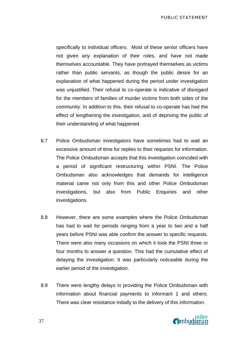specifically to individual officers. Most of these senior officers have not given any explanation of their roles, and have not made themselves accountable. They have portrayed themselves as victims rather than public servants, as though the public desire for an explanation of what happened during the period under investigation was unjustified. Their refusal to co-operate is indicative of disregard for the members of families of murder victims from both sides of the community. In addition to this, their refusal to co-operate has had the effect of lengthening the investigation, and of depriving the public of their understanding of what happened.

- 8.7 Police Ombudsman investigators have sometimes had to wait an excessive amount of time for replies to their requests for information. The Police Ombudsman accepts that this investigation coincided with a period of significant restructuring within PSNI. The Police Ombudsman also acknowledges that demands for intelligence material came not only from this and other Police Ombudsman investigations, but also from Public Enquiries and other investigations.
- 8.8 However, there are some examples where the Police Ombudsman has had to wait for periods ranging from a year to two and a half years before PSNI was able confirm the answer to specific requests. There were also many occasions on which it took the PSNI three or four months to answer a question. This had the cumulative effect of delaying the investigation. It was particularly noticeable during the earlier period of the investigation.
- 8.9 There were lengthy delays in providing the Police Ombudsman with information about financial payments to informant 1 and others. There was clear resistance initially to the delivery of this information.

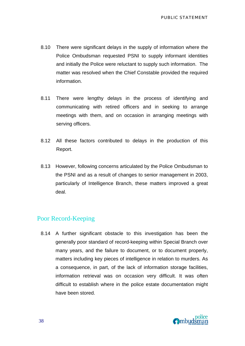- 8.10 There were significant delays in the supply of information where the Police Ombudsman requested PSNI to supply informant identities and initially the Police were reluctant to supply such information. The matter was resolved when the Chief Constable provided the required information.
- 8.11 There were lengthy delays in the process of identifying and communicating with retired officers and in seeking to arrange meetings with them, and on occasion in arranging meetings with serving officers.
- 8.12 All these factors contributed to delays in the production of this Report.
- 8.13 However, following concerns articulated by the Police Ombudsman to the PSNI and as a result of changes to senior management in 2003, particularly of Intelligence Branch, these matters improved a great deal.

### Poor Record-Keeping

8.14 A further significant obstacle to this investigation has been the generally poor standard of record-keeping within Special Branch over many years, and the failure to document, or to document properly, matters including key pieces of intelligence in relation to murders. As a consequence, in part, of the lack of information storage facilities, information retrieval was on occasion very difficult. It was often difficult to establish where in the police estate documentation might have been stored.

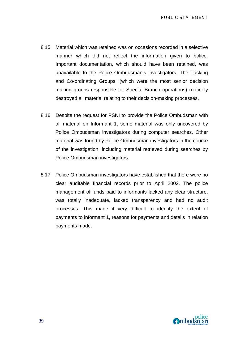- 8.15 Material which was retained was on occasions recorded in a selective manner which did not reflect the information given to police. Important documentation, which should have been retained, was unavailable to the Police Ombudsman's investigators. The Tasking and Co-ordinating Groups, (which were the most senior decision making groups responsible for Special Branch operations) routinely destroyed all material relating to their decision-making processes.
- 8.16 Despite the request for PSNI to provide the Police Ombudsman with all material on Informant 1, some material was only uncovered by Police Ombudsman investigators during computer searches. Other material was found by Police Ombudsman investigators in the course of the investigation, including material retrieved during searches by Police Ombudsman investigators.
- 8.17 Police Ombudsman investigators have established that there were no clear auditable financial records prior to April 2002. The police management of funds paid to informants lacked any clear structure, was totally inadequate, lacked transparency and had no audit processes. This made it very difficult to identify the extent of payments to informant 1, reasons for payments and details in relation payments made.

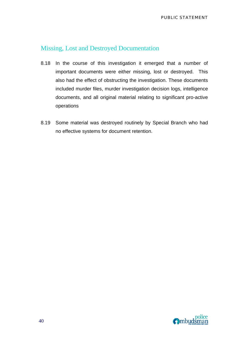## Missing, Lost and Destroyed Documentation

- 8.18 In the course of this investigation it emerged that a number of important documents were either missing, lost or destroyed. This also had the effect of obstructing the investigation. These documents included murder files, murder investigation decision logs, intelligence documents, and all original material relating to significant pro-active operations
- 8.19 Some material was destroyed routinely by Special Branch who had no effective systems for document retention.

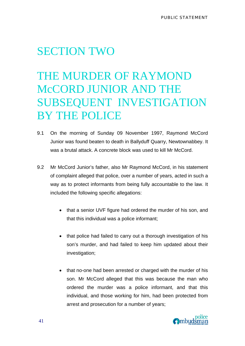## SECTION TWO

# THE MURDER OF RAYMOND McCORD JUNIOR AND THE SUBSEQUENT INVESTIGATION BY THE POLICE

- 9.1 On the morning of Sunday 09 November 1997, Raymond McCord Junior was found beaten to death in Ballyduff Quarry, Newtownabbey. It was a brutal attack. A concrete block was used to kill Mr McCord.
- 9.2 Mr McCord Junior's father, also Mr Raymond McCord, in his statement of complaint alleged that police, over a number of years, acted in such a way as to protect informants from being fully accountable to the law. It included the following specific allegations:
	- that a senior UVF figure had ordered the murder of his son, and that this individual was a police informant;
	- that police had failed to carry out a thorough investigation of his son's murder, and had failed to keep him updated about their investigation;
	- that no-one had been arrested or charged with the murder of his son. Mr McCord alleged that this was because the man who ordered the murder was a police informant, and that this individual, and those working for him, had been protected from arrest and prosecution for a number of years;

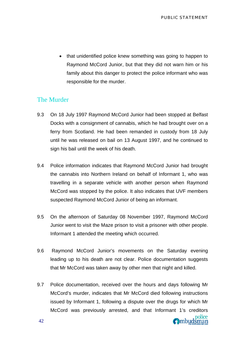• that unidentified police knew something was going to happen to Raymond McCord Junior, but that they did not warn him or his family about this danger to protect the police informant who was responsible for the murder.

### The Murder

- 9.3 On 18 July 1997 Raymond McCord Junior had been stopped at Belfast Docks with a consignment of cannabis, which he had brought over on a ferry from Scotland. He had been remanded in custody from 18 July until he was released on bail on 13 August 1997, and he continued to sign his bail until the week of his death.
- 9.4 Police information indicates that Raymond McCord Junior had brought the cannabis into Northern Ireland on behalf of Informant 1, who was travelling in a separate vehicle with another person when Raymond McCord was stopped by the police. It also indicates that UVF members suspected Raymond McCord Junior of being an informant.
- 9.5 On the afternoon of Saturday 08 November 1997, Raymond McCord Junior went to visit the Maze prison to visit a prisoner with other people. Informant 1 attended the meeting which occurred.
- 9.6 Raymond McCord Junior's movements on the Saturday evening leading up to his death are not clear. Police documentation suggests that Mr McCord was taken away by other men that night and killed.
- 9.7 Police documentation, received over the hours and days following Mr McCord's murder, indicates that Mr McCord died following instructions issued by Informant 1, following a dispute over the drugs for which Mr McCord was previously arrested, and that Informant 1's creditors **O**mbudsman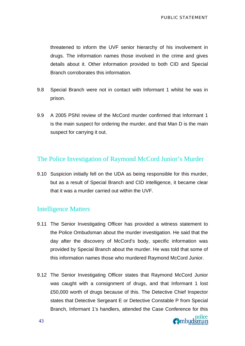threatened to inform the UVF senior hierarchy of his involvement in drugs. The information names those involved in the crime and gives details about it. Other information provided to both CID and Special Branch corroborates this information.

- 9.8 Special Branch were not in contact with Informant 1 whilst he was in prison.
- 9.9 A 2005 PSNI review of the McCord murder confirmed that Informant 1 is the main suspect for ordering the murder, and that Man D is the main suspect for carrying it out.

### The Police Investigation of Raymond McCord Junior's Murder

9.10 Suspicion initially fell on the UDA as being responsible for this murder, but as a result of Special Branch and CID intelligence, it became clear that it was a murder carried out within the UVF.

### Intelligence Matters

- 9.11 The Senior Investigating Officer has provided a witness statement to the Police Ombudsman about the murder investigation. He said that the day after the discovery of McCord's body, specific information was provided by Special Branch about the murder. He was told that some of this information names those who murdered Raymond McCord Junior.
- 9.12 The Senior Investigating Officer states that Raymond McCord Junior was caught with a consignment of drugs, and that Informant 1 lost £50,000 worth of drugs because of this. The Detective Chief Inspector states that Detective Sergeant E or Detective Constable P from Special Branch, Informant 1's handlers, attended the Case Conference for this

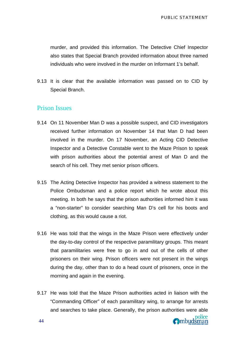murder, and provided this information. The Detective Chief Inspector also states that Special Branch provided information about three named individuals who were involved in the murder on Informant 1's behalf.

9.13 It is clear that the available information was passed on to CID by Special Branch.

### Prison Issues

- 9.14 On 11 November Man D was a possible suspect, and CID investigators received further information on November 14 that Man D had been involved in the murder. On 17 November, an Acting CID Detective Inspector and a Detective Constable went to the Maze Prison to speak with prison authorities about the potential arrest of Man D and the search of his cell. They met senior prison officers.
- 9.15 The Acting Detective Inspector has provided a witness statement to the Police Ombudsman and a police report which he wrote about this meeting. In both he says that the prison authorities informed him it was a "non-starter" to consider searching Man D's cell for his boots and clothing, as this would cause a riot.
- 9.16 He was told that the wings in the Maze Prison were effectively under the day-to-day control of the respective paramilitary groups. This meant that paramilitaries were free to go in and out of the cells of other prisoners on their wing. Prison officers were not present in the wings during the day, other than to do a head count of prisoners, once in the morning and again in the evening.
- 9.17 He was told that the Maze Prison authorities acted in liaison with the "Commanding Officer" of each paramilitary wing, to arrange for arrests and searches to take place. Generally, the prison authorities were able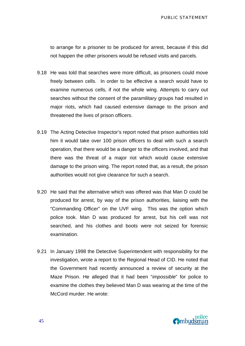to arrange for a prisoner to be produced for arrest, because if this did not happen the other prisoners would be refused visits and parcels.

- 9.18 He was told that searches were more difficult, as prisoners could move freely between cells. In order to be effective a search would have to examine numerous cells, if not the whole wing. Attempts to carry out searches without the consent of the paramilitary groups had resulted in major riots, which had caused extensive damage to the prison and threatened the lives of prison officers.
- 9.19 The Acting Detective Inspector's report noted that prison authorities told him it would take over 100 prison officers to deal with such a search operation, that there would be a danger to the officers involved, and that there was the threat of a major riot which would cause extensive damage to the prison wing. The report noted that, as a result, the prison authorities would not give clearance for such a search.
- 9.20 He said that the alternative which was offered was that Man D could be produced for arrest, by way of the prison authorities, liaising with the "Commanding Officer" on the UVF wing. This was the option which police took. Man D was produced for arrest, but his cell was not searched, and his clothes and boots were not seized for forensic examination.
- 9.21 In January 1998 the Detective Superintendent with responsibility for the investigation, wrote a report to the Regional Head of CID. He noted that the Government had recently announced a review of security at the Maze Prison. He alleged that it had been "*impossible*" for police to examine the clothes they believed Man D was wearing at the time of the McCord murder. He wrote:

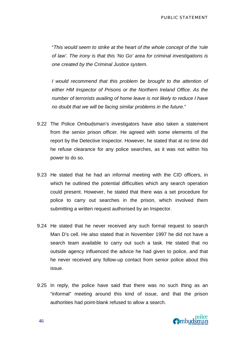"*This would seem to strike at the heart of the whole concept of the 'rule of law'. The irony is that this 'No Go' area for criminal investigations is one created by the Criminal Justice system.* 

*I would recommend that this problem be brought to the attention of either HM Inspector of Prisons or the Northern Ireland Office. As the number of terrorists availing of home leave is not likely to reduce I have no doubt that we will be facing similar problems in the future.*"

- 9.22 The Police Ombudsman's investigators have also taken a statement from the senior prison officer. He agreed with some elements of the report by the Detective Inspector. However, he stated that at no time did he refuse clearance for any police searches, as it was not within his power to do so.
- 9.23 He stated that he had an informal meeting with the CID officers, in which he outlined the potential difficulties which any search operation could present. However, he stated that there was a set procedure for police to carry out searches in the prison, which involved them submitting a written request authorised by an Inspector.
- 9.24 He stated that he never received any such formal request to search Man D's cell. He also stated that in November 1997 he did not have a search team available to carry out such a task. He stated that no outside agency influenced the advice he had given to police, and that he never received any follow-up contact from senior police about this issue.
- 9.25 In reply, the police have said that there was no such thing as an "informal" meeting around this kind of issue, and that the prison authorities had point-blank refused to allow a search.

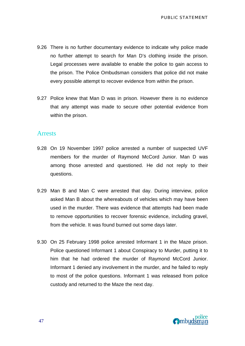- 9.26 There is no further documentary evidence to indicate why police made no further attempt to search for Man D's clothing inside the prison. Legal processes were available to enable the police to gain access to the prison. The Police Ombudsman considers that police did not make every possible attempt to recover evidence from within the prison.
- 9.27 Police knew that Man D was in prison. However there is no evidence that any attempt was made to secure other potential evidence from within the prison.

#### Arrests

- 9.28 On 19 November 1997 police arrested a number of suspected UVF members for the murder of Raymond McCord Junior. Man D was among those arrested and questioned. He did not reply to their questions.
- 9.29 Man B and Man C were arrested that day. During interview, police asked Man B about the whereabouts of vehicles which may have been used in the murder. There was evidence that attempts had been made to remove opportunities to recover forensic evidence, including gravel, from the vehicle. It was found burned out some days later.
- 9.30 On 25 February 1998 police arrested Informant 1 in the Maze prison. Police questioned Informant 1 about Conspiracy to Murder, putting it to him that he had ordered the murder of Raymond McCord Junior. Informant 1 denied any involvement in the murder, and he failed to reply to most of the police questions. Informant 1 was released from police custody and returned to the Maze the next day.

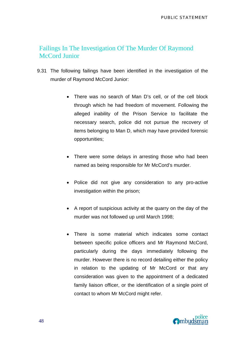## Failings In The Investigation Of The Murder Of Raymond McCord Junior

- 9.31 The following failings have been identified in the investigation of the murder of Raymond McCord Junior:
	- There was no search of Man D's cell, or of the cell block through which he had freedom of movement. Following the alleged inability of the Prison Service to facilitate the necessary search, police did not pursue the recovery of items belonging to Man D, which may have provided forensic opportunities;
	- There were some delays in arresting those who had been named as being responsible for Mr McCord's murder.
	- Police did not give any consideration to any pro-active investigation within the prison;
	- A report of suspicious activity at the quarry on the day of the murder was not followed up until March 1998;
	- There is some material which indicates some contact between specific police officers and Mr Raymond McCord, particularly during the days immediately following the murder. However there is no record detailing either the policy in relation to the updating of Mr McCord or that any consideration was given to the appointment of a dedicated family liaison officer, or the identification of a single point of contact to whom Mr McCord might refer.

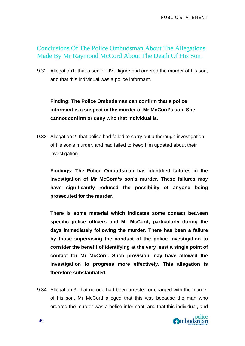PUBLIC STATEMENT

### Conclusions Of The Police Ombudsman About The Allegations Made By Mr Raymond McCord About The Death Of His Son

9.32 Allegation1: that a senior UVF figure had ordered the murder of his son, and that this individual was a police informant.

**Finding: The Police Ombudsman can confirm that a police informant is a suspect in the murder of Mr McCord's son. She cannot confirm or deny who that individual is.** 

9.33 Allegation 2: that police had failed to carry out a thorough investigation of his son's murder, and had failed to keep him updated about their investigation.

**Findings: The Police Ombudsman has identified failures in the investigation of Mr McCord's son's murder. These failures may have significantly reduced the possibility of anyone being prosecuted for the murder.** 

**There is some material which indicates some contact between specific police officers and Mr McCord, particularly during the days immediately following the murder. There has been a failure by those supervising the conduct of the police investigation to consider the benefit of identifying at the very least a single point of contact for Mr McCord. Such provision may have allowed the investigation to progress more effectively. This allegation is therefore substantiated.** 

9.34 Allegation 3: that no-one had been arrested or charged with the murder of his son. Mr McCord alleged that this was because the man who ordered the murder was a police informant, and that this individual, and

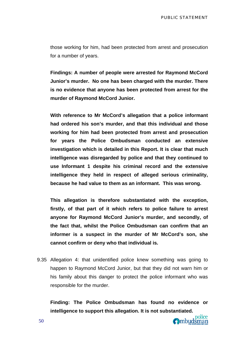those working for him, had been protected from arrest and prosecution for a number of years.

**Findings: A number of people were arrested for Raymond McCord Junior's murder. No one has been charged with the murder. There is no evidence that anyone has been protected from arrest for the murder of Raymond McCord Junior.** 

**With reference to Mr McCord's allegation that a police informant had ordered his son's murder, and that this individual and those working for him had been protected from arrest and prosecution for years the Police Ombudsman conducted an extensive investigation which is detailed in this Report. It is clear that much intelligence was disregarded by police and that they continued to use Informant 1 despite his criminal record and the extensive intelligence they held in respect of alleged serious criminality, because he had value to them as an informant. This was wrong.** 

**This allegation is therefore substantiated with the exception, firstly, of that part of it which refers to police failure to arrest anyone for Raymond McCord Junior's murder, and secondly, of the fact that, whilst the Police Ombudsman can confirm that an informer is a suspect in the murder of Mr McCord's son, she cannot confirm or deny who that individual is.** 

9.35 Allegation 4: that unidentified police knew something was going to happen to Raymond McCord Junior, but that they did not warn him or his family about this danger to protect the police informant who was responsible for the murder.

**Finding: The Police Ombudsman has found no evidence or intelligence to support this allegation. It is not substantiated.**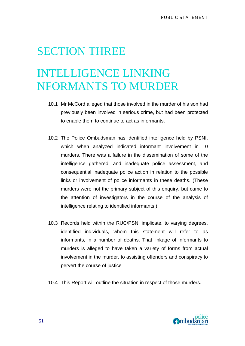# SECTION THREE

# INTELLIGENCE LINKING NFORMANTS TO MURDER

- 10.1 Mr McCord alleged that those involved in the murder of his son had previously been involved in serious crime, but had been protected to enable them to continue to act as informants.
- 10.2 The Police Ombudsman has identified intelligence held by PSNI, which when analyzed indicated informant involvement in 10 murders. There was a failure in the dissemination of some of the intelligence gathered, and inadequate police assessment, and consequential inadequate police action in relation to the possible links or involvement of police informants in these deaths. (These murders were not the primary subject of this enquiry, but came to the attention of investigators in the course of the analysis of intelligence relating to identified informants.)
- 10.3 Records held within the RUC/PSNI implicate, to varying degrees, identified individuals, whom this statement will refer to as informants, in a number of deaths. That linkage of informants to murders is alleged to have taken a variety of forms from actual involvement in the murder, to assisting offenders and conspiracy to pervert the course of justice
- 10.4 This Report will outline the situation in respect of those murders.

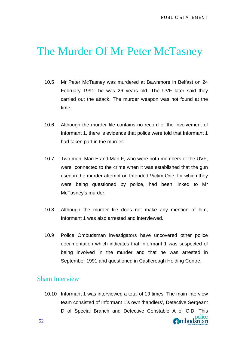## The Murder Of Mr Peter McTasney

- 10.5 Mr Peter McTasney was murdered at Bawnmore in Belfast on 24 February 1991; he was 26 years old. The UVF later said they carried out the attack. The murder weapon was not found at the time.
- 10.6 Although the murder file contains no record of the involvement of Informant 1, there is evidence that police were told that Informant 1 had taken part in the murder.
- 10.7 Two men, Man E and Man F, who were both members of the UVF, were connected to the crime when it was established that the gun used in the murder attempt on Intended Victim One, for which they were being questioned by police, had been linked to Mr McTasney's murder.
- 10.8 Although the murder file does not make any mention of him, Informant 1 was also arrested and interviewed.
- 10.9 Police Ombudsman investigators have uncovered other police documentation which indicates that Informant 1 was suspected of being involved in the murder and that he was arrested in September 1991 and questioned in Castlereagh Holding Centre.

### Sham Interview

10.10 Informant 1 was interviewed a total of 19 times. The main interview team consisted of Informant 1's own 'handlers', Detective Sergeant D of Special Branch and Detective Constable A of CID. This **O**mbudsman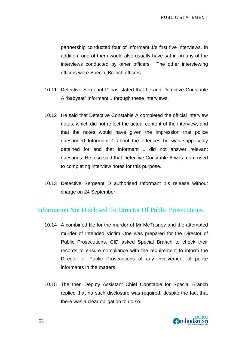partnership conducted four of Informant 1's first five interviews. In addition, one of them would also usually have sat in on any of the interviews conducted by other officers. The other interviewing officers were Special Branch officers.

- 10.11 Detective Sergeant D has stated that he and Detective Constable A "babysat" Informant 1 through these interviews.
- 10.12 He said that Detective Constable A completed the official interview notes, which did not reflect the actual content of the interview, and that the notes would have given the impression that police questioned Informant 1 about the offences he was supposedly detained for and that Informant 1 did not answer relevant questions. He also said that Detective Constable A was more used to completing interview notes for this purpose.
- 10.13 Detective Sergeant D authorised Informant 1's release without charge on 24 September.

### Information Not Disclosed To Director Of Public Prosecutions.

- 10.14 A combined file for the murder of Mr McTasney and the attempted murder of Intended Victim One was prepared for the Director of Public Prosecutions. CID asked Special Branch to check their records to ensure compliance with the requirement to inform the Director of Public Prosecutions of any involvement of police informants in the matters.
- 10.15 The then Deputy Assistant Chief Constable for Special Branch replied that no such disclosure was required, despite the fact that there was a clear obligation to do so.

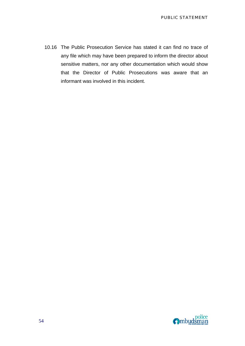10.16 The Public Prosecution Service has stated it can find no trace of any file which may have been prepared to inform the director about sensitive matters, nor any other documentation which would show that the Director of Public Prosecutions was aware that an informant was involved in this incident.

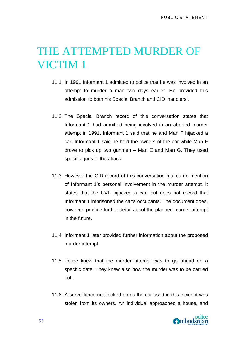## THE ATTEMPTED MURDER OF VICTIM 1

- 11.1 In 1991 Informant 1 admitted to police that he was involved in an attempt to murder a man two days earlier. He provided this admission to both his Special Branch and CID 'handlers'.
- 11.2 The Special Branch record of this conversation states that Informant 1 had admitted being involved in an aborted murder attempt in 1991. Informant 1 said that he and Man F hijacked a car. Informant 1 said he held the owners of the car while Man F drove to pick up two gunmen – Man E and Man G. They used specific guns in the attack.
- 11.3 However the CID record of this conversation makes no mention of Informant 1's personal involvement in the murder attempt. It states that the UVF hijacked a car, but does not record that Informant 1 imprisoned the car's occupants. The document does, however, provide further detail about the planned murder attempt in the future.
- 11.4 Informant 1 later provided further information about the proposed murder attempt.
- 11.5 Police knew that the murder attempt was to go ahead on a specific date. They knew also how the murder was to be carried out.
- 11.6 A surveillance unit looked on as the car used in this incident was stolen from its owners. An individual approached a house, and

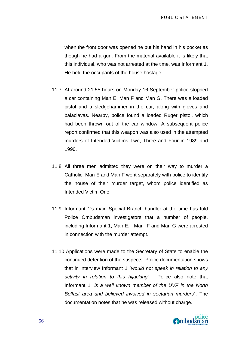PUBLIC STATEMENT

when the front door was opened he put his hand in his pocket as though he had a gun. From the material available it is likely that this individual, who was not arrested at the time, was Informant 1. He held the occupants of the house hostage.

- 11.7 At around 21:55 hours on Monday 16 September police stopped a car containing Man E, Man F and Man G. There was a loaded pistol and a sledgehammer in the car, along with gloves and balaclavas. Nearby, police found a loaded Ruger pistol, which had been thrown out of the car window. A subsequent police report confirmed that this weapon was also used in the attempted murders of Intended Victims Two, Three and Four in 1989 and 1990.
- 11.8 All three men admitted they were on their way to murder a Catholic. Man E and Man F went separately with police to identify the house of their murder target, whom police identified as Intended Victim One.
- 11.9 Informant 1's main Special Branch handler at the time has told Police Ombudsman investigators that a number of people, including Informant 1, Man E, Man F and Man G were arrested in connection with the murder attempt.
- 11.10 Applications were made to the Secretary of State to enable the continued detention of the suspects. Police documentation shows that in interview Informant 1 *"would not speak in relation to any activity in relation to this hijacking*". Police also note that Informant 1 "*is a well known member of the UVF in the North Belfast area and believed involved in sectarian murders*". The documentation notes that he was released without charge.

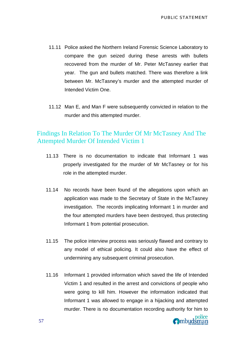- 11.11 Police asked the Northern Ireland Forensic Science Laboratory to compare the gun seized during these arrests with bullets recovered from the murder of Mr. Peter McTasney earlier that year. The gun and bullets matched. There was therefore a link between Mr. McTasney's murder and the attempted murder of Intended Victim One.
- 11.12 Man E, and Man F were subsequently convicted in relation to the murder and this attempted murder.

## Findings In Relation To The Murder Of Mr McTasney And The Attempted Murder Of Intended Victim 1

- 11.13 There is no documentation to indicate that Informant 1 was properly investigated for the murder of Mr McTasney or for his role in the attempted murder.
- 11.14 No records have been found of the allegations upon which an application was made to the Secretary of State in the McTasney investigation. The records implicating Informant 1 in murder and the four attempted murders have been destroyed, thus protecting Informant 1 from potential prosecution.
- 11.15 The police interview process was seriously flawed and contrary to any model of ethical policing. It could also have the effect of undermining any subsequent criminal prosecution.
- 11.16 Informant 1 provided information which saved the life of Intended Victim 1 and resulted in the arrest and convictions of people who were going to kill him. However the information indicated that Informant 1 was allowed to engage in a hijacking and attempted murder. There is no documentation recording authority for him to

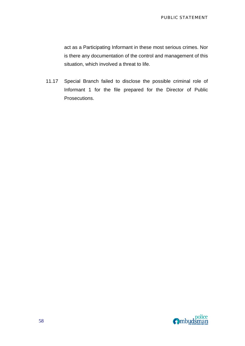act as a Participating Informant in these most serious crimes. Nor is there any documentation of the control and management of this situation, which involved a threat to life.

11.17 Special Branch failed to disclose the possible criminal role of Informant 1 for the file prepared for the Director of Public Prosecutions.

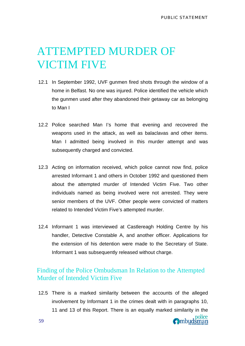# ATTEMPTED MURDER OF VICTIM FIVE

- 12.1 In September 1992, UVF gunmen fired shots through the window of a home in Belfast. No one was injured. Police identified the vehicle which the gunmen used after they abandoned their getaway car as belonging to Man I
- 12.2 Police searched Man I's home that evening and recovered the weapons used in the attack, as well as balaclavas and other items. Man I admitted being involved in this murder attempt and was subsequently charged and convicted.
- 12.3 Acting on information received, which police cannot now find, police arrested Informant 1 and others in October 1992 and questioned them about the attempted murder of Intended Victim Five. Two other individuals named as being involved were not arrested. They were senior members of the UVF. Other people were convicted of matters related to Intended Victim Five's attempted murder.
- 12.4 Informant 1 was interviewed at Castlereagh Holding Centre by his handler, Detective Constable A, and another officer. Applications for the extension of his detention were made to the Secretary of State. Informant 1 was subsequently released without charge.

## Finding of the Police Ombudsman In Relation to the Attempted Murder of Intended Victim Five

12.5 There is a marked similarity between the accounts of the alleged involvement by Informant 1 in the crimes dealt with in paragraphs 10, 11 and 13 of this Report. There is an equally marked similarity in the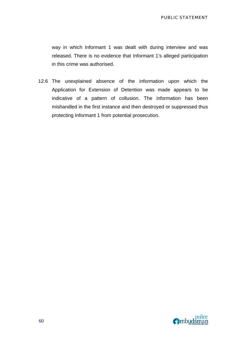way in which Informant 1 was dealt with during interview and was released. There is no evidence that Informant 1's alleged participation in this crime was authorised.

12.6 The unexplained absence of the information upon which the Application for Extension of Detention was made appears to be indicative of a pattern of collusion. The information has been mishandled in the first instance and then destroyed or suppressed thus protecting Informant 1 from potential prosecution.

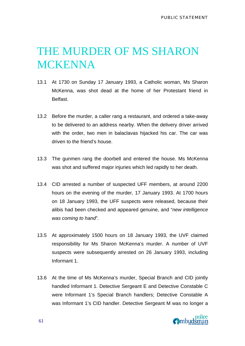# THE MURDER OF MS SHARON **MCKENNA**

- 13.1 At 1730 on Sunday 17 January 1993, a Catholic woman, Ms Sharon McKenna, was shot dead at the home of her Protestant friend in Belfast.
- 13.2 Before the murder, a caller rang a restaurant, and ordered a take-away to be delivered to an address nearby. When the delivery driver arrived with the order, two men in balaclavas hijacked his car. The car was driven to the friend's house.
- 13.3 The gunmen rang the doorbell and entered the house. Ms McKenna was shot and suffered major injuries which led rapidly to her death.
- 13.4 CID arrested a number of suspected UFF members, at around 2200 hours on the evening of the murder, 17 January 1993. At 1700 hours on 18 January 1993, the UFF suspects were released, because their alibis had been checked and appeared genuine, and "*new intelligence was coming to hand*".
- 13.5 At approximately 1500 hours on 18 January 1993, the UVF claimed responsibility for Ms Sharon McKenna's murder. A number of UVF suspects were subsequently arrested on 26 January 1993, including Informant 1.
- 13.6 At the time of Ms McKenna's murder, Special Branch and CID jointly handled Informant 1. Detective Sergeant E and Detective Constable C were Informant 1's Special Branch handlers; Detective Constable A was Informant 1's CID handler. Detective Sergeant M was no longer a

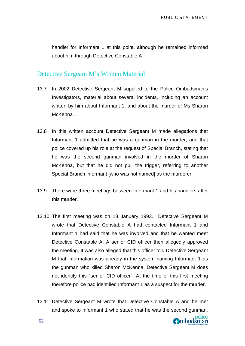handler for Informant 1 at this point, although he remained informed about him through Detective Constable A

### Detective Sergeant M's Written Material

- 13.7 In 2002 Detective Sergeant M supplied to the Police Ombudsman's Investigators, material about several incidents, including an account written by him about Informant 1, and about the murder of Ms Sharon McKenna .
- 13.8 In this written account Detective Sergeant M made allegations that Informant 1 admitted that he was a gunman in the murder, and that police covered up his role at the request of Special Branch, stating that he was the second gunman involved in the murder of Sharon McKenna, but that he did not pull the trigger, referring to another Special Branch informant [who was not named] as the murderer.
- 13.9 There were three meetings between Informant 1 and his handlers after this murder.
- 13.10 The first meeting was on 18 January 1993. Detective Sergeant M wrote that Detective Constable A had contacted Informant 1 and Informant 1 had said that he was involved and that he wanted meet Detective Constable A. A senior CID officer then allegedly approved the meeting. It was also alleged that this officer told Detective Sergeant M that information was already in the system naming Informant 1 as the gunman who killed Sharon McKenna. Detective Sergeant M does not identify this "senior CID officer". At the time of this first meeting therefore police had identified Informant 1 as a suspect for the murder.
- 13.11 Detective Sergeant M wrote that Detective Constable A and he met and spoke to Informant 1 who stated that he was the second gunman.

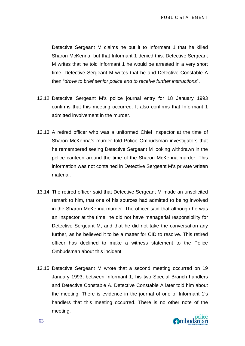PUBLIC STATEMENT

Detective Sergeant M claims he put it to Informant 1 that he killed Sharon McKenna, but that Informant 1 denied this. Detective Sergeant M writes that he told Informant 1 he would be arrested in a very short time. Detective Sergeant M writes that he and Detective Constable A then "*drove to brief senior police and to receive further instructions*".

- 13.12 Detective Sergeant M's police journal entry for 18 January 1993 confirms that this meeting occurred. It also confirms that Informant 1 admitted involvement in the murder.
- 13.13 A retired officer who was a uniformed Chief Inspector at the time of Sharon McKenna's murder told Police Ombudsman investigators that he remembered seeing Detective Sergeant M looking withdrawn in the police canteen around the time of the Sharon McKenna murder. This information was not contained in Detective Sergeant M's private written material.
- 13.14 The retired officer said that Detective Sergeant M made an unsolicited remark to him, that one of his sources had admitted to being involved in the Sharon McKenna murder. The officer said that although he was an Inspector at the time, he did not have managerial responsibility for Detective Sergeant M, and that he did not take the conversation any further, as he believed it to be a matter for CID to resolve. This retired officer has declined to make a witness statement to the Police Ombudsman about this incident.
- 13.15 Detective Sergeant M wrote that a second meeting occurred on 19 January 1993, between Informant 1, his two Special Branch handlers and Detective Constable A. Detective Constable A later told him about the meeting. There is evidence in the journal of one of Informant 1's handlers that this meeting occurred. There is no other note of the meeting.

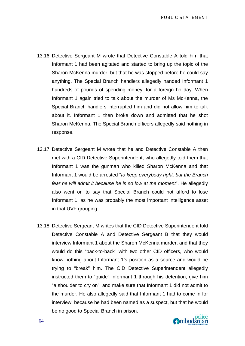- 13.16 Detective Sergeant M wrote that Detective Constable A told him that Informant 1 had been agitated and started to bring up the topic of the Sharon McKenna murder, but that he was stopped before he could say anything. The Special Branch handlers allegedly handed Informant 1 hundreds of pounds of spending money, for a foreign holiday. When Informant 1 again tried to talk about the murder of Ms McKenna, the Special Branch handlers interrupted him and did not allow him to talk about it. Informant 1 then broke down and admitted that he shot Sharon McKenna. The Special Branch officers allegedly said nothing in response.
- 13.17 Detective Sergeant M wrote that he and Detective Constable A then met with a CID Detective Superintendent, who allegedly told them that Informant 1 was the gunman who killed Sharon McKenna and that Informant 1 would be arrested "*to keep everybody right, but the Branch fear he will admit it because he is so low at the moment*". He allegedly also went on to say that Special Branch could not afford to lose Informant 1, as he was probably the most important intelligence asset in that UVF grouping.
- 13.18 Detective Sergeant M writes that the CID Detective Superintendent told Detective Constable A and Detective Sergeant B that they would interview Informant 1 about the Sharon McKenna murder, and that they would do this "back-to-back" with two other CID officers, who would know nothing about Informant 1's position as a source and would be trying to "break" him. The CID Detective Superintendent allegedly instructed them to "guide" Informant 1 through his detention, give him "a shoulder to cry on", and make sure that Informant 1 did not admit to the murder. He also allegedly said that Informant 1 had to come in for interview, because he had been named as a suspect, but that he would be no good to Special Branch in prison.

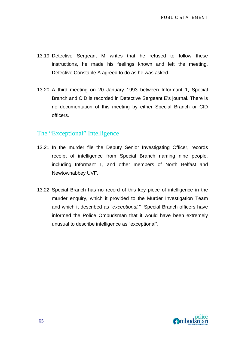- 13.19 Detective Sergeant M writes that he refused to follow these instructions, he made his feelings known and left the meeting. Detective Constable A agreed to do as he was asked.
- 13.20 A third meeting on 20 January 1993 between Informant 1, Special Branch and CID is recorded in Detective Sergeant E's journal. There is no documentation of this meeting by either Special Branch or CID officers.

### The "Exceptional" Intelligence

- 13.21 In the murder file the Deputy Senior Investigating Officer, records receipt of intelligence from Special Branch naming nine people, including Informant 1, and other members of North Belfast and Newtownabbey UVF.
- 13.22 Special Branch has no record of this key piece of intelligence in the murder enquiry, which it provided to the Murder Investigation Team and which it described as "*exceptional."* Special Branch officers have informed the Police Ombudsman that it would have been extremely unusual to describe intelligence as "exceptional".

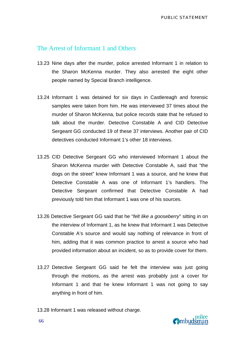### The Arrest of Informant 1 and Others

- 13.23 Nine days after the murder, police arrested Informant 1 in relation to the Sharon McKenna murder. They also arrested the eight other people named by Special Branch intelligence.
- 13.24 Informant 1 was detained for six days in Castlereagh and forensic samples were taken from him. He was interviewed 37 times about the murder of Sharon McKenna, but police records state that he refused to talk about the murder. Detective Constable A and CID Detective Sergeant GG conducted 19 of these 37 interviews. Another pair of CID detectives conducted Informant 1's other 18 interviews.
- 13.25 CID Detective Sergeant GG who interviewed Informant 1 about the Sharon McKenna murder with Detective Constable A, said that "the dogs on the street" knew Informant 1 was a source, and he knew that Detective Constable A was one of Informant 1's handlers. The Detective Sergeant confirmed that Detective Constable A had previously told him that Informant 1 was one of his sources.
- 13.26 Detective Sergeant GG said that he "*felt like a gooseberry*" sitting in on the interview of Informant 1, as he knew that Informant 1 was Detective Constable A's source and would say nothing of relevance in front of him, adding that it was common practice to arrest a source who had provided information about an incident, so as to provide cover for them.
- 13.27 Detective Sergeant GG said he felt the interview was just going through the motions, as the arrest was probably just a cover for Informant 1 and that he knew Informant 1 was not going to say anything in front of him.
- 13.28 Informant 1 was released without charge.

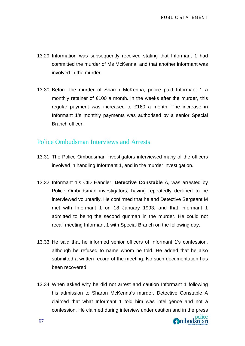- 13.29 Information was subsequently received stating that Informant 1 had committed the murder of Ms McKenna, and that another informant was involved in the murder.
- 13.30 Before the murder of Sharon McKenna, police paid Informant 1 a monthly retainer of £100 a month. In the weeks after the murder, this regular payment was increased to £160 a month. The increase in Informant 1's monthly payments was authorised by a senior Special Branch officer.

### Police Ombudsman Interviews and Arrests

- 13.31 The Police Ombudsman investigators interviewed many of the officers involved in handling Informant 1, and in the murder investigation.
- 13.32 Informant 1's CID Handler, **Detective Constable** A, was arrested by Police Ombudsman investigators, having repeatedly declined to be interviewed voluntarily. He confirmed that he and Detective Sergeant M met with Informant 1 on 18 January 1993, and that Informant 1 admitted to being the second gunman in the murder. He could not recall meeting Informant 1 with Special Branch on the following day.
- 13.33 He said that he informed senior officers of Informant 1's confession, although he refused to name whom he told. He added that he also submitted a written record of the meeting. No such documentation has been recovered.
- 13.34 When asked why he did not arrest and caution Informant 1 following his admission to Sharon McKenna's murder, Detective Constable A claimed that what Informant 1 told him was intelligence and not a confession. He claimed during interview under caution and in the press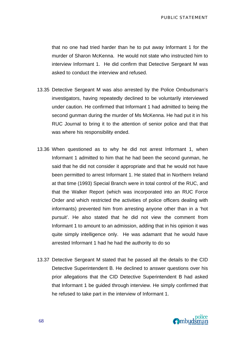that no one had tried harder than he to put away Informant 1 for the murder of Sharon McKenna. He would not state who instructed him to interview Informant 1. He did confirm that Detective Sergeant M was asked to conduct the interview and refused.

- 13.35 Detective Sergeant M was also arrested by the Police Ombudsman's investigators, having repeatedly declined to be voluntarily interviewed under caution. He confirmed that Informant 1 had admitted to being the second gunman during the murder of Ms McKenna. He had put it in his RUC Journal to bring it to the attention of senior police and that that was where his responsibility ended.
- 13.36 When questioned as to why he did not arrest Informant 1, when Informant 1 admitted to him that he had been the second gunman, he said that he did not consider it appropriate and that he would not have been permitted to arrest Informant 1. He stated that in Northern Ireland at that time (1993) Special Branch were in total control of the RUC, and that the Walker Report (which was incorporated into an RUC Force Order and which restricted the activities of police officers dealing with informants) prevented him from arresting anyone other than in a 'hot pursuit'. He also stated that he did not view the comment from Informant 1 to amount to an admission, adding that in his opinion it was quite simply intelligence only. He was adamant that he would have arrested Informant 1 had he had the authority to do so
- 13.37 Detective Sergeant M stated that he passed all the details to the CID Detective Superintendent B. He declined to answer questions over his prior allegations that the CID Detective Superintendent B had asked that Informant 1 be guided through interview. He simply confirmed that he refused to take part in the interview of Informant 1.

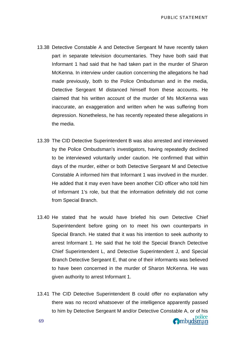- 13.38 Detective Constable A and Detective Sergeant M have recently taken part in separate television documentaries. They have both said that Informant 1 had said that he had taken part in the murder of Sharon McKenna. In interview under caution concerning the allegations he had made previously, both to the Police Ombudsman and in the media, Detective Sergeant M distanced himself from these accounts. He claimed that his written account of the murder of Ms McKenna was inaccurate, an exaggeration and written when he was suffering from depression. Nonetheless, he has recently repeated these allegations in the media.
- 13.39 The CID Detective Superintendent B was also arrested and interviewed by the Police Ombudsman's investigators, having repeatedly declined to be interviewed voluntarily under caution. He confirmed that within days of the murder, either or both Detective Sergeant M and Detective Constable A informed him that Informant 1 was involved in the murder. He added that it may even have been another CID officer who told him of Informant 1's role, but that the information definitely did not come from Special Branch.
- 13.40 He stated that he would have briefed his own Detective Chief Superintendent before going on to meet his own counterparts in Special Branch. He stated that it was his intention to seek authority to arrest Informant 1. He said that he told the Special Branch Detective Chief Superintendent L, and Detective Superintendent J, and Special Branch Detective Sergeant E, that one of their informants was believed to have been concerned in the murder of Sharon McKenna. He was given authority to arrest Informant 1.
- 13.41 The CID Detective Superintendent B could offer no explanation why there was no record whatsoever of the intelligence apparently passed to him by Detective Sergeant M and/or Detective Constable A, or of his **O**mbudsman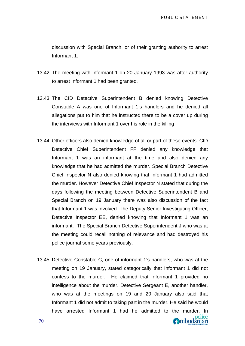discussion with Special Branch, or of their granting authority to arrest Informant 1.

- 13.42 The meeting with Informant 1 on 20 January 1993 was after authority to arrest Informant 1 had been granted.
- 13.43 The CID Detective Superintendent B denied knowing Detective Constable A was one of Informant 1's handlers and he denied all allegations put to him that he instructed there to be a cover up during the interviews with Informant 1 over his role in the killing
- 13.44 Other officers also denied knowledge of all or part of these events. CID Detective Chief Superintendent FF denied any knowledge that Informant 1 was an informant at the time and also denied any knowledge that he had admitted the murder. Special Branch Detective Chief Inspector N also denied knowing that Informant 1 had admitted the murder. However Detective Chief Inspector N stated that during the days following the meeting between Detective Superintendent B and Special Branch on 19 January there was also discussion of the fact that Informant 1 was involved. The Deputy Senior Investigating Officer, Detective Inspector EE, denied knowing that Informant 1 was an informant. The Special Branch Detective Superintendent J who was at the meeting could recall nothing of relevance and had destroyed his police journal some years previously.
- 13.45 Detective Constable C, one of informant 1's handlers, who was at the meeting on 19 January, stated categorically that Informant 1 did not confess to the murder. He claimed that Informant 1 provided no intelligence about the murder. Detective Sergeant E, another handler, who was at the meetings on 19 and 20 January also said that Informant 1 did not admit to taking part in the murder. He said he would have arrested Informant 1 had he admitted to the murder. In police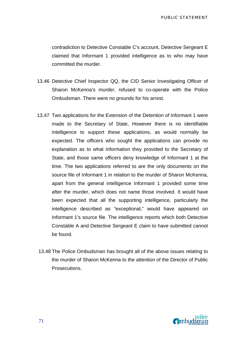contradiction to Detective Constable C's account, Detective Sergeant E claimed that Informant 1 provided intelligence as to who may have committed the murder.

- 13.46 Detective Chief Inspector QQ, the CID Senior Investigating Officer of Sharon McKenna's murder, refused to co-operate with the Police Ombudsman. There were no grounds for his arrest.
- 13.47 Two applications for the Extension of the Detention of Informant 1 were made to the Secretary of State, However there is no identifiable intelligence to support these applications, as would normally be expected. The officers who sought the applications can provide no explanation as to what information they provided to the Secretary of State, and those same officers deny knowledge of Informant 1 at the time. The two applications referred to are the only documents on the source file of Informant 1 in relation to the murder of Sharon McKenna, apart from the general intelligence Informant 1 provided some time after the murder, which does not name those involved. It would have been expected that all the supporting intelligence, particularly the intelligence described as "exceptional," would have appeared on Informant 1's source file. The intelligence reports which both Detective Constable A and Detective Sergeant E claim to have submitted cannot be found.
- 13.48 The Police Ombudsman has brought all of the above issues relating to the murder of Sharon McKenna to the attention of the Director of Public Prosecutions.

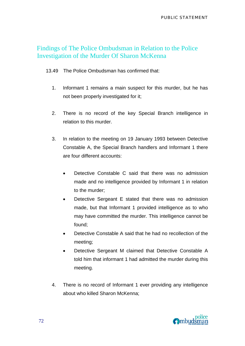### Findings of The Police Ombudsman in Relation to the Police Investigation of the Murder Of Sharon McKenna

13.49 The Police Ombudsman has confirmed that:

- 1. Informant 1 remains a main suspect for this murder, but he has not been properly investigated for it;
- 2. There is no record of the key Special Branch intelligence in relation to this murder.
- 3. In relation to the meeting on 19 January 1993 between Detective Constable A, the Special Branch handlers and Informant 1 there are four different accounts:
	- Detective Constable C said that there was no admission made and no intelligence provided by Informant 1 in relation to the murder;
	- Detective Sergeant E stated that there was no admission made, but that Informant 1 provided intelligence as to who may have committed the murder. This intelligence cannot be found;
	- Detective Constable A said that he had no recollection of the meeting;
	- Detective Sergeant M claimed that Detective Constable A told him that informant 1 had admitted the murder during this meeting.
- 4. There is no record of Informant 1 ever providing any intelligence about who killed Sharon McKenna;

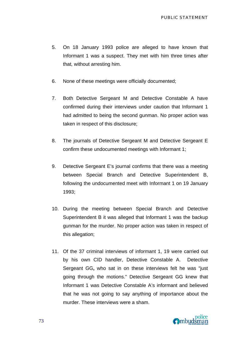- 5. On 18 January 1993 police are alleged to have known that Informant 1 was a suspect. They met with him three times after that, without arresting him.
- 6. None of these meetings were officially documented;
- 7. Both Detective Sergeant M and Detective Constable A have confirmed during their interviews under caution that Informant 1 had admitted to being the second gunman. No proper action was taken in respect of this disclosure;
- 8. The journals of Detective Sergeant M and Detective Sergeant E confirm these undocumented meetings with Informant 1;
- 9. Detective Sergeant E's journal confirms that there was a meeting between Special Branch and Detective Superintendent B, following the undocumented meet with Informant 1 on 19 January 1993;
- 10. During the meeting between Special Branch and Detective Superintendent B it was alleged that Informant 1 was the backup gunman for the murder. No proper action was taken in respect of this allegation;
- 11. Of the 37 criminal interviews of informant 1, 19 were carried out by his own CID handler, Detective Constable A. Detective Sergeant GG**,** who sat in on these interviews felt he was "just going through the motions." Detective Sergeant GG knew that Informant 1 was Detective Constable A's informant and believed that he was not going to say anything of importance about the murder. These interviews were a sham.

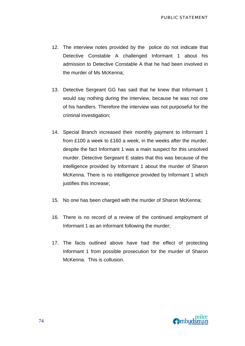- 12. The interview notes provided by the police do not indicate that Detective Constable A challenged Informant 1 about his admission to Detective Constable A that he had been involved in the murder of Ms McKenna;
- 13. Detective Sergeant GG has said that he knew that Informant 1 would say nothing during the interview, because he was not one of his handlers. Therefore the interview was not purposeful for the criminal investigation;
- 14. Special Branch increased their monthly payment to Informant 1 from £100 a week to £160 a week, in the weeks after the murder, despite the fact Informant 1 was a main suspect for this unsolved murder. Detective Sergeant E states that this was because of the intelligence provided by Informant 1 about the murder of Sharon McKenna. There is no intelligence provided by Informant 1 which justifies this increase;
- 15. No one has been charged with the murder of Sharon McKenna;
- 16. There is no record of a review of the continued employment of Informant 1 as an informant following the murder;
- 17. The facts outlined above have had the effect of protecting Informant 1 from possible prosecution for the murder of Sharon McKenna. This is collusion.

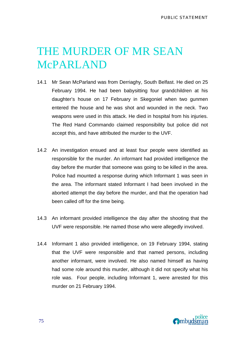## THE MURDER OF MR SEAN McPARLAND

- 14.1 Mr Sean McParland was from Derriaghy, South Belfast. He died on 25 February 1994. He had been babysitting four grandchildren at his daughter's house on 17 February in Skegoniel when two gunmen entered the house and he was shot and wounded in the neck. Two weapons were used in this attack. He died in hospital from his injuries. The Red Hand Commando claimed responsibility but police did not accept this, and have attributed the murder to the UVF.
- 14.2 An investigation ensued and at least four people were identified as responsible for the murder. An informant had provided intelligence the day before the murder that someone was going to be killed in the area. Police had mounted a response during which Informant 1 was seen in the area. The informant stated Informant I had been involved in the aborted attempt the day before the murder, and that the operation had been called off for the time being.
- 14.3 An informant provided intelligence the day after the shooting that the UVF were responsible. He named those who were allegedly involved.
- 14.4 Informant 1 also provided intelligence, on 19 February 1994, stating that the UVF were responsible and that named persons, including another informant, were involved. He also named himself as having had some role around this murder, although it did not specify what his role was. Four people, including Informant 1, were arrested for this murder on 21 February 1994.

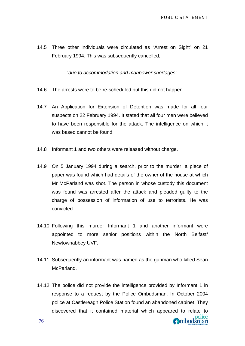Ombudsman

14.5 Three other individuals were circulated as "Arrest on Sight" on 21 February 1994. This was subsequently cancelled,

"*due to accommodation and manpower shortages"* 

- 14.6 The arrests were to be re-scheduled but this did not happen.
- 14.7 An Application for Extension of Detention was made for all four suspects on 22 February 1994. It stated that all four men were believed to have been responsible for the attack. The intelligence on which it was based cannot be found.
- 14.8 Informant 1 and two others were released without charge.
- 14.9 On 5 January 1994 during a search, prior to the murder, a piece of paper was found which had details of the owner of the house at which Mr McParland was shot. The person in whose custody this document was found was arrested after the attack and pleaded guilty to the charge of possession of information of use to terrorists. He was convicted.
- 14.10 Following this murder Informant 1 and another informant were appointed to more senior positions within the North Belfast/ Newtownabbey UVF.
- 14.11 Subsequently an informant was named as the gunman who killed Sean McParland.
- 14.12 The police did not provide the intelligence provided by Informant 1 in response to a request by the Police Ombudsman. In October 2004 police at Castlereagh Police Station found an abandoned cabinet. They discovered that it contained material which appeared to relate to police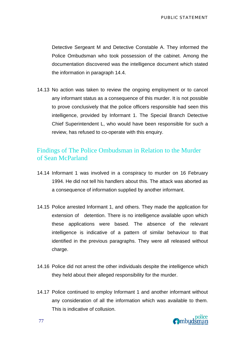Detective Sergeant M and Detective Constable A. They informed the Police Ombudsman who took possession of the cabinet. Among the documentation discovered was the intelligence document which stated the information in paragraph 14.4.

14.13 No action was taken to review the ongoing employment or to cancel any informant status as a consequence of this murder. It is not possible to prove conclusively that the police officers responsible had seen this intelligence, provided by Informant 1. The Special Branch Detective Chief Superintendent L, who would have been responsible for such a review, has refused to co-operate with this enquiry.

### Findings of The Police Ombudsman in Relation to the Murder of Sean McParland

- 14.14 Informant 1 was involved in a conspiracy to murder on 16 February 1994. He did not tell his handlers about this. The attack was aborted as a consequence of information supplied by another informant.
- 14.15 Police arrested Informant 1, and others. They made the application for extension of detention. There is no intelligence available upon which these applications were based. The absence of the relevant intelligence is indicative of a pattern of similar behaviour to that identified in the previous paragraphs. They were all released without charge.
- 14.16 Police did not arrest the other individuals despite the intelligence which they held about their alleged responsibility for the murder.
- 14.17 Police continued to employ Informant 1 and another informant without any consideration of all the information which was available to them. This is indicative of collusion.

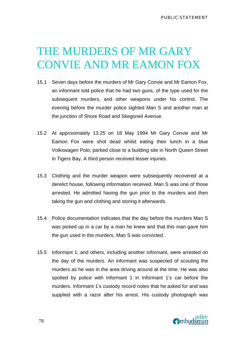# THE MURDERS OF MR GARY CONVIE AND MR EAMON FOX

- 15.1 Seven days before the murders of Mr Gary Convie and Mr Eamon Fox, an informant told police that he had two guns, of the type used for the subsequent murders, and other weapons under his control**.** The evening before the murder police sighted Man S and another man at the junction of Shore Road and Skegoneil Avenue.
- 15.2 At approximately 13.25 on 18 May 1994 Mr Gary Convie and Mr Eamon Fox were shot dead whilst eating their lunch in a blue Volkswagen Polo, parked close to a building site in North Queen Street in Tigers Bay. A third person received lesser injuries.
- 15.3 Clothing and the murder weapon were subsequently recovered at a derelict house, following information received. Man S was one of those arrested. He admitted having the gun prior to the murders and then taking the gun and clothing and storing it afterwards.
- 15.4 Police documentation indicates that the day before the murders Man S was picked up in a car by a man he knew and that this man gave him the gun used in the murders. Man S was convicted.
- 15.5 Informant 1, and others, including another informant, were arrested on the day of the murders. An informant was suspected of scouting the murders as he was in the area driving around at the time. He was also spotted by police with Informant 1 in Informant 1's car before the murders. Informant 1's custody record notes that he asked for and was supplied with a razor after his arrest. His custody photograph was

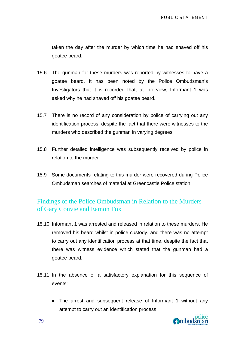taken the day after the murder by which time he had shaved off his goatee beard.

- 15.6 The gunman for these murders was reported by witnesses to have a goatee beard. It has been noted by the Police Ombudsman's Investigators that it is recorded that, at interview, Informant 1 was asked why he had shaved off his goatee beard.
- 15.7 There is no record of any consideration by police of carrying out any identification process, despite the fact that there were witnesses to the murders who described the gunman in varying degrees.
- 15.8 Further detailed intelligence was subsequently received by police in relation to the murder
- 15.9 Some documents relating to this murder were recovered during Police Ombudsman searches of material at Greencastle Police station.

### Findings of the Police Ombudsman in Relation to the Murders of Gary Convie and Eamon Fox

- 15.10 Informant 1 was arrested and released in relation to these murders. He removed his beard whilst in police custody, and there was no attempt to carry out any identification process at that time, despite the fact that there was witness evidence which stated that the gunman had a goatee beard.
- 15.11 In the absence of a satisfactory explanation for this sequence of events:
	- The arrest and subsequent release of Informant 1 without any attempt to carry out an identification process,

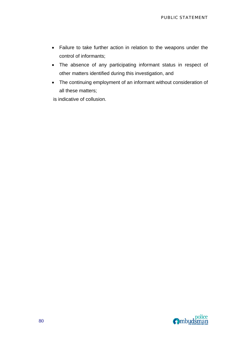- Failure to take further action in relation to the weapons under the control of informants;
- The absence of any participating informant status in respect of other matters identified during this investigation, and
- The continuing employment of an informant without consideration of all these matters;

is indicative of collusion.

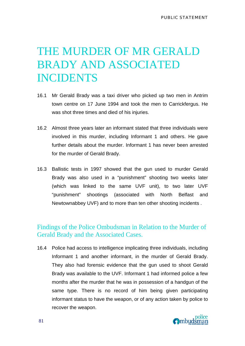# THE MURDER OF MR GERALD BRADY AND ASSOCIATED INCIDENTS

- 16.1 Mr Gerald Brady was a taxi driver who picked up two men in Antrim town centre on 17 June 1994 and took the men to Carrickfergus. He was shot three times and died of his injuries.
- 16.2 Almost three years later an informant stated that three individuals were involved in this murder, including Informant 1 and others. He gave further details about the murder. Informant 1 has never been arrested for the murder of Gerald Brady.
- 16.3 Ballistic tests in 1997 showed that the gun used to murder Gerald Brady was also used in a "punishment" shooting two weeks later (which was linked to the same UVF unit), to two later UVF "punishment" shootings (associated with North Belfast and Newtownabbey UVF) and to more than ten other shooting incidents .

### Findings of the Police Ombudsman in Relation to the Murder of Gerald Brady and the Associated Cases.

16.4 Police had access to intelligence implicating three individuals, including Informant 1 and another informant, in the murder of Gerald Brady. They also had forensic evidence that the gun used to shoot Gerald Brady was available to the UVF. Informant 1 had informed police a few months after the murder that he was in possession of a handgun of the same type. There is no record of him being given participating informant status to have the weapon, or of any action taken by police to recover the weapon.

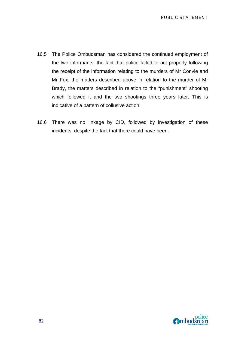- 16.5 The Police Ombudsman has considered the continued employment of the two informants, the fact that police failed to act properly following the receipt of the information relating to the murders of Mr Convie and Mr Fox, the matters described above in relation to the murder of Mr Brady, the matters described in relation to the "punishment" shooting which followed it and the two shootings three years later. This is indicative of a pattern of collusive action.
- 16.6 There was no linkage by CID, followed by investigation of these incidents, despite the fact that there could have been.

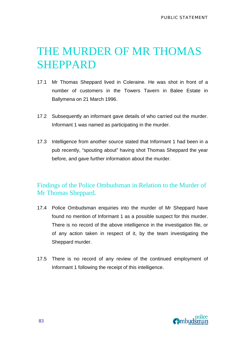## THE MURDER OF MR THOMAS SHEPPARD

- 17.1 Mr Thomas Sheppard lived in Coleraine. He was shot in front of a number of customers in the Towers Tavern in Balee Estate in Ballymena on 21 March 1996.
- 17.2 Subsequently an informant gave details of who carried out the murder. Informant 1 was named as participating in the murder.
- 17.3 Intelligence from another source stated that Informant 1 had been in a pub recently, "spouting about" having shot Thomas Sheppard the year before, and gave further information about the murder.

### Findings of the Police Ombudsman in Relation to the Murder of Mr Thomas Sheppard.

- 17.4 Police Ombudsman enquiries into the murder of Mr Sheppard have found no mention of Informant 1 as a possible suspect for this murder. There is no record of the above intelligence in the investigation file, or of any action taken in respect of it, by the team investigating the Sheppard murder.
- 17.5 There is no record of any review of the continued employment of Informant 1 following the receipt of this intelligence.

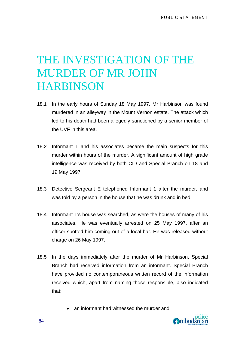### THE INVESTIGATION OF THE MURDER OF MR JOHN **HARBINSON**

- 18.1 In the early hours of Sunday 18 May 1997, Mr Harbinson was found murdered in an alleyway in the Mount Vernon estate. The attack which led to his death had been allegedly sanctioned by a senior member of the UVF in this area.
- 18.2 Informant 1 and his associates became the main suspects for this murder within hours of the murder. A significant amount of high grade intelligence was received by both CID and Special Branch on 18 and 19 May 1997
- 18.3 Detective Sergeant E telephoned Informant 1 after the murder, and was told by a person in the house that he was drunk and in bed.
- 18.4 Informant 1's house was searched, as were the houses of many of his associates. He was eventually arrested on 25 May 1997, after an officer spotted him coming out of a local bar. He was released without charge on 26 May 1997.
- 18.5 In the days immediately after the murder of Mr Harbinson, Special Branch had received information from an informant. Special Branch have provided no contemporaneous written record of the information received which, apart from naming those responsible, also indicated that:
	- an informant had witnessed the murder and

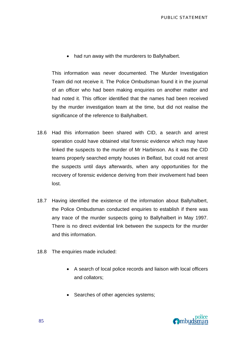• had run away with the murderers to Ballyhalbert.

This information was never documented. The Murder Investigation Team did not receive it. The Police Ombudsman found it in the journal of an officer who had been making enquiries on another matter and had noted it. This officer identified that the names had been received by the murder investigation team at the time, but did not realise the significance of the reference to Ballyhalbert.

- 18.6 Had this information been shared with CID, a search and arrest operation could have obtained vital forensic evidence which may have linked the suspects to the murder of Mr Harbinson. As it was the CID teams properly searched empty houses in Belfast, but could not arrest the suspects until days afterwards, when any opportunities for the recovery of forensic evidence deriving from their involvement had been lost.
- 18.7 Having identified the existence of the information about Ballyhalbert, the Police Ombudsman conducted enquiries to establish if there was any trace of the murder suspects going to Ballyhalbert in May 1997. There is no direct evidential link between the suspects for the murder and this information.
- 18.8 The enquiries made included:
	- A search of local police records and liaison with local officers and collators;
	- Searches of other agencies systems;

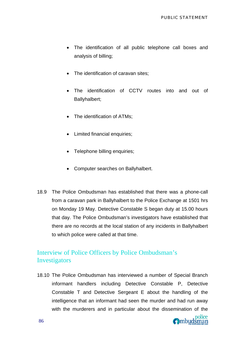- The identification of all public telephone call boxes and analysis of billing;
- The identification of caravan sites;
- The identification of CCTV routes into and out of Ballyhalbert;
- The identification of ATMs:
- Limited financial enquiries:
- Telephone billing enquiries;
- Computer searches on Ballyhalbert.
- 18.9 The Police Ombudsman has established that there was a phone-call from a caravan park in Ballyhalbert to the Police Exchange at 1501 hrs on Monday 19 May. Detective Constable S began duty at 15.00 hours that day. The Police Ombudsman's investigators have established that there are no records at the local station of any incidents in Ballyhalbert to which police were called at that time.

### Interview of Police Officers by Police Ombudsman's **Investigators**

18.10 The Police Ombudsman has interviewed a number of Special Branch informant handlers including Detective Constable P, Detective Constable T and Detective Sergeant E about the handling of the intelligence that an informant had seen the murder and had run away with the murderers and in particular about the dissemination of the

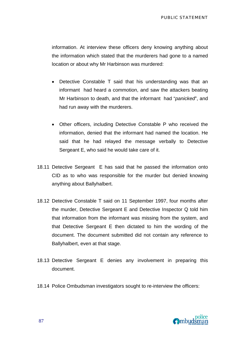information. At interview these officers deny knowing anything about the information which stated that the murderers had gone to a named location or about why Mr Harbinson was murdered:

- Detective Constable T said that his understanding was that an informant had heard a commotion, and saw the attackers beating Mr Harbinson to death, and that the informant had "*panicked*", and had run away with the murderers.
- Other officers, including Detective Constable P who received the information, denied that the informant had named the location. He said that he had relayed the message verbally to Detective Sergeant E, who said he would take care of it.
- 18.11 Detective Sergeant E has said that he passed the information onto CID as to who was responsible for the murder but denied knowing anything about Ballyhalbert.
- 18.12 Detective Constable T said on 11 September 1997, four months after the murder, Detective Sergeant E and Detective Inspector Q told him that information from the informant was missing from the system, and that Detective Sergeant E then dictated to him the wording of the document. The document submitted did not contain any reference to Ballyhalbert, even at that stage.
- 18.13 Detective Sergeant E denies any involvement in preparing this document.
- 18.14 Police Ombudsman investigators sought to re-interview the officers:

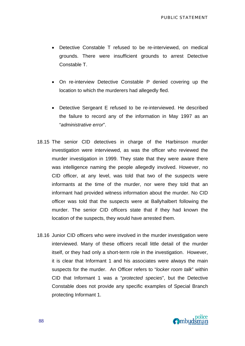- Detective Constable T refused to be re-interviewed, on medical grounds. There were insufficient grounds to arrest Detective Constable T.
- On re-interview Detective Constable P denied covering up the location to which the murderers had allegedly fled.
- Detective Sergeant E refused to be re-interviewed. He described the failure to record any of the information in May 1997 as an "*administrative error*".
- 18.15 The senior CID detectives in charge of the Harbinson murder investigation were interviewed, as was the officer who reviewed the murder investigation in 1999. They state that they were aware there was intelligence naming the people allegedly involved. However, no CID officer, at any level, was told that two of the suspects were informants at the time of the murder, nor were they told that an informant had provided witness information about the murder. No CID officer was told that the suspects were at Ballyhalbert following the murder. The senior CID officers state that if they had known the location of the suspects, they would have arrested them.
- 18.16 Junior CID officers who were involved in the murder investigation were interviewed. Many of these officers recall little detail of the murder itself, or they had only a short-term role in the investigation. However, it is clear that Informant 1 and his associates were always the main suspects for the murder. An Officer refers to "*locker room talk*" within CID that Informant 1 was a "*protected species*", but the Detective Constable does not provide any specific examples of Special Branch protecting Informant 1.

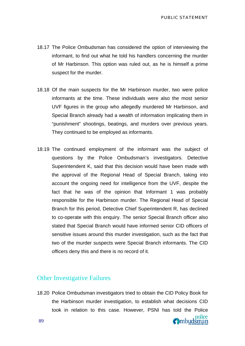- 18.17 The Police Ombudsman has considered the option of interviewing the informant, to find out what he told his handlers concerning the murder of Mr Harbinson. This option was ruled out, as he is himself a prime suspect for the murder.
- 18.18 Of the main suspects for the Mr Harbinson murder, two were police informants at the time. These individuals were also the most senior UVF figures in the group who allegedly murdered Mr Harbinson, and Special Branch already had a wealth of information implicating them in "punishment" shootings, beatings, and murders over previous years. They continued to be employed as informants.
- 18.19 The continued employment of the informant was the subject of questions by the Police Ombudsman's investigators. Detective Superintendent K, said that this decision would have been made with the approval of the Regional Head of Special Branch, taking into account the ongoing need for intelligence from the UVF, despite the fact that he was of the opinion that Informant 1 was probably responsible for the Harbinson murder. The Regional Head of Special Branch for this period, Detective Chief Superintendent R, has declined to co-operate with this enquiry. The senior Special Branch officer also stated that Special Branch would have informed senior CID officers of sensitive issues around this murder investigation, such as the fact that two of the murder suspects were Special Branch informants. The CID officers deny this and there is no record of it.

#### Other Investigative Failures

18.20 Police Ombudsman investigators tried to obtain the CID Policy Book for the Harbinson murder investigation, to establish what decisions CID took in relation to this case. However, PSNI has told the Police **O**mbudsman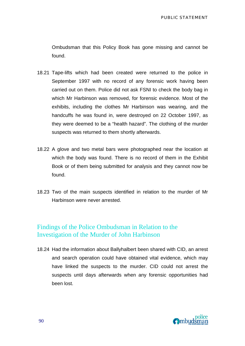Ombudsman that this Policy Book has gone missing and cannot be found.

- 18.21 Tape-lifts which had been created were returned to the police in September 1997 with no record of any forensic work having been carried out on them. Police did not ask FSNI to check the body bag in which Mr Harbinson was removed, for forensic evidence. Most of the exhibits, including the clothes Mr Harbinson was wearing, and the handcuffs he was found in, were destroyed on 22 October 1997, as they were deemed to be a "health hazard". The clothing of the murder suspects was returned to them shortly afterwards.
- 18.22 A glove and two metal bars were photographed near the location at which the body was found. There is no record of them in the Exhibit Book or of them being submitted for analysis and they cannot now be found.
- 18.23 Two of the main suspects identified in relation to the murder of Mr Harbinson were never arrested.

#### Findings of the Police Ombudsman in Relation to the Investigation of the Murder of John Harbinson

18.24 Had the information about Ballyhalbert been shared with CID, an arrest and search operation could have obtained vital evidence, which may have linked the suspects to the murder. CID could not arrest the suspects until days afterwards when any forensic opportunities had been lost.

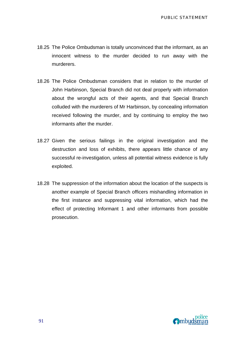- 18.25 The Police Ombudsman is totally unconvinced that the informant, as an innocent witness to the murder decided to run away with the murderers.
- 18.26 The Police Ombudsman considers that in relation to the murder of John Harbinson, Special Branch did not deal properly with information about the wrongful acts of their agents, and that Special Branch colluded with the murderers of Mr Harbinson, by concealing information received following the murder, and by continuing to employ the two informants after the murder.
- 18.27 Given the serious failings in the original investigation and the destruction and loss of exhibits, there appears little chance of any successful re-investigation, unless all potential witness evidence is fully exploited.
- 18.28 The suppression of the information about the location of the suspects is another example of Special Branch officers mishandling information in the first instance and suppressing vital information, which had the effect of protecting Informant 1 and other informants from possible prosecution.

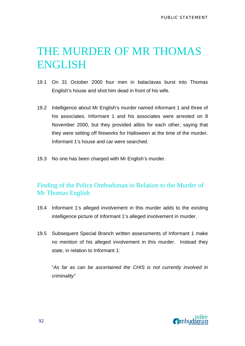# THE MURDER OF MR THOMAS ENGLISH

- 19.1 On 31 October 2000 four men in balaclavas burst into Thomas English's house and shot him dead in front of his wife.
- 19.2 Intelligence about Mr English's murder named informant 1 and three of his associates. Informant 1 and his associates were arrested on 8 November 2000, but they provided alibis for each other, saying that they were setting off fireworks for Halloween at the time of the murder. Informant 1's house and car were searched.
- 19.3 No one has been charged with Mr English's murder.

### Finding of the Police Ombudsman in Relation to the Murder of Mr Thomas English

- 19.4 Informant 1's alleged involvement in this murder adds to the existing intelligence picture of Informant 1's alleged involvement in murder.
- 19.5 Subsequent Special Branch written assessments of Informant 1 make no mention of his alleged involvement in this murder. Instead they state, in relation to Informant 1:

"*As far as can be ascertained the CHIS is not currently involved in criminality"*

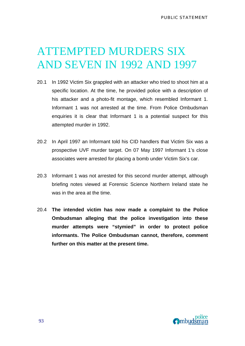## ATTEMPTED MURDERS SIX AND SEVEN IN 1992 AND 1997

- 20.1 In 1992 Victim Six grappled with an attacker who tried to shoot him at a specific location. At the time, he provided police with a description of his attacker and a photo-fit montage, which resembled Informant 1. Informant 1 was not arrested at the time. From Police Ombudsman enquiries it is clear that Informant 1 is a potential suspect for this attempted murder in 1992.
- 20.2 In April 1997 an Informant told his CID handlers that Victim Six was a prospective UVF murder target. On 07 May 1997 Informant 1's close associates were arrested for placing a bomb under Victim Six's car.
- 20.3 Informant 1 was not arrested for this second murder attempt, although briefing notes viewed at Forensic Science Northern Ireland state he was in the area at the time.
- 20.4 **The intended victim has now made a complaint to the Police Ombudsman alleging that the police investigation into these murder attempts were "stymied" in order to protect police informants. The Police Ombudsman cannot, therefore, comment further on this matter at the present time.**

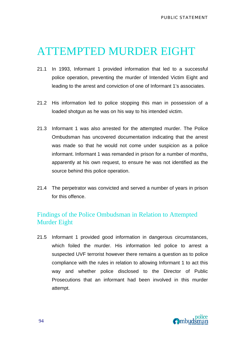## ATTEMPTED MURDER EIGHT

- 21.1 In 1993, Informant 1 provided information that led to a successful police operation, preventing the murder of Intended Victim Eight and leading to the arrest and conviction of one of Informant 1's associates.
- 21.2 His information led to police stopping this man in possession of a loaded shotgun as he was on his way to his intended victim.
- 21.3 Informant 1 was also arrested for the attempted murder. The Police Ombudsman has uncovered documentation indicating that the arrest was made so that he would not come under suspicion as a police informant. Informant 1 was remanded in prison for a number of months, apparently at his own request, to ensure he was not identified as the source behind this police operation.
- 21.4 The perpetrator was convicted and served a number of years in prison for this offence.

### Findings of the Police Ombudsman in Relation to Attempted Murder Eight

21.5 Informant 1 provided good information in dangerous circumstances, which foiled the murder. His information led police to arrest a suspected UVF terrorist however there remains a question as to police compliance with the rules in relation to allowing Informant 1 to act this way and whether police disclosed to the Director of Public Prosecutions that an informant had been involved in this murder attempt.

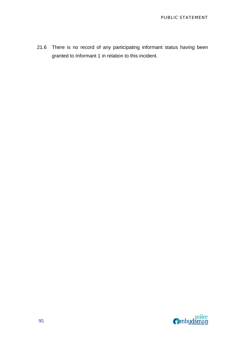21.6 There is no record of any participating informant status having been granted to Informant 1 in relation to this incident.

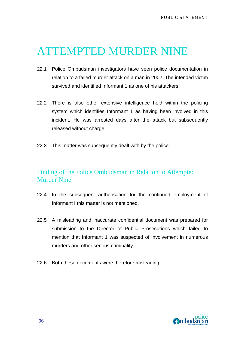### ATTEMPTED MURDER NINE

- 22.1 Police Ombudsman investigators have seen police documentation in relation to a failed murder attack on a man in 2002. The intended victim survived and identified Informant 1 as one of his attackers.
- 22.2 There is also other extensive intelligence held within the policing system which identifies Informant 1 as having been involved in this incident. He was arrested days after the attack but subsequently released without charge.
- 22.3 This matter was subsequently dealt with by the police.

### Finding of the Police Ombudsman in Relation to Attempted Murder Nine

- 22.4 In the subsequent authorisation for the continued employment of Informant I this matter is not mentioned.
- 22.5 A misleading and inaccurate confidential document was prepared for submission to the Director of Public Prosecutions which failed to mention that Informant 1 was suspected of involvement in numerous murders and other serious criminality.
- 22.6 Both these documents were therefore misleading.

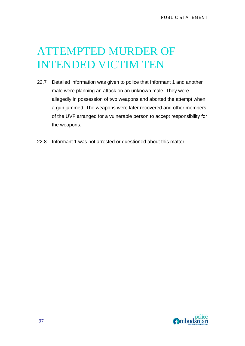# ATTEMPTED MURDER OF INTENDED VICTIM TEN

- 22.7 Detailed information was given to police that Informant 1 and another male were planning an attack on an unknown male. They were allegedly in possession of two weapons and aborted the attempt when a gun jammed. The weapons were later recovered and other members of the UVF arranged for a vulnerable person to accept responsibility for the weapons.
- 22.8 Informant 1 was not arrested or questioned about this matter.

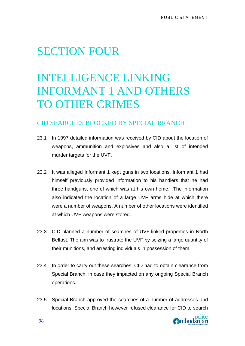### SECTION FOUR

# INTELLIGENCE LINKING INFORMANT 1 AND OTHERS TO OTHER CRIMES

### CID SEARCHES BLOCKED BY SPECIAL BRANCH

- 23.1 In 1997 detailed information was received by CID about the location of weapons, ammunition and explosives and also a list of intended murder targets for the UVF.
- 23.2 It was alleged Informant 1 kept guns in two locations. Informant 1 had himself previously provided information to his handlers that he had three handguns, one of which was at his own home. The information also indicated the location of a large UVF arms hide at which there were a number of weapons. A number of other locations were identified at which UVF weapons were stored.
- 23.3 CID planned a number of searches of UVF-linked properties in North Belfast. The aim was to frustrate the UVF by seizing a large quantity of their munitions, and arresting individuals in possession of them.
- 23.4 In order to carry out these searches, CID had to obtain clearance from Special Branch, in case they impacted on any ongoing Special Branch operations.
- 23.5 Special Branch approved the searches of a number of addresses and locations. Special Branch however refused clearance for CID to search

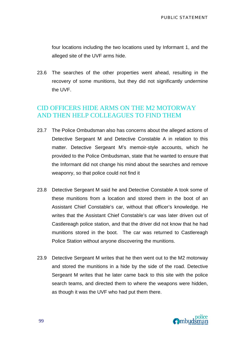four locations including the two locations used by Informant 1, and the alleged site of the UVF arms hide.

23.6 The searches of the other properties went ahead, resulting in the recovery of some munitions, but they did not significantly undermine the UVF.

### CID OFFICERS HIDE ARMS ON THE M2 MOTORWAY AND THEN HELP COLLEAGUES TO FIND THEM

- 23.7 The Police Ombudsman also has concerns about the alleged actions of Detective Sergeant M and Detective Constable A in relation to this matter. Detective Sergeant M's memoir-style accounts, which he provided to the Police Ombudsman, state that he wanted to ensure that the Informant did not change his mind about the searches and remove weaponry, so that police could not find it
- 23.8 Detective Sergeant M said he and Detective Constable A took some of these munitions from a location and stored them in the boot of an Assistant Chief Constable's car, without that officer's knowledge. He writes that the Assistant Chief Constable's car was later driven out of Castlereagh police station, and that the driver did not know that he had munitions stored in the boot. The car was returned to Castlereagh Police Station without anyone discovering the munitions.
- 23.9 Detective Sergeant M writes that he then went out to the M2 motorway and stored the munitions in a hide by the side of the road. Detective Sergeant M writes that he later came back to this site with the police search teams, and directed them to where the weapons were hidden, as though it was the UVF who had put them there.

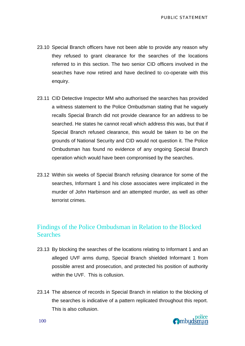- 23.10 Special Branch officers have not been able to provide any reason why they refused to grant clearance for the searches of the locations referred to in this section. The two senior CID officers involved in the searches have now retired and have declined to co-operate with this enquiry.
- 23.11 CID Detective Inspector MM who authorised the searches has provided a witness statement to the Police Ombudsman stating that he vaguely recalls Special Branch did not provide clearance for an address to be searched. He states he cannot recall which address this was, but that if Special Branch refused clearance, this would be taken to be on the grounds of National Security and CID would not question it. The Police Ombudsman has found no evidence of any ongoing Special Branch operation which would have been compromised by the searches.
- 23.12 Within six weeks of Special Branch refusing clearance for some of the searches, Informant 1 and his close associates were implicated in the murder of John Harbinson and an attempted murder, as well as other terrorist crimes.

#### Findings of the Police Ombudsman in Relation to the Blocked **Searches**

- 23.13 By blocking the searches of the locations relating to Informant 1 and an alleged UVF arms dump, Special Branch shielded Informant 1 from possible arrest and prosecution, and protected his position of authority within the UVF. This is collusion.
- 23.14 The absence of records in Special Branch in relation to the blocking of the searches is indicative of a pattern replicated throughout this report. This is also collusion.

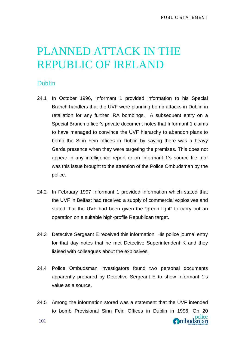### PLANNED ATTACK IN THE REPUBLIC OF IRELAND

#### Dublin

- 24.1 In October 1996, Informant 1 provided information to his Special Branch handlers that the UVF were planning bomb attacks in Dublin in retaliation for any further IRA bombings. A subsequent entry on a Special Branch officer's private document notes that Informant 1 claims to have managed to convince the UVF hierarchy to abandon plans to bomb the Sinn Fein offices in Dublin by saying there was a heavy Garda presence when they were targeting the premises. This does not appear in any intelligence report or on Informant 1's source file, nor was this issue brought to the attention of the Police Ombudsman by the police.
- 24.2 In February 1997 Informant 1 provided information which stated that the UVF in Belfast had received a supply of commercial explosives and stated that the UVF had been given the "green light" to carry out an operation on a suitable high-profile Republican target.
- 24.3 Detective Sergeant E received this information. His police journal entry for that day notes that he met Detective Superintendent K and they liaised with colleagues about the explosives.
- 24.4 Police Ombudsman investigators found two personal documents apparently prepared by Detective Sergeant E to show Informant 1's value as a source.
- 24.5 Among the information stored was a statement that the UVF intended to bomb Provisional Sinn Fein Offices in Dublin in 1996. On 20 **O**mbudsman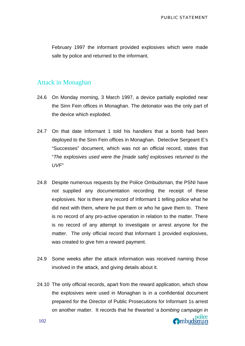February 1997 the informant provided explosives which were made safe by police and returned to the informant.

#### Attack in Monaghan

- 24.6 On Monday morning, 3 March 1997, a device partially exploded near the Sinn Fein offices in Monaghan. The detonator was the only part of the device which exploded.
- 24.7 On that date Informant 1 told his handlers that a bomb had been deployed to the Sinn Fein offices in Monaghan. Detective Sergeant E's "Successes" document, which was not an official record, states that "*The explosives used were the [made safe] explosives returned to the UVF"*
- 24.8 Despite numerous requests by the Police Ombudsman, the PSNI have not supplied any documentation recording the receipt of these explosives. Nor is there any record of Informant 1 telling police what he did next with them, where he put them or who he gave them to. There is no record of any pro-active operation in relation to the matter. There is no record of any attempt to investigate or arrest anyone for the matter. The only official record that Informant 1 provided explosives, was created to give him a reward payment.
- 24.9 Some weeks after the attack information was received naming those involved in the attack, and giving details about it.
- 24.10 The only official records, apart from the reward application, which show the explosives were used in Monaghan is in a confidential document prepared for the Director of Public Prosecutions for Informant 1s arrest on another matter. It records that he thwarted '*a bombing campaign in*

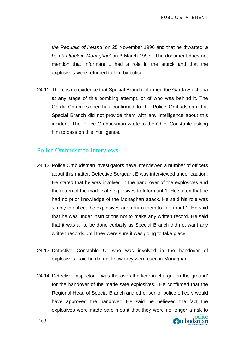police

Ombudsman

*the Republic of Ireland'* on 25 November 1996 and that he thwarted *'a bomb attack in Monaghan'* on 3 March 1997. The document does not mention that Informant 1 had a role in the attack and that the explosives were returned to him by police.

24.11 There is no evidence that Special Branch informed the Garda Siochana at any stage of this bombing attempt, or of who was behind it. The Garda Commissioner has confirmed to the Police Ombudsman that Special Branch did not provide them with any intelligence about this incident. The Police Ombudsman wrote to the Chief Constable asking him to pass on this intelligence.

#### Police Ombudsman Interviews

- 24.12 Police Ombudsman investigators have interviewed a number of officers about this matter. Detective Sergeant E was interviewed under caution. He stated that he was involved in the hand over of the explosives and the return of the made safe explosives to Informant 1. He stated that he had no prior knowledge of the Monaghan attack. He said his role was simply to collect the explosives and return them to Informant 1. He said that he was under instructions not to make any written record. He said that it was all to be done verbally as Special Branch did not want any written records until they were sure it was going to take place.
- 24.13 Detective Constable C, who was involved in the handover of explosives, said he did not know they were used in Monaghan.
- 24.14 Detective Inspector F was the overall officer in charge 'on the ground' for the handover of the made safe explosives. He confirmed that the Regional Head of Special Branch and other senior police officers would have approved the handover. He said he believed the fact the explosives were made safe meant that they were no longer a risk to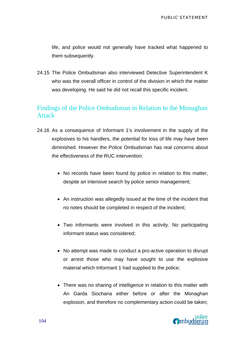life, and police would not generally have tracked what happened to them subsequently.

24.15 The Police Ombudsman also interviewed Detective Superintendent K who was the overall officer in control of the division in which the matter was developing. He said he did not recall this specific incident.

### Findings of the Police Ombudsman in Relation to the Monaghan Attack

- 24.16 As a consequence of Informant 1's involvement in the supply of the explosives to his handlers, the potential for loss of life may have been diminished. However the Police Ombudsman has real concerns about the effectiveness of the RUC intervention:
	- No records have been found by police in relation to this matter, despite an intensive search by police senior management;
	- An instruction was allegedly issued at the time of the incident that no notes should be completed in respect of the incident;
	- Two informants were involved in this activity. No participating informant status was considered;
	- No attempt was made to conduct a pro-active operation to disrupt or arrest those who may have sought to use the explosive material which Informant 1 had supplied to the police;
	- There was no sharing of intelligence in relation to this matter with An Garda Siochana either before or after the Monaghan explosion, and therefore no complementary action could be taken;

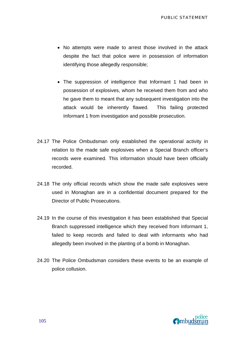- No attempts were made to arrest those involved in the attack despite the fact that police were in possession of information identifying those allegedly responsible;
- The suppression of intelligence that Informant 1 had been in possession of explosives, whom he received them from and who he gave them to meant that any subsequent investigation into the attack would be inherently flawed. This failing protected Informant 1 from investigation and possible prosecution.
- 24.17 The Police Ombudsman only established the operational activity in relation to the made safe explosives when a Special Branch officer's records were examined. This information should have been officially recorded.
- 24.18 The only official records which show the made safe explosives were used in Monaghan are in a confidential document prepared for the Director of Public Prosecutions.
- 24.19 In the course of this investigation it has been established that Special Branch suppressed intelligence which they received from Informant 1, failed to keep records and failed to deal with informants who had allegedly been involved in the planting of a bomb in Monaghan.
- 24.20 The Police Ombudsman considers these events to be an example of police collusion.

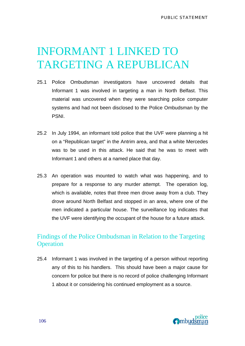## INFORMANT 1 LINKED TO TARGETING A REPUBLICAN

- 25.1 Police Ombudsman investigators have uncovered details that Informant 1 was involved in targeting a man in North Belfast. This material was uncovered when they were searching police computer systems and had not been disclosed to the Police Ombudsman by the PSNI.
- 25.2 In July 1994, an informant told police that the UVF were planning a hit on a "Republican target" in the Antrim area, and that a white Mercedes was to be used in this attack. He said that he was to meet with Informant 1 and others at a named place that day.
- 25.3 An operation was mounted to watch what was happening, and to prepare for a response to any murder attempt. The operation log, which is available, notes that three men drove away from a club. They drove around North Belfast and stopped in an area, where one of the men indicated a particular house. The surveillance log indicates that the UVF were identifying the occupant of the house for a future attack.

### Findings of the Police Ombudsman in Relation to the Targeting **Operation**

25.4 Informant 1 was involved in the targeting of a person without reporting any of this to his handlers. This should have been a major cause for concern for police but there is no record of police challenging Informant 1 about it or considering his continued employment as a source.

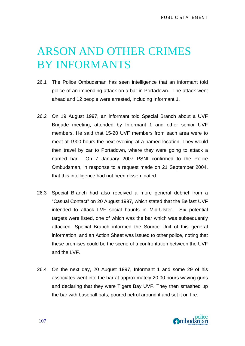# ARSON AND OTHER CRIMES BY INFORMANTS

- 26.1 The Police Ombudsman has seen intelligence that an informant told police of an impending attack on a bar in Portadown. The attack went ahead and 12 people were arrested, including Informant 1.
- 26.2 On 19 August 1997, an informant told Special Branch about a UVF Brigade meeting, attended by Informant 1 and other senior UVF members. He said that 15-20 UVF members from each area were to meet at 1900 hours the next evening at a named location. They would then travel by car to Portadown, where they were going to attack a named bar. On 7 January 2007 PSNI confirmed to the Police Ombudsman, in response to a request made on 21 September 2004, that this intelligence had not been disseminated.
- 26.3 Special Branch had also received a more general debrief from a "Casual Contact" on 20 August 1997, which stated that the Belfast UVF intended to attack LVF social haunts in Mid-Ulster. Six potential targets were listed, one of which was the bar which was subsequently attacked. Special Branch informed the Source Unit of this general information, and an Action Sheet was issued to other police, noting that these premises could be the scene of a confrontation between the UVF and the LVF.
- 26.4 On the next day, 20 August 1997, Informant 1 and some 29 of his associates went into the bar at approximately 20.00 hours waving guns and declaring that they were Tigers Bay UVF. They then smashed up the bar with baseball bats, poured petrol around it and set it on fire.

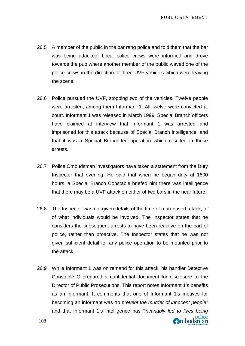Ombudsman

- 26.5 A member of the public in the bar rang police and told them that the bar was being attacked. Local police crews were informed and drove towards the pub where another member of the public waved one of the police crews in the direction of three UVF vehicles which were leaving the scene.
- 26.6 Police pursued the UVF, stopping two of the vehicles. Twelve people were arrested, among them Informant 1. All twelve were convicted at court. Informant 1 was released in March 1999. Special Branch officers have claimed at interview that Informant 1 was arrested and imprisoned for this attack because of Special Branch intelligence, and that it was a Special Branch-led operation which resulted in these arrests.
- 26.7 Police Ombudsman investigators have taken a statement from the Duty Inspector that evening. He said that when he began duty at 1600 hours, a Special Branch Constable briefed him there was intelligence that there may be a UVF attack on either of two bars in the near future.
- 26.8 The Inspector was not given details of the time of a proposed attack, or of what individuals would be involved. The Inspector states that he considers the subsequent arrests to have been reactive on the part of police, rather than proactive. The Inspector states that he was not given sufficient detail for any police operation to be mounted prior to the attack.
- 26.9 While Informant 1 was on remand for this attack, his handler Detective Constable C prepared a confidential document for disclosure to the Director of Public Prosecutions. This report notes Informant 1's benefits as an informant. It comments that one of Informant 1's motives for becoming an informant was "to *prevent the murder of innocent people"*  and that Informant 1's intelligence has *"invariably led to lives being*  police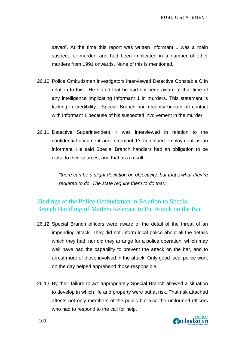*saved*". At the time this report was written Informant 1 was a main suspect for murder, and had been implicated in a number of other murders from 1991 onwards. None of this is mentioned.

- 26.10 Police Ombudsman investigators interviewed Detective Constable C in relation to this. He stated that he had not been aware at that time of any intelligence implicating Informant 1 in murders. This statement is lacking in credibility. Special Branch had recently broken off contact with Informant 1 because of his suspected involvement in the murder.
- 26.11 Detective Superintendent K was interviewed in relation to the confidential document and Informant 1's continued employment as an informant. He said Special Branch handlers had an obligation to be close to their sources, and that as a result,

*"there can be a slight deviation on objectivity, but that's what they're required to do. The state require them to do that."* 

### Findings of the Police Ombudsman in Relation to Special Branch Handling of Matters Relevant to the Attack on the Bar

- 26.12 Special Branch officers were aware of the detail of the threat of an impending attack. They did not inform local police about all the details which they had, nor did they arrange for a police operation, which may well have had the capability to prevent the attack on the bar, and to arrest more of those involved in the attack. Only good local police work on the day helped apprehend those responsible.
- 26.13 By their failure to act appropriately Special Branch allowed a situation to develop in which life and property were put at risk. That risk attached affects not only members of the public but also the uniformed officers who had to respond to the call for help.

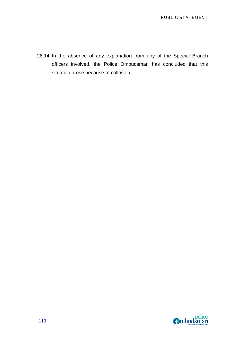26.14 In the absence of any explanation from any of the Special Branch officers involved, the Police Ombudsman has concluded that this situation arose because of collusion.

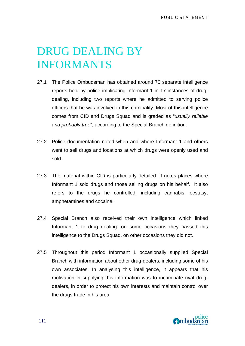# DRUG DEALING BY INFORMANTS

- 27.1 The Police Ombudsman has obtained around 70 separate intelligence reports held by police implicating Informant 1 in 17 instances of drugdealing, including two reports where he admitted to serving police officers that he was involved in this criminality. Most of this intelligence comes from CID and Drugs Squad and is graded as "*usually reliable and probably true*", according to the Special Branch definition.
- 27.2 Police documentation noted when and where Informant 1 and others went to sell drugs and locations at which drugs were openly used and sold.
- 27.3 The material within CID is particularly detailed. It notes places where Informant 1 sold drugs and those selling drugs on his behalf. It also refers to the drugs he controlled, including cannabis, ecstasy, amphetamines and cocaine.
- 27.4 Special Branch also received their own intelligence which linked Informant 1 to drug dealing: on some occasions they passed this intelligence to the Drugs Squad, on other occasions they did not.
- 27.5 Throughout this period Informant 1 occasionally supplied Special Branch with information about other drug-dealers, including some of his own associates. In analysing this intelligence, it appears that his motivation in supplying this information was to incriminate rival drugdealers, in order to protect his own interests and maintain control over the drugs trade in his area.

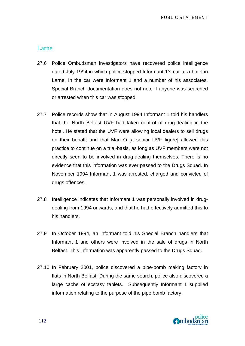#### Larne

- 27.6 Police Ombudsman investigators have recovered police intelligence dated July 1994 in which police stopped Informant 1's car at a hotel in Larne. In the car were Informant 1 and a number of his associates. Special Branch documentation does not note if anyone was searched or arrested when this car was stopped.
- 27.7 Police records show that in August 1994 Informant 1 told his handlers that the North Belfast UVF had taken control of drug-dealing in the hotel. He stated that the UVF were allowing local dealers to sell drugs on their behalf, and that Man O [a senior UVF figure] allowed this practice to continue on a trial-basis, as long as UVF members were not directly seen to be involved in drug-dealing themselves. There is no evidence that this information was ever passed to the Drugs Squad. In November 1994 Informant 1 was arrested, charged and convicted of drugs offences.
- 27.8 Intelligence indicates that Informant 1 was personally involved in drugdealing from 1994 onwards, and that he had effectively admitted this to his handlers.
- 27.9 In October 1994, an informant told his Special Branch handlers that Informant 1 and others were involved in the sale of drugs in North Belfast. This information was apparently passed to the Drugs Squad.
- 27.10 In February 2001, police discovered a pipe-bomb making factory in flats in North Belfast. During the same search, police also discovered a large cache of ecstasy tablets. Subsequently Informant 1 supplied information relating to the purpose of the pipe bomb factory.

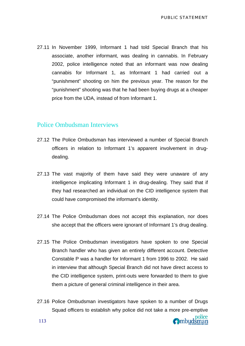27.11 In November 1999, Informant 1 had told Special Branch that his associate, another informant, was dealing in cannabis. In February 2002, police intelligence noted that an informant was now dealing cannabis for Informant 1, as Informant 1 had carried out a "punishment" shooting on him the previous year. The reason for the "punishment" shooting was that he had been buying drugs at a cheaper price from the UDA, instead of from Informant 1.

#### Police Ombudsman Interviews

- 27.12 The Police Ombudsman has interviewed a number of Special Branch officers in relation to Informant 1's apparent involvement in drugdealing.
- 27.13 The vast majority of them have said they were unaware of any intelligence implicating Informant 1 in drug-dealing. They said that if they had researched an individual on the CID intelligence system that could have compromised the informant's identity.
- 27.14 The Police Ombudsman does not accept this explanation, nor does she accept that the officers were ignorant of Informant 1's drug dealing.
- 27.15 The Police Ombudsman investigators have spoken to one Special Branch handler who has given an entirely different account. Detective Constable P was a handler for Informant 1 from 1996 to 2002. He said in interview that although Special Branch did not have direct access to the CID intelligence system, print-outs were forwarded to them to give them a picture of general criminal intelligence in their area.
- 27.16 Police Ombudsman investigators have spoken to a number of Drugs Squad officers to establish why police did not take a more pre-emptive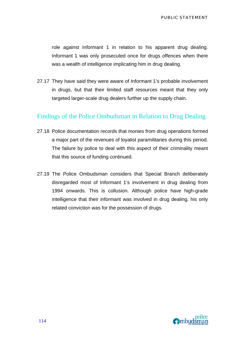role against Informant 1 in relation to his apparent drug dealing. Informant 1 was only prosecuted once for drugs offences when there was a wealth of intelligence implicating him in drug dealing.

27.17 They have said they were aware of Informant 1's probable involvement in drugs, but that their limited staff resources meant that they only targeted larger-scale drug dealers further up the supply chain.

#### Findings of the Police Ombudsman in Relation to Drug Dealing

- 27.18 Police documentation records that monies from drug operations formed a major part of the revenues of loyalist paramilitaries during this period. The failure by police to deal with this aspect of their criminality meant that this source of funding continued.
- 27.19 The Police Ombudsman considers that Special Branch deliberately disregarded most of Informant 1's involvement in drug dealing from 1994 onwards. This is collusion. Although police have high-grade intelligence that their informant was involved in drug dealing, his only related conviction was for the possession of drugs.

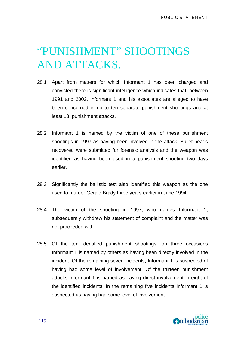# "PUNISHMENT" SHOOTINGS AND ATTACKS.

- 28.1 Apart from matters for which Informant 1 has been charged and convicted there is significant intelligence which indicates that, between 1991 and 2002, Informant 1 and his associates are alleged to have been concerned in up to ten separate punishment shootings and at least 13 punishment attacks.
- 28.2 Informant 1 is named by the victim of one of these punishment shootings in 1997 as having been involved in the attack. Bullet heads recovered were submitted for forensic analysis and the weapon was identified as having been used in a punishment shooting two days earlier.
- 28.3 Significantly the ballistic test also identified this weapon as the one used to murder Gerald Brady three years earlier in June 1994.
- 28.4 The victim of the shooting in 1997, who names Informant 1, subsequently withdrew his statement of complaint and the matter was not proceeded with.
- 28.5 Of the ten identified punishment shootings, on three occasions Informant 1 is named by others as having been directly involved in the incident. Of the remaining seven incidents, Informant 1 is suspected of having had some level of involvement. Of the thirteen punishment attacks Informant 1 is named as having direct involvement in eight of the identified incidents. In the remaining five incidents Informant 1 is suspected as having had some level of involvement.

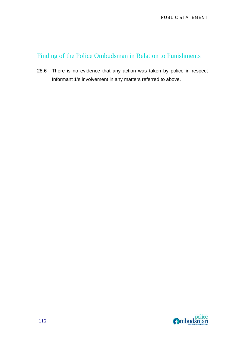## Finding of the Police Ombudsman in Relation to Punishments

28.6 There is no evidence that any action was taken by police in respect Informant 1's involvement in any matters referred to above.

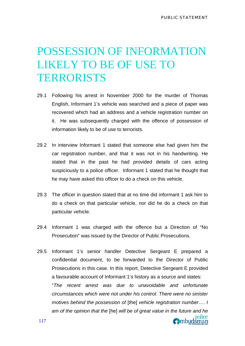# POSSESSION OF INFORMATION LIKELY TO BE OF USE TO **TERRORISTS**

- 29.1 Following his arrest in November 2000 for the murder of Thomas English, Informant 1's vehicle was searched and a piece of paper was recovered which had an address and a vehicle registration number on it. He was subsequently charged with the offence of possession of information likely to be of use to terrorists.
- 29.2 In interview Informant 1 stated that someone else had given him the car registration number, and that it was not in his handwriting. He stated that in the past he had provided details of cars acting suspiciously to a police officer. Informant 1 stated that he thought that he may have asked this officer to do a check on this vehicle.
- 29.3 The officer in question stated that at no time did informant 1 ask him to do a check on that particular vehicle, nor did he do a check on that particular vehicle.
- 29.4 Informant 1 was charged with the offence but a Direction of "No Prosecution" was issued by the Director of Public Prosecutions.
- 29.5 Informant 1's senior handler Detective Sergeant E prepared a confidential document, to be forwarded to the Director of Public Prosecutions in this case. In this report, Detective Sergeant E provided a favourable account of Informant 1's history as a source and states: "*The recent arrest was due to unavoidable and unfortunate circumstances which were not under his control. There were no sinister motives behind the possession of* [the] *vehicle registration number…. I am of the opinion that the* [he] *will be of great value in the future and he*  Ombudsman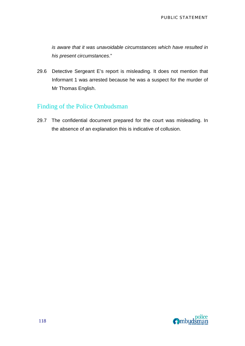*is aware that it was unavoidable circumstances which have resulted in his present circumstances*."

29.6 Detective Sergeant E's report is misleading. It does not mention that Informant 1 was arrested because he was a suspect for the murder of Mr Thomas English.

## Finding of the Police Ombudsman

29.7 The confidential document prepared for the court was misleading. In the absence of an explanation this is indicative of collusion.

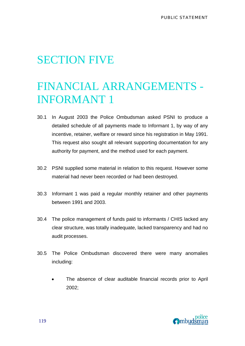## SECTION FIVE

# FINANCIAL ARRANGEMENTS - INFORMANT 1

- 30.1 In August 2003 the Police Ombudsman asked PSNI to produce a detailed schedule of all payments made to Informant 1, by way of any incentive, retainer, welfare or reward since his registration in May 1991. This request also sought all relevant supporting documentation for any authority for payment, and the method used for each payment.
- 30.2 PSNI supplied some material in relation to this request. However some material had never been recorded or had been destroyed.
- 30.3 Informant 1 was paid a regular monthly retainer and other payments between 1991 and 2003.
- 30.4 The police management of funds paid to informants / CHIS lacked any clear structure, was totally inadequate, lacked transparency and had no audit processes.
- 30.5 The Police Ombudsman discovered there were many anomalies including:
	- The absence of clear auditable financial records prior to April 2002;

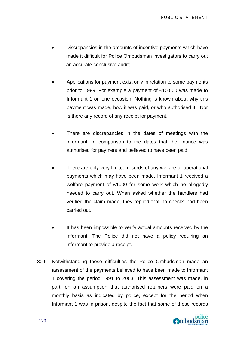- Discrepancies in the amounts of incentive payments which have made it difficult for Police Ombudsman investigators to carry out an accurate conclusive audit;
- Applications for payment exist only in relation to some payments prior to 1999. For example a payment of £10,000 was made to Informant 1 on one occasion. Nothing is known about why this payment was made, how it was paid, or who authorised it. Nor is there any record of any receipt for payment.
- There are discrepancies in the dates of meetings with the informant, in comparison to the dates that the finance was authorised for payment and believed to have been paid.
- There are only very limited records of any welfare or operational payments which may have been made. Informant 1 received a welfare payment of £1000 for some work which he allegedly needed to carry out. When asked whether the handlers had verified the claim made, they replied that no checks had been carried out.
- It has been impossible to verify actual amounts received by the informant. The Police did not have a policy requiring an informant to provide a receipt.
- 30.6 Notwithstanding these difficulties the Police Ombudsman made an assessment of the payments believed to have been made to Informant 1 covering the period 1991 to 2003. This assessment was made, in part, on an assumption that authorised retainers were paid on a monthly basis as indicated by police, except for the period when Informant 1 was in prison, despite the fact that some of these records

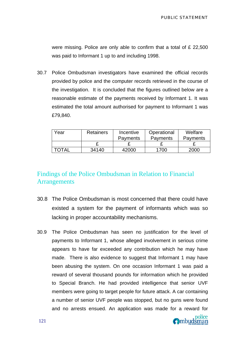were missing. Police are only able to confirm that a total of £ 22,500 was paid to Informant 1 up to and including 1998.

30.7 Police Ombudsman investigators have examined the official records provided by police and the computer records retrieved in the course of the investigation. It is concluded that the figures outlined below are a reasonable estimate of the payments received by Informant 1. It was estimated the total amount authorised for payment to Informant 1 was £79,840.

| Year  | <b>Retainers</b> | Incentive       | Operational     | Welfare         |
|-------|------------------|-----------------|-----------------|-----------------|
|       |                  | <b>Payments</b> | <b>Payments</b> | <b>Payments</b> |
|       |                  |                 |                 |                 |
| TOTAL | 34140            | 42000           | 1700            | 2000            |

## Findings of the Police Ombudsman in Relation to Financial **Arrangements**

- 30.8 The Police Ombudsman is most concerned that there could have existed a system for the payment of informants which was so lacking in proper accountability mechanisms.
- 30.9 The Police Ombudsman has seen no justification for the level of payments to Informant 1, whose alleged involvement in serious crime appears to have far exceeded any contribution which he may have made. There is also evidence to suggest that Informant 1 may have been abusing the system. On one occasion Informant 1 was paid a reward of several thousand pounds for information which he provided to Special Branch. He had provided intelligence that senior UVF members were going to target people for future attack. A car containing a number of senior UVF people was stopped, but no guns were found and no arrests ensued. An application was made for a reward for

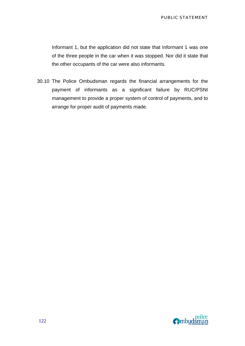Informant 1, but the application did not state that Informant 1 was one of the three people in the car when it was stopped. Nor did it state that the other occupants of the car were also informants.

30.10 The Police Ombudsman regards the financial arrangements for the payment of informants as a significant failure by RUC/PSNI management to provide a proper system of control of payments, and to arrange for proper audit of payments made.

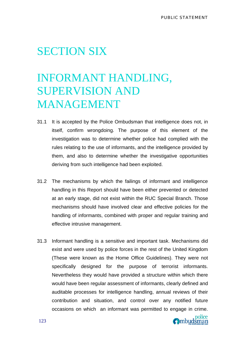## SECTION SIX

# INFORMANT HANDLING, SUPERVISION AND MANAGEMENT

- 31.1 It is accepted by the Police Ombudsman that intelligence does not, in itself, confirm wrongdoing. The purpose of this element of the investigation was to determine whether police had complied with the rules relating to the use of informants, and the intelligence provided by them, and also to determine whether the investigative opportunities deriving from such intelligence had been exploited.
- 31.2 The mechanisms by which the failings of informant and intelligence handling in this Report should have been either prevented or detected at an early stage, did not exist within the RUC Special Branch. Those mechanisms should have involved clear and effective policies for the handling of informants, combined with proper and regular training and effective intrusive management.
- 31.3 Informant handling is a sensitive and important task. Mechanisms did exist and were used by police forces in the rest of the United Kingdom (These were known as the Home Office Guidelines). They were not specifically designed for the purpose of terrorist informants. Nevertheless they would have provided a structure within which there would have been regular assessment of informants, clearly defined and auditable processes for intelligence handling, annual reviews of their contribution and situation, and control over any notified future occasions on which an informant was permitted to engage in crime.

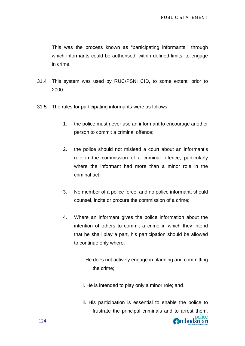This was the process known as "participating informants," through which informants could be authorised, within defined limits, to engage in crime.

- 31.4 This system was used by RUC/PSNI CID, to some extent, prior to 2000.
- 31.5 The rules for participating informants were as follows:
	- 1. the police must never use an informant to encourage another person to commit a criminal offence;
	- 2. the police should not mislead a court about an informant's role in the commission of a criminal offence, particularly where the informant had more than a minor role in the criminal act;
	- 3. No member of a police force, and no police informant, should counsel, incite or procure the commission of a crime;
	- 4. Where an informant gives the police information about the intention of others to commit a crime in which they intend that he shall play a part, his participation should be allowed to continue only where:
		- i. He does not actively engage in planning and committing the crime;
		- ii. He is intended to play only a minor role; and
		- iii. His participation is essential to enable the police to frustrate the principal criminals and to arrest them,

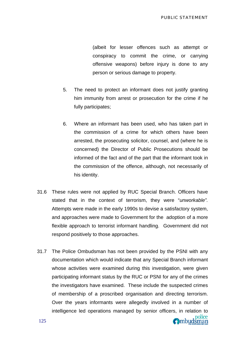(albeit for lesser offences such as attempt or conspiracy to commit the crime, or carrying offensive weapons) before injury is done to any person or serious damage to property.

- 5. The need to protect an informant does not justify granting him immunity from arrest or prosecution for the crime if he fully participates;
- 6. Where an informant has been used, who has taken part in the commission of a crime for which others have been arrested, the prosecuting solicitor, counsel, and (where he is concerned) the Director of Public Prosecutions should be informed of the fact and of the part that the informant took in the commission of the offence, although, not necessarily of his identity.
- 31.6 These rules were not applied by RUC Special Branch. Officers have stated that in the context of terrorism, they were "*unworkable".*  Attempts were made in the early 1990s to devise a satisfactory system, and approaches were made to Government for the adoption of a more flexible approach to terrorist informant handling. Government did not respond positively to those approaches.
- 31.7 The Police Ombudsman has not been provided by the PSNI with any documentation which would indicate that any Special Branch informant whose activities were examined during this investigation, were given participating informant status by the RUC or PSNI for any of the crimes the investigators have examined. These include the suspected crimes of membership of a proscribed organisation and directing terrorism. Over the years informants were allegedly involved in a number of intelligence led operations managed by senior officers, in relation to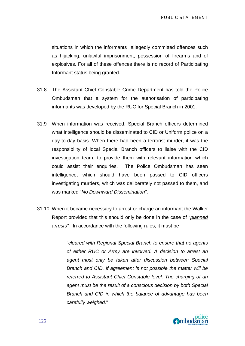situations in which the informants allegedly committed offences such as hijacking, unlawful imprisonment, possession of firearms and of explosives. For all of these offences there is no record of Participating Informant status being granted.

- 31.8 The Assistant Chief Constable Crime Department has told the Police Ombudsman that a system for the authorisation of participating informants was developed by the RUC for Special Branch in 2001.
- 31.9 When information was received, Special Branch officers determined what intelligence should be disseminated to CID or Uniform police on a day-to-day basis. When there had been a terrorist murder, it was the responsibility of local Special Branch officers to liaise with the CID investigation team, to provide them with relevant information which could assist their enquiries. The Police Ombudsman has seen intelligence, which should have been passed to CID officers investigating murders, which was deliberately not passed to them, and was marked "*No Downward Dissemination"*.
- 31.10 When it became necessary to arrest or charge an informant the Walker Report provided that this should only be done in the case of "*planned arrests".* In accordance with the following rules; it must be

"*cleared with Regional Special Branch to ensure that no agents of either RUC or Army are involved. A decision to arrest an agent must only be taken after discussion between Special Branch and CID. If agreement is not possible the matter will be referred to Assistant Chief Constable level. The charging of an agent must be the result of a conscious decision by both Special Branch and CID in which the balance of advantage has been carefully weighed*."

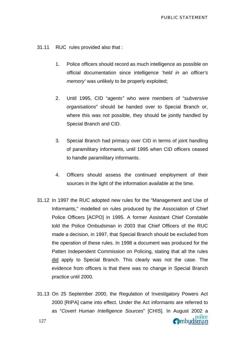- 31.11 RUC rules provided also that :
	- 1. Police officers should record as much intelligence as possible on official documentation since intelligence '*held in an officer's memory'* was unlikely to be properly exploited;
	- 2. Until 1995, CID "*agents"* who were members of "*subversive organisations*" should be handed over to Special Branch or, where this was not possible, they should be jointly handled by Special Branch and CID.
	- 3. Special Branch had primacy over CID in terms of joint handling of paramilitary informants, until 1995 when CID officers ceased to handle paramilitary informants.
	- 4. Officers should assess the continued employment of their sources in the light of the information available at the time.
- 31.12 In 1997 the RUC adopted new rules for the "Management and Use of Informants," modelled on rules produced by the Association of Chief Police Officers [ACPO] in 1995. A former Assistant Chief Constable told the Police Ombudsman in 2003 that Chief Officers of the RUC made a decision, in 1997, that Special Branch should be excluded from the operation of these rules. In 1998 a document was produced for the Patten Independent Commission on Policing, stating that all the rules did apply to Special Branch. This clearly was not the case. The evidence from officers is that there was no change in Special Branch practice until 2000.
- 31.13 On 25 September 2000, the Regulation of Investigatory Powers Act 2000 [RIPA] came into effect. Under the Act informants are referred to as "*Covert Human Intelligence Sources*" [CHIS]. In August 2002 a Ombudsman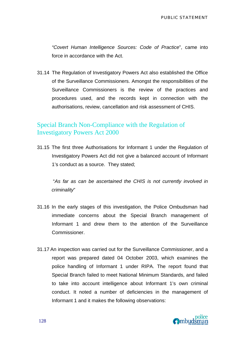*"Covert Human Intelligence Sources: Code of Practice*", came into force in accordance with the Act.

31.14 The Regulation of Investigatory Powers Act also established the Office of the Surveillance Commissioners. Amongst the responsibilities of the Surveillance Commissioners is the review of the practices and procedures used, and the records kept in connection with the authorisations, review, cancellation and risk assessment of CHIS.

### Special Branch Non-Compliance with the Regulation of Investigatory Powers Act 2000

31.15 The first three Authorisations for Informant 1 under the Regulation of Investigatory Powers Act did not give a balanced account of Informant 1's conduct as a source. They stated;

 "*As far as can be ascertained the CHIS is not currently involved in criminality*"

- 31.16 In the early stages of this investigation, the Police Ombudsman had immediate concerns about the Special Branch management of Informant 1 and drew them to the attention of the Surveillance Commissioner.
- 31.17 An inspection was carried out for the Surveillance Commissioner, and a report was prepared dated 04 October 2003, which examines the police handling of Informant 1 under RIPA. The report found that Special Branch failed to meet National Minimum Standards, and failed to take into account intelligence about Informant 1's own criminal conduct. It noted a number of deficiencies in the management of Informant 1 and it makes the following observations:

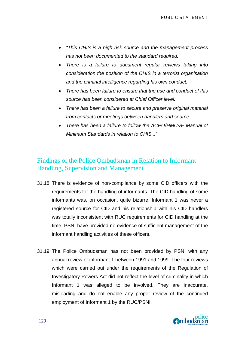- *"This CHIS is a high risk source and the management process has not been documented to the standard required.*
- *There is a failure to document regular reviews taking into consideration the position of the CHIS in a terrorist organisation and the criminal intelligence regarding his own conduct.*
- *There has been failure to ensure that the use and conduct of this source has been considered at Chief Officer level.*
- *There has been a failure to secure and preserve original material from contacts or meetings between handlers and source.*
- *There has been a failure to follow the ACPO/HMC&E Manual of Minimum Standards in relation to CHIS..."*

### Findings of the Police Ombudsman in Relation to Informant Handling, Supervision and Management

- 31.18 There is evidence of non-compliance by some CID officers with the requirements for the handling of informants. The CID handling of some informants was, on occasion, quite bizarre. Informant 1 was never a registered source for CID and his relationship with his CID handlers was totally inconsistent with RUC requirements for CID handling at the time. PSNI have provided no evidence of sufficient management of the informant handling activities of these officers.
- 31.19 The Police Ombudsman has not been provided by PSNI with any annual review of informant 1 between 1991 and 1999. The four reviews which were carried out under the requirements of the Regulation of Investigatory Powers Act did not reflect the level of criminality in which Informant 1 was alleged to be involved. They are inaccurate, misleading and do not enable any proper review of the continued employment of Informant 1 by the RUC/PSNI.

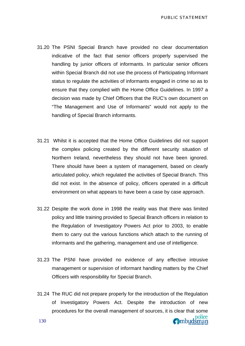- 31.20 The PSNI Special Branch have provided no clear documentation indicative of the fact that senior officers properly supervised the handling by junior officers of informants. In particular senior officers within Special Branch did not use the process of Participating Informant status to regulate the activities of informants engaged in crime so as to ensure that they complied with the Home Office Guidelines. In 1997 a decision was made by Chief Officers that the RUC's own document on "The Management and Use of Informants" would not apply to the handling of Special Branch informants.
- 31.21 Whilst it is accepted that the Home Office Guidelines did not support the complex policing created by the different security situation of Northern Ireland*,* nevertheless they should not have been ignored. There should have been a system of management, based on clearly articulated policy, which regulated the activities of Special Branch. This did not exist. In the absence of policy, officers operated in a difficult environment on what appears to have been a case by case approach.
- 31.22 Despite the work done in 1998 the reality was that there was limited policy and little training provided to Special Branch officers in relation to the Regulation of Investigatory Powers Act prior to 2003, to enable them to carry out the various functions which attach to the running of informants and the gathering, management and use of intelligence.
- 31.23 The PSNI have provided no evidence of any effective intrusive management or supervision of informant handling matters by the Chief Officers with responsibility for Special Branch.
- 31.24 The RUC did not prepare properly for the introduction of the Regulation of Investigatory Powers Act. Despite the introduction of new procedures for the overall management of sources, it is clear that some police<br> **O**mbudsman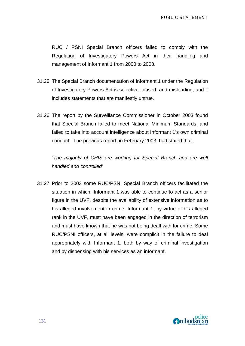RUC / PSNI Special Branch officers failed to comply with the Regulation of Investigatory Powers Act in their handling and management of Informant 1 from 2000 to 2003.

- 31.25 The Special Branch documentation of Informant 1 under the Regulation of Investigatory Powers Act is selective, biased, and misleading, and it includes statements that are manifestly untrue.
- 31.26 The report by the Surveillance Commissioner in October 2003 found that Special Branch failed to meet National Minimum Standards, and failed to take into account intelligence about Informant 1's own criminal conduct. The previous report, in February 2003 had stated that ,

*"The majority of CHIS are working for Special Branch and are well handled and controlled*"

31.27 Prior to 2003 some RUC/PSNI Special Branch officers facilitated the situation in which Informant 1 was able to continue to act as a senior figure in the UVF, despite the availability of extensive information as to his alleged involvement in crime. Informant 1, by virtue of his alleged rank in the UVF, must have been engaged in the direction of terrorism and must have known that he was not being dealt with for crime. Some RUC/PSNI officers, at all levels, were complicit in the failure to deal appropriately with Informant 1, both by way of criminal investigation and by dispensing with his services as an informant.

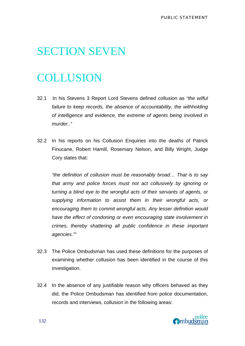# SECTION SEVEN

# **COLLUSION**

- 32.1 In his Stevens 3 Report Lord Stevens defined collusion as *"the wilful*  failure to keep records, the absence of accountability, the withholding *of intelligence and evidence, the extreme of agents being involved in murder.."*
- 32.2 In his reports on his Collusion Enquiries into the deaths of Patrick Finucane, Robert Hamill, Rosemary Nelson, and Billy Wright, Judge Cory states that:

*"the definition of collusion must be reasonably broad… That is to say that army and police forces must not act collusively by ignoring or turning a blind eye to the wrongful acts of their servants of agents, or supplying information to assist them in their wrongful acts, or encouraging them to commit wrongful acts. Any lesser definition would have the effect of condoning or even encouraging state involvement in crimes, thereby shattering all public confidence in these important agencies.""* 

- 32.3 The Police Ombudsman has used these definitions for the purposes of examining whether collusion has been identified in the course of this investigation.
- 32.4 In the absence of any justifiable reason why officers behaved as they did, the Police Ombudsman has identified from police documentation, records and interviews, collusion in the following areas:

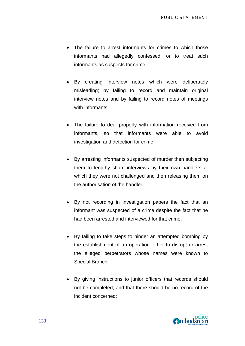- The failure to arrest informants for crimes to which those informants had allegedly confessed, or to treat such informants as suspects for crime;
- By creating interview notes which were deliberately misleading; by failing to record and maintain original interview notes and by failing to record notes of meetings with informants;
- The failure to deal properly with information received from informants, so that informants were able to avoid investigation and detection for crime;
- By arresting informants suspected of murder then subjecting them to lengthy sham interviews by their own handlers at which they were not challenged and then releasing them on the authorisation of the handler;
- By not recording in investigation papers the fact that an informant was suspected of a crime despite the fact that he had been arrested and interviewed for that crime;
- By failing to take steps to hinder an attempted bombing by the establishment of an operation either to disrupt or arrest the alleged perpetrators whose names were known to Special Branch;
- By giving instructions to junior officers that records should not be completed, and that there should be no record of the incident concerned;

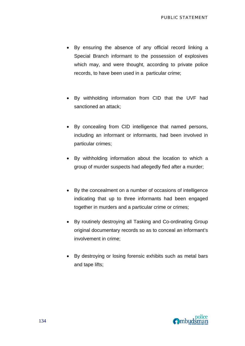- By ensuring the absence of any official record linking a Special Branch informant to the possession of explosives which may, and were thought, according to private police records, to have been used in a particular crime;
- By withholding information from CID that the UVF had sanctioned an attack;
- By concealing from CID intelligence that named persons, including an informant or informants, had been involved in particular crimes;
- By withholding information about the location to which a group of murder suspects had allegedly fled after a murder;
- By the concealment on a number of occasions of intelligence indicating that up to three informants had been engaged together in murders and a particular crime or crimes;
- By routinely destroying all Tasking and Co-ordinating Group original documentary records so as to conceal an informant's involvement in crime;
- By destroying or losing forensic exhibits such as metal bars and tape lifts;

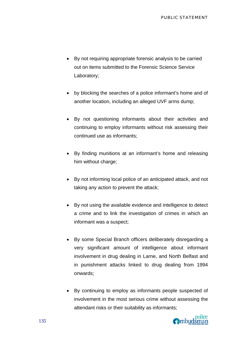- By not requiring appropriate forensic analysis to be carried out on items submitted to the Forensic Science Service Laboratory;
- by blocking the searches of a police informant's home and of another location, including an alleged UVF arms dump;
- By not questioning informants about their activities and continuing to employ informants without risk assessing their continued use as informants;
- By finding munitions at an informant's home and releasing him without charge;
- By not informing local police of an anticipated attack, and not taking any action to prevent the attack;
- By not using the available evidence and intelligence to detect a crime and to link the investigation of crimes in which an informant was a suspect;
- By some Special Branch officers deliberately disregarding a very significant amount of intelligence about informant involvement in drug dealing in Larne, and North Belfast and in punishment attacks linked to drug dealing from 1994 onwards;
- By continuing to employ as informants people suspected of involvement in the most serious crime without assessing the attendant risks or their suitability as informants;

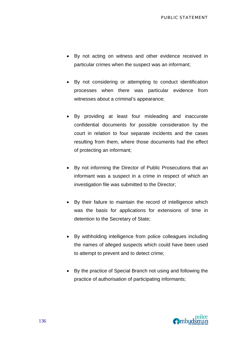- By not acting on witness and other evidence received in particular crimes when the suspect was an informant;
- By not considering or attempting to conduct identification processes when there was particular evidence from witnesses about a criminal's appearance;
- By providing at least four misleading and inaccurate confidential documents for possible consideration by the court in relation to four separate incidents and the cases resulting from them, where those documents had the effect of protecting an informant;
- By not informing the Director of Public Prosecutions that an informant was a suspect in a crime in respect of which an investigation file was submitted to the Director;
- By their failure to maintain the record of intelligence which was the basis for applications for extensions of time in detention to the Secretary of State;
- By withholding intelligence from police colleagues including the names of alleged suspects which could have been used to attempt to prevent and to detect crime;
- By the practice of Special Branch not using and following the practice of authorisation of participating informants;

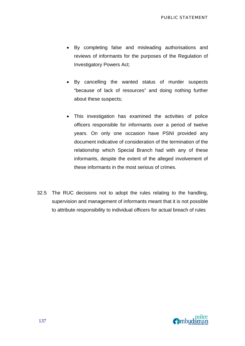- By completing false and misleading authorisations and reviews of informants for the purposes of the Regulation of Investigatory Powers Act;
- By cancelling the wanted status of murder suspects "because of lack of resources" and doing nothing further about these suspects;
- This investigation has examined the activities of police officers responsible for informants over a period of twelve years. On only one occasion have PSNI provided any document indicative of consideration of the termination of the relationship which Special Branch had with any of these informants, despite the extent of the alleged involvement of these informants in the most serious of crimes.
- 32.5 The RUC decisions not to adopt the rules relating to the handling, supervision and management of informants meant that it is not possible to attribute responsibility to individual officers for actual breach of rules

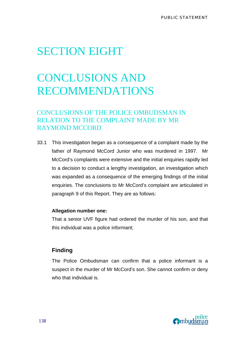## SECTION EIGHT

# CONCLUSIONS AND RECOMMENDATIONS

## CONCLUSIONS OF THE POLICE OMBUDSMAN IN RELATION TO THE COMPLAINT MADE BY MR RAYMOND MCCORD

33.1 This investigation began as a consequence of a complaint made by the father of Raymond McCord Junior who was murdered in 1997. Mr McCord's complaints were extensive and the initial enquiries rapidly led to a decision to conduct a lengthy investigation, an investigation which was expanded as a consequence of the emerging findings of the initial enquiries. The conclusions to Mr McCord's complaint are articulated in paragraph 9 of this Report. They are as follows:

#### **Allegation number one:**

That a senior UVF figure had ordered the murder of his son, and that this individual was a police informant;

#### **Finding**

The Police Ombudsman can confirm that a police informant is a suspect in the murder of Mr McCord's son. She cannot confirm or deny who that individual is.

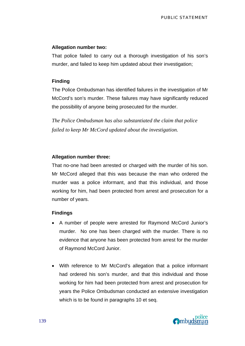#### **Allegation number two:**

That police failed to carry out a thorough investigation of his son's murder, and failed to keep him updated about their investigation;

#### **Finding**

The Police Ombudsman has identified failures in the investigation of Mr McCord's son's murder. These failures may have significantly reduced the possibility of anyone being prosecuted for the murder.

*The Police Ombudsman has also substantiated the claim that police failed to keep Mr McCord updated about the investigation.* 

#### **Allegation number three:**

That no-one had been arrested or charged with the murder of his son. Mr McCord alleged that this was because the man who ordered the murder was a police informant, and that this individual, and those working for him, had been protected from arrest and prosecution for a number of years.

#### **Findings**

- A number of people were arrested for Raymond McCord Junior's murder. No one has been charged with the murder. There is no evidence that anyone has been protected from arrest for the murder of Raymond McCord Junior.
- With reference to Mr McCord's allegation that a police informant had ordered his son's murder, and that this individual and those working for him had been protected from arrest and prosecution for years the Police Ombudsman conducted an extensive investigation which is to be found in paragraphs 10 et seq.

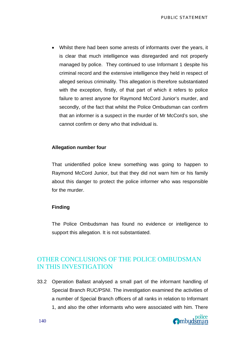• Whilst there had been some arrests of informants over the years, it is clear that much intelligence was disregarded and not properly managed by police. They continued to use Informant 1 despite his criminal record and the extensive intelligence they held in respect of alleged serious criminality. This allegation is therefore substantiated with the exception, firstly, of that part of which it refers to police failure to arrest anyone for Raymond McCord Junior's murder, and secondly, of the fact that whilst the Police Ombudsman can confirm that an informer is a suspect in the murder of Mr McCord's son, she cannot confirm or deny who that individual is.

#### **Allegation number four**

That unidentified police knew something was going to happen to Raymond McCord Junior, but that they did not warn him or his family about this danger to protect the police informer who was responsible for the murder.

#### **Finding**

The Police Ombudsman has found no evidence or intelligence to support this allegation. It is not substantiated.

## OTHER CONCLUSIONS OF THE POLICE OMBUDSMAN IN THIS INVESTIGATION

33.2 Operation Ballast analysed a small part of the informant handling of Special Branch RUC/PSNI. The investigation examined the activities of a number of Special Branch officers of all ranks in relation to Informant 1, and also the other informants who were associated with him. There

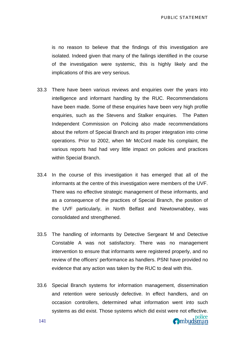is no reason to believe that the findings of this investigation are isolated. Indeed given that many of the failings identified in the course of the investigation were systemic, this is highly likely and the implications of this are very serious.

- 33.3 There have been various reviews and enquiries over the years into intelligence and informant handling by the RUC. Recommendations have been made. Some of these enquiries have been very high profile enquiries, such as the Stevens and Stalker enquiries. The Patten Independent Commission on Policing also made recommendations about the reform of Special Branch and its proper integration into crime operations. Prior to 2002, when Mr McCord made his complaint, the various reports had had very little impact on policies and practices within Special Branch.
- 33.4 In the course of this investigation it has emerged that all of the informants at the centre of this investigation were members of the UVF. There was no effective strategic management of these informants, and as a consequence of the practices of Special Branch, the position of the UVF particularly, in North Belfast and Newtownabbey, was consolidated and strengthened.
- 33.5 The handling of informants by Detective Sergeant M and Detective Constable A was not satisfactory. There was no management intervention to ensure that informants were registered properly, and no review of the officers' performance as handlers. PSNI have provided no evidence that any action was taken by the RUC to deal with this.
- 33.6 Special Branch systems for information management, dissemination and retention were seriously defective. In effect handlers, and on occasion controllers, determined what information went into such systems as did exist. Those systems which did exist were not effective.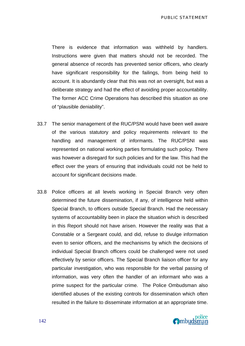PUBLIC STATEMENT

There is evidence that information was withheld by handlers. Instructions were given that matters should not be recorded. The general absence of records has prevented senior officers, who clearly have significant responsibility for the failings, from being held to account. It is abundantly clear that this was not an oversight, but was a deliberate strategy and had the effect of avoiding proper accountability. The former ACC Crime Operations has described this situation as one of "plausible deniability".

- 33.7 The senior management of the RUC/PSNI would have been well aware of the various statutory and policy requirements relevant to the handling and management of informants. The RUC/PSNI was represented on national working parties formulating such policy. There was however a disregard for such policies and for the law. This had the effect over the years of ensuring that individuals could not be held to account for significant decisions made.
- 33.8 Police officers at all levels working in Special Branch very often determined the future dissemination, if any, of intelligence held within Special Branch, to officers outside Special Branch. Had the necessary systems of accountability been in place the situation which is described in this Report should not have arisen. However the reality was that a Constable or a Sergeant could, and did, refuse to divulge information even to senior officers, and the mechanisms by which the decisions of individual Special Branch officers could be challenged were not used effectively by senior officers. The Special Branch liaison officer for any particular investigation, who was responsible for the verbal passing of information, was very often the handler of an informant who was a prime suspect for the particular crime. The Police Ombudsman also identified abuses of the existing controls for dissemination which often resulted in the failure to disseminate information at an appropriate time.

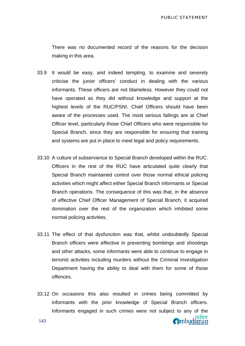police

Ombudsman

There was no documented record of the reasons for the decision making in this area.

- 33.9 It would be easy, and indeed tempting, to examine and severely criticise the junior officers' conduct in dealing with the various informants. These officers are not blameless. However they could not have operated as they did without knowledge and support at the highest levels of the RUC/PSNI. Chief Officers should have been aware of the processes used. The most serious failings are at Chief Officer level, particularly those Chief Officers who were responsible for Special Branch, since they are responsible for ensuring that training and systems are put in place to meet legal and policy requirements.
- 33.10 A culture of subservience to Special Branch developed within the RUC. Officers in the rest of the RUC have articulated quite clearly that Special Branch maintained control over those normal ethical policing activities which might affect either Special Branch informants or Special Branch operations. The consequence of this was that, in the absence of effective Chief Officer Management of Special Branch, it acquired domination over the rest of the organization which inhibited some normal policing activities.
- 33.11 The effect of that dysfunction was that, whilst undoubtedly Special Branch officers were effective in preventing bombings and shootings and other attacks, some informants were able to continue to engage in terrorist activities including murders without the Criminal Investigation Department having the ability to deal with them for some of those offences.
- 33.12 On occasions this also resulted in crimes being committed by informants with the prior knowledge of Special Branch officers. Informants engaged in such crimes were not subject to any of the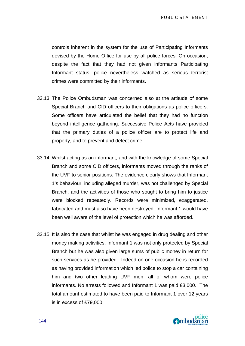PUBLIC STATEMENT

controls inherent in the system for the use of Participating Informants devised by the Home Office for use by all police forces. On occasion, despite the fact that they had not given informants Participating Informant status, police nevertheless watched as serious terrorist crimes were committed by their informants.

- 33.13 The Police Ombudsman was concerned also at the attitude of some Special Branch and CID officers to their obligations as police officers. Some officers have articulated the belief that they had no function beyond intelligence gathering. Successive Police Acts have provided that the primary duties of a police officer are to protect life and property, and to prevent and detect crime.
- 33.14 Whilst acting as an informant, and with the knowledge of some Special Branch and some CID officers, informants moved through the ranks of the UVF to senior positions. The evidence clearly shows that Informant 1's behaviour, including alleged murder, was not challenged by Special Branch, and the activities of those who sought to bring him to justice were blocked repeatedly. Records were minimized, exaggerated, fabricated and must also have been destroyed. Informant 1 would have been well aware of the level of protection which he was afforded.
- 33.15 It is also the case that whilst he was engaged in drug dealing and other money making activities, Informant 1 was not only protected by Special Branch but he was also given large sums of public money in return for such services as he provided. Indeed on one occasion he is recorded as having provided information which led police to stop a car containing him and two other leading UVF men, all of whom were police informants. No arrests followed and Informant 1 was paid £3,000. The total amount estimated to have been paid to Informant 1 over 12 years is in excess of £79,000.

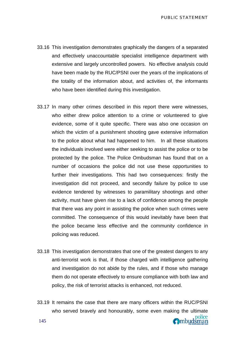PUBLIC STATEMENT

- 33.16 This investigation demonstrates graphically the dangers of a separated and effectively unaccountable specialist intelligence department with extensive and largely uncontrolled powers. No effective analysis could have been made by the RUC/PSNI over the years of the implications of the totality of the information about, and activities of, the informants who have been identified during this investigation.
- 33.17 In many other crimes described in this report there were witnesses, who either drew police attention to a crime or volunteered to give evidence, some of it quite specific. There was also one occasion on which the victim of a punishment shooting gave extensive information to the police about what had happened to him. In all these situations the individuals involved were either seeking to assist the police or to be protected by the police. The Police Ombudsman has found that on a number of occasions the police did not use these opportunities to further their investigations. This had two consequences: firstly the investigation did not proceed, and secondly failure by police to use evidence tendered by witnesses to paramilitary shootings and other activity, must have given rise to a lack of confidence among the people that there was any point in assisting the police when such crimes were committed. The consequence of this would inevitably have been that the police became less effective and the community confidence in policing was reduced.
- 33.18 This investigation demonstrates that one of the greatest dangers to any anti-terrorist work is that, if those charged with intelligence gathering and investigation do not abide by the rules, and if those who manage them do not operate effectively to ensure compliance with both law and policy, the risk of terrorist attacks is enhanced, not reduced.
- 33.19 It remains the case that there are many officers within the RUC/PSNI who served bravely and honourably, some even making the ultimate **O**mbudsman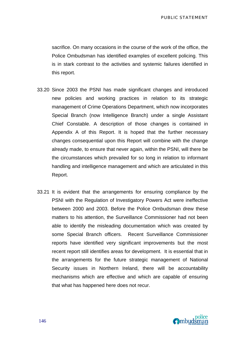sacrifice. On many occasions in the course of the work of the office, the Police Ombudsman has identified examples of excellent policing. This is in stark contrast to the activities and systemic failures identified in this report.

- 33.20 Since 2003 the PSNI has made significant changes and introduced new policies and working practices in relation to its strategic management of Crime Operations Department, which now incorporates Special Branch (now Intelligence Branch) under a single Assistant Chief Constable. A description of those changes is contained in Appendix A of this Report. It is hoped that the further necessary changes consequential upon this Report will combine with the change already made, to ensure that never again, within the PSNI, will there be the circumstances which prevailed for so long in relation to informant handling and intelligence management and which are articulated in this Report.
- 33.21 It is evident that the arrangements for ensuring compliance by the PSNI with the Regulation of Investigatory Powers Act were ineffective between 2000 and 2003. Before the Police Ombudsman drew these matters to his attention, the Surveillance Commissioner had not been able to identify the misleading documentation which was created by some Special Branch officers. Recent Surveillance Commissioner reports have identified very significant improvements but the most recent report still identifies areas for development. It is essential that in the arrangements for the future strategic management of National Security issues in Northern Ireland, there will be accountability mechanisms which are effective and which are capable of ensuring that what has happened here does not recur.

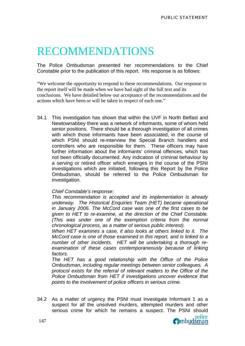# RECOMMENDATIONS

The Police Ombudsman presented her recommendations to the Chief Constable prior to the publication of this report. His response is as follows:

"We welcome the opportunity to respond to these recommendations. Our response to the report itself will be made when we have had sight of the full text and its conclusions. We have detailed below our acceptance of the recommendations and the actions which have been or will be taken in respect of each one."

34.1 This investigation has shown that within the UVF in North Belfast and Newtownabbey there was a network of informants, some of whom held senior positions. There should be a thorough investigation of all crimes with which those informants have been associated, in the course of which PSNI should re-interview the Special Branch handlers and controllers who are responsible for them. These officers may have further information about the informants' criminal offences, which has not been officially documented. Any indication of criminal behaviour by a serving or retired officer which emerges in the course of the PSNI investigations which are initiated, following this Report by the Police Ombudsman, should be referred to the Police Ombudsman for investigation.

## *Chief Constable's response:*

*This recommendation is accepted and its implementation is already underway. The Historical Enquiries Team (HET) became operational in January 2006. The McCord case was one of the first cases to be given to HET to re-examine, at the direction of the Chief Constable. (This was under one of the exemption criteria from the normal chronological process, as a matter of serious public interest).* 

*When HET examines a case, it also looks at others linked to it. The McCord case is one of those examined in this report, and is linked to a number of other incidents. HET will be undertaking a thorough reexamination of these cases contemporaneously because of linking factors.* 

*The HET has a good relationship with the Office of the Police Ombudsman, including regular meetings between senior colleagues. A protocol exists for the referral of relevant matters to the Office of the Police Ombudsman from HET if investigations uncover evidence that points to the involvement of police officers in serious crime.* 

34.2 As a matter of urgency the PSNI must investigate Informant 1 as a suspect for all the unsolved murders, attempted murders and other serious crime for which he remains a suspect. The PSNI should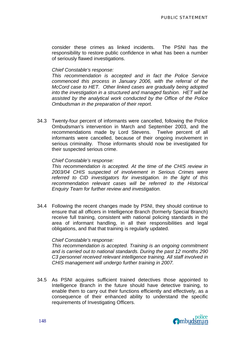consider these crimes as linked incidents. The PSNI has the responsibility to restore public confidence in what has been a number of seriously flawed investigations.

#### *Chief Constable's response:*

*This recommendation is accepted and in fact the Police Service commenced this process in January 2006, with the referral of the McCord case to HET. Other linked cases are gradually being adopted into the investigation in a structured and managed fashion. HET will be assisted by the analytical work conducted by the Office of the Police Ombudsman in the preparation of their report.*

34.3 Twenty-four percent of informants were cancelled, following the Police Ombudsman's intervention in March and September 2003, and the recommendations made by Lord Stevens. Twelve percent of all informants were cancelled, because of their ongoing involvement in serious criminality. Those informants should now be investigated for their suspected serious crime.

#### *Chief Constable's response:*

*This recommendation is accepted. At the time of the CHIS review in 2003/04 CHIS suspected of involvement in Serious Crimes were referred to CID investigators for investigation. In the light of this recommendation relevant cases will be referred to the Historical Enquiry Team for further review and investigation.*

34.4 Following the recent changes made by PSNI, they should continue to ensure that all officers in Intelligence Branch (formerly Special Branch) receive full training, consistent with national policing standards in the area of informant handling, in all their responsibilities and legal obligations, and that that training is regularly updated.

#### *Chief Constable's response:*

*This recommendation is accepted. Training is an ongoing commitment and is carried out to national standards. During the past 12 months 290 C3 personnel received relevant intelligence training. All staff involved in CHIS management will undergo further training in 2007.*

34.5 As PSNI acquires sufficient trained detectives those appointed to Intelligence Branch in the future should have detective training, to enable them to carry out their functions efficiently and effectively, as a consequence of their enhanced ability to understand the specific requirements of Investigating Officers.

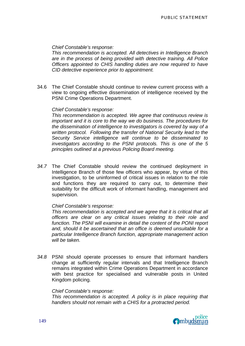*Chief Constable's response:* 

*This recommendation is accepted. All detectives in Intelligence Branch are in the process of being provided with detective training. All Police Officers appointed to CHIS handling duties are now required to have CID detective experience prior to appointment.*

34.6 The Chief Constable should continue to review current process with a view to ongoing effective dissemination of intelligence received by the PSNI Crime Operations Department.

### *Chief Constable's response:*

*This recommendation is accepted. We agree that continuous review is important and it is core to the way we do business. The procedures for the dissemination of intelligence to investigators is covered by way of a written protocol. Following the transfer of National Security lead to the Security Service intelligence will continue to be disseminated to investigators according to the PSNI protocols. This is one of the 5 principles outlined at a previous Policing Board meeting.*

*34.7* The Chief Constable should review the continued deployment in Intelligence Branch of those few officers who appear, by virtue of this investigation, to be uninformed of critical issues in relation to the role and functions they are required to carry out, to determine their suitability for the difficult work of informant handling, management and supervision.

#### *Chief Constable's response:*

*This recommendation is accepted and we agree that it is critical that all officers are clear on any critical issues relating to their role and*  function. The PSNI will examine in detail the content of the PONI report *and, should it be ascertained that an office is deemed unsuitable for a particular Intelligence Branch function, appropriate management action will be taken.* 

*34.8* PSNI should operate processes to ensure that informant handlers change at sufficiently regular intervals and that Intelligence Branch remains integrated within Crime Operations Department in accordance with best practice for specialised and vulnerable posts in United Kingdom policing.

#### *Chief Constable's response:*

*This recommendation is accepted. A policy is in place requiring that handlers should not remain with a CHIS for a protracted period.* 

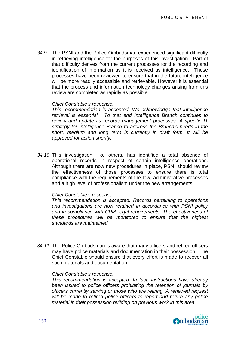*34.9* The PSNI and the Police Ombudsman experienced significant difficulty in retrieving intelligence for the purposes of this investigation. Part of that difficulty derives from the current processes for the recording and identification of information as it is received as intelligence. Those processes have been reviewed to ensure that in the future intelligence will be more readily accessible and retrievable. However it is essential that the process and information technology changes arising from this review are completed as rapidly as possible.

#### *Chief Constable's response:*

*This recommendation is accepted. We acknowledge that intelligence retrieval is essential. To that end Intelligence Branch continues to review and update its records management processes. A specific IT strategy for Intelligence Branch to address the Branch's needs in the short, medium and long term is currently in draft form. It will be approved for action shortly.* 

*34.10* This investigation, like others, has identified a total absence of operational records in respect of certain intelligence operations. Although there are now new procedures in place, PSNI should review the effectiveness of those processes to ensure there is total compliance with the requirements of the law, administrative processes and a high level of professionalism under the new arrangements.

#### *Chief Constable's response:*

*This recommendation is accepted. Records pertaining to operations and investigations are now retained in accordance with PSNI policy and in compliance with CPIA legal requirements. The effectiveness of these procedures will be monitored to ensure that the highest standards are maintained.* 

*34.11* The Police Ombudsman is aware that many officers and retired officers may have police materials and documentation in their possession. The Chief Constable should ensure that every effort is made to recover all such materials and documentation.

#### *Chief Constable's response:*

*This recommendation is accepted. In fact, instructions have already been issued to police officers prohibiting the retention of journals by officers currently serving or those who are retiring. A renewed request will be made to retired police officers to report and return any police material in their possession building on previous work in this area.* 

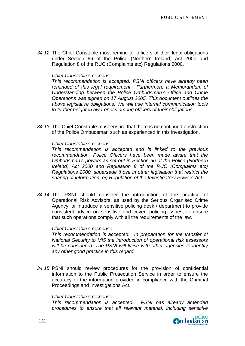*34.12* The Chief Constable must remind all officers of their legal obligations under Section 66 of the Police (Northern Ireland) Act 2000 and Regulation 8 of the RUC (Complaints etc) Regulations 2000.

### *Chief Constable's response:*

*This recommendation is accepted. PSNI officers have already been reminded of this legal requirement. Furthermore a Memorandum of Understanding between the Police Ombudsman's Office and Crime Operations was signed on 17 August 2005. This document outlines the above legislative obligations. We will use internal communication tools to further heighten awareness among officers of their obligations. .* 

*34.13* The Chief Constable must ensure that there is no continued obstruction of the Police Ombudsman such as experienced in this investigation.

#### *Chief Constable's response:*

*This recommendation is accepted and is linked to the previous recommendation. Police Officers have been made aware that the Ombudsman's powers as set out in Section 66 of the Police (Northern Ireland) Act 2000 and Regulation 8 of the RUC (Complaints etc) Regulations 2000, supersede those in other legislation that restrict the sharing of information, eg Regulation of the Investigatory Powers Act.*

*34.14* The PSNI should consider the introduction of the practice of Operational Risk Advisors, as used by the Serious Organised Crime Agency, or introduce a sensitive policing desk / department to provide consistent advice on sensitive and covert policing issues, to ensure that such operations comply with all the requirements of the law.

#### *Chief Constable's response:*

*This recommendation is accepted. In preparation for the transfer of National Security to MI5 the introduction of operational risk assessors will be considered. The PSNI will liaise with other agencies to identify any other good practice in this regard.*

*34.15* PSNI should review procedures for the provision of confidential information to the Public Prosecution Service in order to ensure the accuracy of the information provided in compliance with the Criminal Proceedings and Investigations Act.

#### *Chief Constable's response:*

*This recommendation is accepted. PSNI has already amended procedures to ensure that all relevant material, including sensitive* 

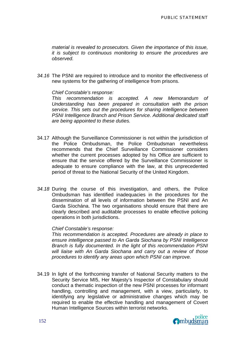*material is revealed to prosecutors. Given the importance of this issue, it is subject to continuous monitoring to ensure the procedures are observed.*

*34.16* The PSNI are required to introduce and to monitor the effectiveness of new systems for the gathering of intelligence from prisons.

*Chief Constable's response:* 

*This recommendation is accepted. A new Memorandum of Understanding has been prepared in consultation with the prison service. This sets out the procedures for sharing intelligence between PSNI Intelligence Branch and Prison Service. Additional dedicated staff are being appointed to these duties.*

- 34.17 Although the Surveillance Commissioner is not within the jurisdiction of the Police Ombudsman, the Police Ombudsman nevertheless recommends that the Chief Surveillance Commissioner considers whether the current processes adopted by his Office are sufficient to ensure that the service offered by the Surveillance Commissioner is adequate to ensure compliance with the law, at this unprecedented period of threat to the National Security of the United Kingdom.
- *34.18* During the course of this investigation, and others, the Police Ombudsman has identified inadequacies in the procedures for the dissemination of all levels of information between the PSNI and An Garda Síochána. The two organisations should ensure that there are clearly described and auditable processes to enable effective policing operations in both jurisdictions.

#### *Chief Constable's response:*

*This recommendation is accepted. Procedures are already in place to ensure intelligence passed to An Garda Siochana by PSNI Intelligence Branch is fully documented. In the light of this recommendation PSNI will liaise with An Garda Siochana and carry out a review of those procedures to identify any areas upon which PSNI can improve.*

34.19 In light of the forthcoming transfer of National Security matters to the Security Service MI5, Her Majesty's Inspector of Constabulary should conduct a thematic inspection of the new PSNI processes for informant handling, controlling and management, with a view, particularly, to identifying any legislative or administrative changes which may be required to enable the effective handling and management of Covert Human Intelligence Sources within terrorist networks.

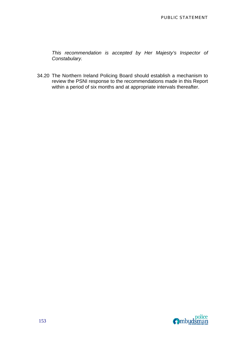*This recommendation is accepted by Her Majesty's Inspector of Constabulary.* 

34.20 The Northern Ireland Policing Board should establish a mechanism to review the PSNI response to the recommendations made in this Report within a period of six months and at appropriate intervals thereafter.

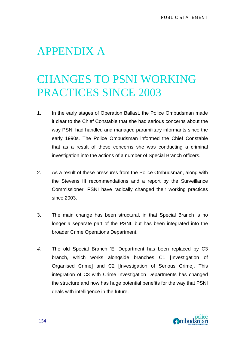# APPENDIX A

# CHANGES TO PSNI WORKING PRACTICES SINCE 2003

- 1. In the early stages of Operation Ballast, the Police Ombudsman made it clear to the Chief Constable that she had serious concerns about the way PSNI had handled and managed paramilitary informants since the early 1990s. The Police Ombudsman informed the Chief Constable that as a result of these concerns she was conducting a criminal investigation into the actions of a number of Special Branch officers.
- 2. As a result of these pressures from the Police Ombudsman, along with the Stevens III recommendations and a report by the Surveillance Commissioner, PSNI have radically changed their working practices since 2003.
- 3. The main change has been structural, in that Special Branch is no longer a separate part of the PSNI, but has been integrated into the broader Crime Operations Department.
- *4.* The old Special Branch 'E' Department has been replaced by C3 branch, which works alongside branches C1 [Investigation of Organised Crime] and C2 [Investigation of Serious Crime]. This integration of C3 with Crime Investigation Departments has changed the structure and now has huge potential benefits for the way that PSNI deals with intelligence in the future.

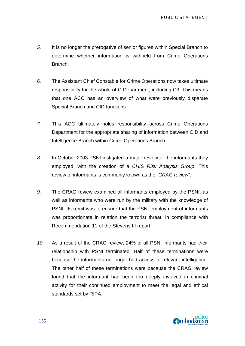- *5.* It is no longer the prerogative of senior figures within Special Branch to determine whether information is withheld from Crime Operations Branch.
- *6.* The Assistant Chief Constable for Crime Operations now takes ultimate responsibility for the whole of C Department, including C3. This means that one ACC has an overview of what were previously disparate Special Branch and CID functions.
- *7.* This ACC ultimately holds responsibility across Crime Operations Department for the appropriate sharing of information between CID and Intelligence Branch within Crime Operations Branch.
- *8.* In October 2003 PSNI instigated a major review of the informants they employed, with the creation of a *CHIS Risk Analysis Group*. This review of informants is commonly known as the "*CRAG review*".
- *9.* The CRAG review examined all informants employed by the PSNI, as well as informants who were run by the military with the knowledge of PSNI. Its remit was to ensure that the PSNI employment of informants was proportionate in relation the terrorist threat, in compliance with Recommendation 11 of the Stevens III report.
- *10.* As a result of the CRAG review, 24% of all PSNI informants had their relationship with PSNI terminated. Half of these terminations were because the informants no longer had access to relevant intelligence. The other half of these terminations were because the CRAG review found that the informant had been too deeply involved in criminal activity for their continued employment to meet the legal and ethical standards set by RIPA.

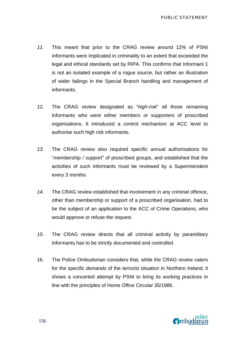- *11.* This meant that prior to the CRAG review around 12% of PSNI informants were implicated in criminality to an extent that exceeded the legal and ethical standards set by RIPA. This confirms that Informant 1 is not an isolated example of a rogue source, but rather an illustration of wider failings in the Special Branch handling and management of informants.
- *12.* The CRAG review designated as "*high-risk*" all those remaining informants who were either members or supporters of proscribed organisations. It introduced a control mechanism at ACC level to authorise such high risk informants.
- *13.* The CRAG review also required specific annual authorisations for "*membership / support*" of proscribed groups, and established that the activities of such informants must be reviewed by a Superintendent every 3 months.
- *14.* The CRAG review established that involvement in any criminal offence, other than membership or support of a proscribed organisation, had to be the subject of an application to the ACC of Crime Operations, who would approve or refuse the request.
- *15.* The CRAG review directs that all criminal activity by paramilitary informants has to be strictly documented and controlled.
- 16. The Police Ombudsman considers that, while the CRAG review caters for the specific demands of the terrorist situation in Northern Ireland, it shows a concerted attempt by PSNI to bring its working practices in line with the principles of Home Office Circular 35/1986.

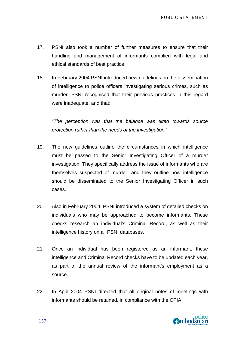- 17. PSNI also took a number of further measures to ensure that their handling and management of informants complied with legal and ethical standards of best practice.
- 18.In February 2004 PSNI introduced new guidelines on the dissemination of intelligence to police officers investigating serious crimes, such as murder. PSNI recognised that their previous practices in this regard were inadequate, and that:

 "*The perception was that the balance was tilted towards source protection rather than the needs of the investigation.*"

- 19. The new guidelines outline the circumstances in which intelligence must be passed to the Senior Investigating Officer of a murder investigation. They specifically address the issue of informants who are themselves suspected of murder, and they outline how intelligence should be disseminated to the Senior Investigating Officer in such cases.
- 20. Also in February 2004, PSNI introduced a system of detailed checks on individuals who may be approached to become informants. These checks research an individual's Criminal Record, as well as their intelligence history on all PSNI databases.
- 21. Once an individual has been registered as an informant, these intelligence and Criminal Record checks have to be updated each year, as part of the annual review of the informant's employment as a source.
- 22. In April 2004 PSNI directed that all original notes of meetings with informants should be retained, in compliance with the CPIA.

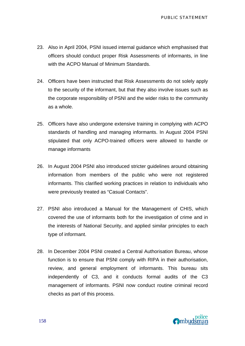- 23. Also in April 2004, PSNI issued internal guidance which emphasised that officers should conduct proper Risk Assessments of informants, in line with the ACPO Manual of Minimum Standards.
- 24. Officers have been instructed that Risk Assessments do not solely apply to the security of the informant, but that they also involve issues such as the corporate responsibility of PSNI and the wider risks to the community as a whole.
- 25. Officers have also undergone extensive training in complying with ACPO standards of handling and managing informants. In August 2004 PSNI stipulated that only ACPO-trained officers were allowed to handle or manage informants
- 26. In August 2004 PSNI also introduced stricter guidelines around obtaining information from members of the public who were not registered informants. This clarified working practices in relation to individuals who were previously treated as "Casual Contacts".
- 27. PSNI also introduced a Manual for the Management of CHIS, which covered the use of informants both for the investigation of crime and in the interests of National Security, and applied similar principles to each type of informant.
- 28. In December 2004 PSNI created a Central Authorisation Bureau, whose function is to ensure that PSNI comply with RIPA in their authorisation, review, and general employment of informants. This bureau sits independently of C3, and it conducts formal audits of the C3 management of informants. PSNI now conduct routine criminal record checks as part of this process.

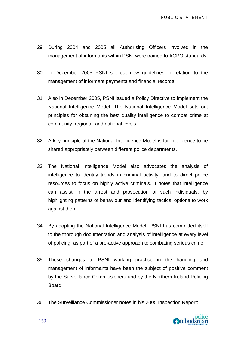- 29. During 2004 and 2005 all Authorising Officers involved in the management of informants within PSNI were trained to ACPO standards.
- 30. In December 2005 PSNI set out new guidelines in relation to the management of informant payments and financial records.
- 31. Also in December 2005, PSNI issued a Policy Directive to implement the National Intelligence Model. The National Intelligence Model sets out principles for obtaining the best quality intelligence to combat crime at community, regional, and national levels.
- 32. A key principle of the National Intelligence Model is for intelligence to be shared appropriately between different police departments.
- 33. The National Intelligence Model also advocates the analysis of intelligence to identify trends in criminal activity, and to direct police resources to focus on highly active criminals. It notes that intelligence can assist in the arrest and prosecution of such individuals, by highlighting patterns of behaviour and identifying tactical options to work against them.
- 34. By adopting the National Intelligence Model, PSNI has committed itself to the thorough documentation and analysis of intelligence at every level of policing, as part of a pro-active approach to combating serious crime.
- 35. These changes to PSNI working practice in the handling and management of informants have been the subject of positive comment by the Surveillance Commissioners and by the Northern Ireland Policing Board.
- 36. The Surveillance Commissioner notes in his 2005 Inspection Report:

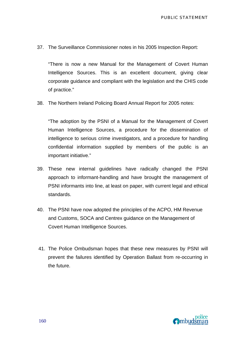37. The Surveillance Commissioner notes in his 2005 Inspection Report:

 "There is now a new Manual for the Management of Covert Human Intelligence Sources. This is an excellent document, giving clear corporate guidance and compliant with the legislation and the CHIS code of practice."

38. The Northern Ireland Policing Board Annual Report for 2005 notes:

 "The adoption by the PSNI of a Manual for the Management of Covert Human Intelligence Sources, a procedure for the dissemination of intelligence to serious crime investigators, and a procedure for handling confidential information supplied by members of the public is an important initiative."

- 39. These new internal guidelines have radically changed the PSNI approach to informant-handling and have brought the management of PSNI informants into line, at least on paper, with current legal and ethical standards.
- 40. The PSNI have now adopted the principles of the ACPO, HM Revenue and Customs, SOCA and Centrex guidance on the Management of Covert Human Intelligence Sources.
- 41. The Police Ombudsman hopes that these new measures by PSNI will prevent the failures identified by Operation Ballast from re-occurring in the future.